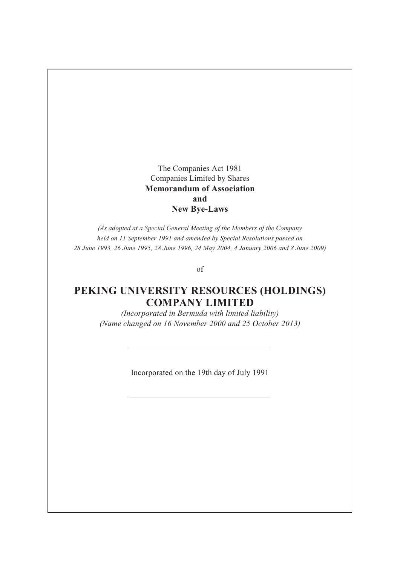The Companies Act 1981 Companies Limited by Shares **Memorandum of Association and New Bye-Laws**

*(As adopted at a Special General Meeting of the Members of the Company held on 11 September 1991 and amended by Special Resolutions passed on 28 June 1993, 26 June 1995, 28 June 1996, 24 May 2004, 4 January 2006 and 8 June 2009)*

of

# **PEKING UNIVERSITY RESOURCES (HOLDINGS) COMPANY LIMITED**

*(Incorporated in Bermuda with limited liability) (Name changed on 16 November 2000 and 25 October 2013)*

Incorporated on the 19th day of July 1991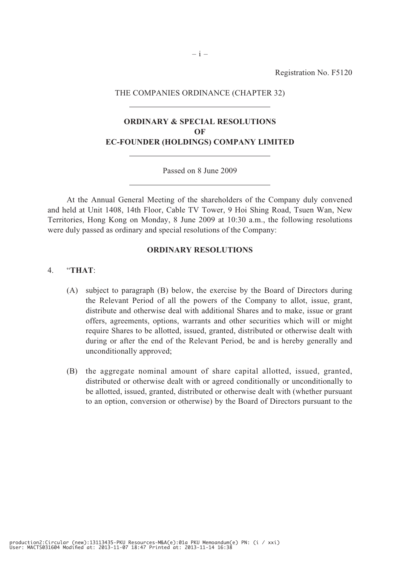Registration No. F5120

#### THE COMPANIES ORDINANCE (CHAPTER 32)

### **ORDINARY & SPECIAL RESOLUTIONS OF EC-FOUNDER (HOLDINGS) COMPANY LIMITED**

#### Passed on 8 June 2009

At the Annual General Meeting of the shareholders of the Company duly convened and held at Unit 1408, 14th Floor, Cable TV Tower, 9 Hoi Shing Road, Tsuen Wan, New Territories, Hong Kong on Monday, 8 June 2009 at 10:30 a.m., the following resolutions were duly passed as ordinary and special resolutions of the Company:

#### **ORDINARY RESOLUTIONS**

#### 4. "**THAT**:

- (A) subject to paragraph (B) below, the exercise by the Board of Directors during the Relevant Period of all the powers of the Company to allot, issue, grant, distribute and otherwise deal with additional Shares and to make, issue or grant offers, agreements, options, warrants and other securities which will or might require Shares to be allotted, issued, granted, distributed or otherwise dealt with during or after the end of the Relevant Period, be and is hereby generally and unconditionally approved;
- (B) the aggregate nominal amount of share capital allotted, issued, granted, distributed or otherwise dealt with or agreed conditionally or unconditionally to be allotted, issued, granted, distributed or otherwise dealt with (whether pursuant to an option, conversion or otherwise) by the Board of Directors pursuant to the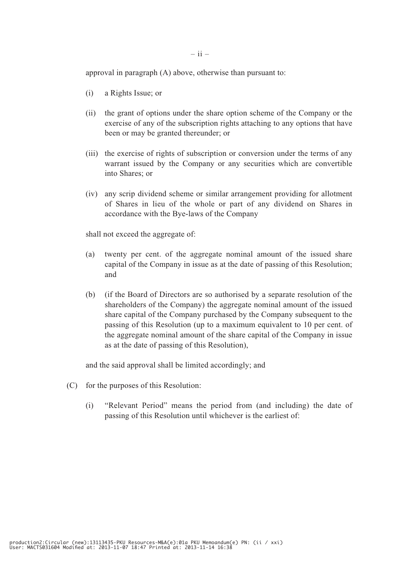approval in paragraph (A) above, otherwise than pursuant to:

- (i) a Rights Issue; or
- (ii) the grant of options under the share option scheme of the Company or the exercise of any of the subscription rights attaching to any options that have been or may be granted thereunder; or
- (iii) the exercise of rights of subscription or conversion under the terms of any warrant issued by the Company or any securities which are convertible into Shares; or
- (iv) any scrip dividend scheme or similar arrangement providing for allotment of Shares in lieu of the whole or part of any dividend on Shares in accordance with the Bye-laws of the Company

shall not exceed the aggregate of:

- (a) twenty per cent. of the aggregate nominal amount of the issued share capital of the Company in issue as at the date of passing of this Resolution; and
- (b) (if the Board of Directors are so authorised by a separate resolution of the shareholders of the Company) the aggregate nominal amount of the issued share capital of the Company purchased by the Company subsequent to the passing of this Resolution (up to a maximum equivalent to 10 per cent. of the aggregate nominal amount of the share capital of the Company in issue as at the date of passing of this Resolution),

and the said approval shall be limited accordingly; and

- (C) for the purposes of this Resolution:
	- (i) "Relevant Period" means the period from (and including) the date of passing of this Resolution until whichever is the earliest of: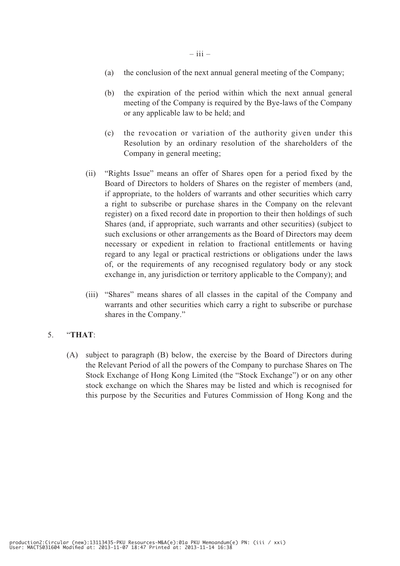- (a) the conclusion of the next annual general meeting of the Company;
- (b) the expiration of the period within which the next annual general meeting of the Company is required by the Bye-laws of the Company or any applicable law to be held; and
- (c) the revocation or variation of the authority given under this Resolution by an ordinary resolution of the shareholders of the Company in general meeting;
- (ii) "Rights Issue" means an offer of Shares open for a period fixed by the Board of Directors to holders of Shares on the register of members (and, if appropriate, to the holders of warrants and other securities which carry a right to subscribe or purchase shares in the Company on the relevant register) on a fixed record date in proportion to their then holdings of such Shares (and, if appropriate, such warrants and other securities) (subject to such exclusions or other arrangements as the Board of Directors may deem necessary or expedient in relation to fractional entitlements or having regard to any legal or practical restrictions or obligations under the laws of, or the requirements of any recognised regulatory body or any stock exchange in, any jurisdiction or territory applicable to the Company); and
- (iii) "Shares" means shares of all classes in the capital of the Company and warrants and other securities which carry a right to subscribe or purchase shares in the Company."

### 5. "**THAT**:

(A) subject to paragraph (B) below, the exercise by the Board of Directors during the Relevant Period of all the powers of the Company to purchase Shares on The Stock Exchange of Hong Kong Limited (the "Stock Exchange") or on any other stock exchange on which the Shares may be listed and which is recognised for this purpose by the Securities and Futures Commission of Hong Kong and the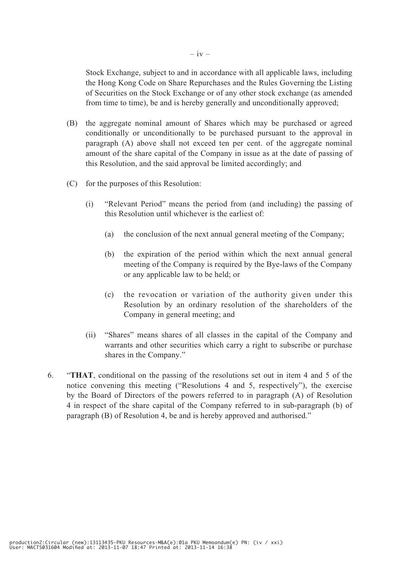Stock Exchange, subject to and in accordance with all applicable laws, including the Hong Kong Code on Share Repurchases and the Rules Governing the Listing of Securities on the Stock Exchange or of any other stock exchange (as amended from time to time), be and is hereby generally and unconditionally approved;

- (B) the aggregate nominal amount of Shares which may be purchased or agreed conditionally or unconditionally to be purchased pursuant to the approval in paragraph (A) above shall not exceed ten per cent. of the aggregate nominal amount of the share capital of the Company in issue as at the date of passing of this Resolution, and the said approval be limited accordingly; and
- (C) for the purposes of this Resolution:
	- (i) "Relevant Period" means the period from (and including) the passing of this Resolution until whichever is the earliest of:
		- (a) the conclusion of the next annual general meeting of the Company;
		- (b) the expiration of the period within which the next annual general meeting of the Company is required by the Bye-laws of the Company or any applicable law to be held; or
		- (c) the revocation or variation of the authority given under this Resolution by an ordinary resolution of the shareholders of the Company in general meeting; and
	- (ii) "Shares" means shares of all classes in the capital of the Company and warrants and other securities which carry a right to subscribe or purchase shares in the Company."
- 6. "**THAT**, conditional on the passing of the resolutions set out in item 4 and 5 of the notice convening this meeting ("Resolutions 4 and 5, respectively"), the exercise by the Board of Directors of the powers referred to in paragraph (A) of Resolution 4 in respect of the share capital of the Company referred to in sub-paragraph (b) of paragraph (B) of Resolution 4, be and is hereby approved and authorised."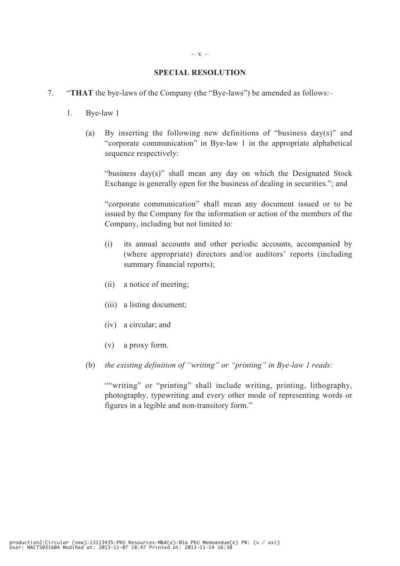#### **SPECIAL RESOLUTION**

- 7. "**THAT** the bye-laws of the Company (the "Bye-laws") be amended as follows:–
	- 1. Bye-law 1
		- (a) By inserting the following new definitions of "business day(s)" and "corporate communication" in Bye-law 1 in the appropriate alphabetical sequence respectively:

 "business day(s)" shall mean any day on which the Designated Stock Exchange is generally open for the business of dealing in securities."; and

 "corporate communication" shall mean any document issued or to be issued by the Company for the information or action of the members of the Company, including but not limited to:

- (i) its annual accounts and other periodic accounts, accompanied by (where appropriate) directors and/or auditors' reports (including summary financial reports);
- (ii) a notice of meeting;
- (iii) a listing document;
- (iv) a circular; and
- (v) a proxy form.
- (b) *the existing definition of "writing" or "printing" in Bye-law 1 reads:*

""writing" or "printing" shall include writing, printing, lithography, photography, typewriting and every other mode of representing words or figures in a legible and non-transitory form."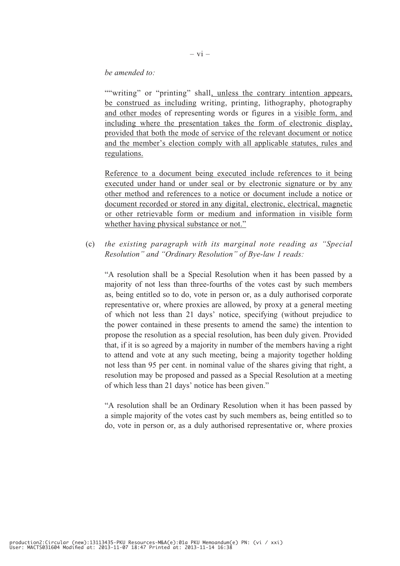#### *be amended to:*

""writing" or "printing" shall, unless the contrary intention appears, be construed as including writing, printing, lithography, photography and other modes of representing words or figures in a visible form, and including where the presentation takes the form of electronic display, provided that both the mode of service of the relevant document or notice and the member's election comply with all applicable statutes, rules and regulations.

 Reference to a document being executed include references to it being executed under hand or under seal or by electronic signature or by any other method and references to a notice or document include a notice or document recorded or stored in any digital, electronic, electrical, magnetic or other retrievable form or medium and information in visible form whether having physical substance or not."

(c) *the existing paragraph with its marginal note reading as "Special Resolution" and "Ordinary Resolution" of Bye-law 1 reads:*

 "A resolution shall be a Special Resolution when it has been passed by a majority of not less than three-fourths of the votes cast by such members as, being entitled so to do, vote in person or, as a duly authorised corporate representative or, where proxies are allowed, by proxy at a general meeting of which not less than 21 days' notice, specifying (without prejudice to the power contained in these presents to amend the same) the intention to propose the resolution as a special resolution, has been duly given. Provided that, if it is so agreed by a majority in number of the members having a right to attend and vote at any such meeting, being a majority together holding not less than 95 per cent. in nominal value of the shares giving that right, a resolution may be proposed and passed as a Special Resolution at a meeting of which less than 21 days' notice has been given."

 "A resolution shall be an Ordinary Resolution when it has been passed by a simple majority of the votes cast by such members as, being entitled so to do, vote in person or, as a duly authorised representative or, where proxies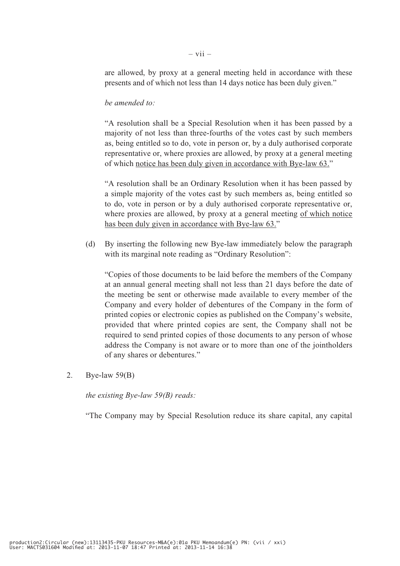are allowed, by proxy at a general meeting held in accordance with these presents and of which not less than 14 days notice has been duly given."

#### *be amended to:*

 "A resolution shall be a Special Resolution when it has been passed by a majority of not less than three-fourths of the votes cast by such members as, being entitled so to do, vote in person or, by a duly authorised corporate representative or, where proxies are allowed, by proxy at a general meeting of which notice has been duly given in accordance with Bye-law 63."

 "A resolution shall be an Ordinary Resolution when it has been passed by a simple majority of the votes cast by such members as, being entitled so to do, vote in person or by a duly authorised corporate representative or, where proxies are allowed, by proxy at a general meeting of which notice has been duly given in accordance with Bye-law 63."

(d) By inserting the following new Bye-law immediately below the paragraph with its marginal note reading as "Ordinary Resolution":

 "Copies of those documents to be laid before the members of the Company at an annual general meeting shall not less than 21 days before the date of the meeting be sent or otherwise made available to every member of the Company and every holder of debentures of the Company in the form of printed copies or electronic copies as published on the Company's website, provided that where printed copies are sent, the Company shall not be required to send printed copies of those documents to any person of whose address the Company is not aware or to more than one of the jointholders of any shares or debentures."

2. Bye-law 59(B)

 *the existing Bye-law 59(B) reads:*

"The Company may by Special Resolution reduce its share capital, any capital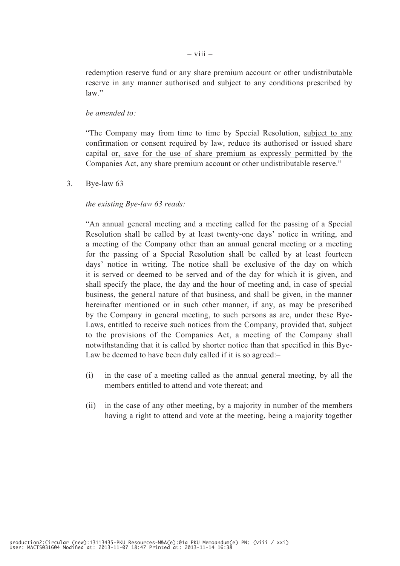redemption reserve fund or any share premium account or other undistributable reserve in any manner authorised and subject to any conditions prescribed by law."

#### *be amended to:*

 "The Company may from time to time by Special Resolution, subject to any confirmation or consent required by law, reduce its authorised or issued share capital or, save for the use of share premium as expressly permitted by the Companies Act, any share premium account or other undistributable reserve."

3. Bye-law 63

#### *the existing Bye-law 63 reads:*

 "An annual general meeting and a meeting called for the passing of a Special Resolution shall be called by at least twenty-one days' notice in writing, and a meeting of the Company other than an annual general meeting or a meeting for the passing of a Special Resolution shall be called by at least fourteen days' notice in writing. The notice shall be exclusive of the day on which it is served or deemed to be served and of the day for which it is given, and shall specify the place, the day and the hour of meeting and, in case of special business, the general nature of that business, and shall be given, in the manner hereinafter mentioned or in such other manner, if any, as may be prescribed by the Company in general meeting, to such persons as are, under these Bye-Laws, entitled to receive such notices from the Company, provided that, subject to the provisions of the Companies Act, a meeting of the Company shall notwithstanding that it is called by shorter notice than that specified in this Bye-Law be deemed to have been duly called if it is so agreed:–

- (i) in the case of a meeting called as the annual general meeting, by all the members entitled to attend and vote thereat; and
- (ii) in the case of any other meeting, by a majority in number of the members having a right to attend and vote at the meeting, being a majority together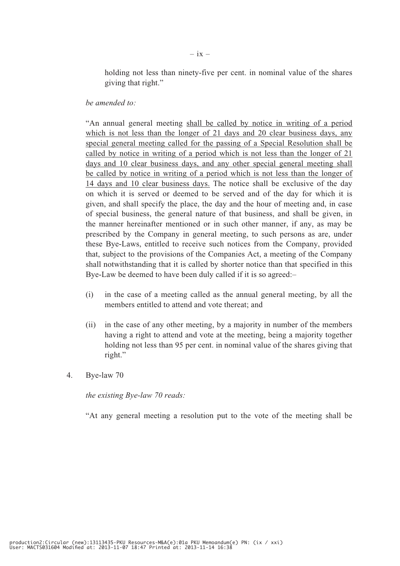holding not less than ninety-five per cent. in nominal value of the shares giving that right."

#### *be amended to:*

 "An annual general meeting shall be called by notice in writing of a period which is not less than the longer of 21 days and 20 clear business days, any special general meeting called for the passing of a Special Resolution shall be called by notice in writing of a period which is not less than the longer of 21 days and 10 clear business days, and any other special general meeting shall be called by notice in writing of a period which is not less than the longer of 14 days and 10 clear business days. The notice shall be exclusive of the day on which it is served or deemed to be served and of the day for which it is given, and shall specify the place, the day and the hour of meeting and, in case of special business, the general nature of that business, and shall be given, in the manner hereinafter mentioned or in such other manner, if any, as may be prescribed by the Company in general meeting, to such persons as are, under these Bye-Laws, entitled to receive such notices from the Company, provided that, subject to the provisions of the Companies Act, a meeting of the Company shall notwithstanding that it is called by shorter notice than that specified in this Bye-Law be deemed to have been duly called if it is so agreed:–

- (i) in the case of a meeting called as the annual general meeting, by all the members entitled to attend and vote thereat; and
- (ii) in the case of any other meeting, by a majority in number of the members having a right to attend and vote at the meeting, being a majority together holding not less than 95 per cent. in nominal value of the shares giving that right."
- 4. Bye-law 70

*the existing Bye-law 70 reads:*

"At any general meeting a resolution put to the vote of the meeting shall be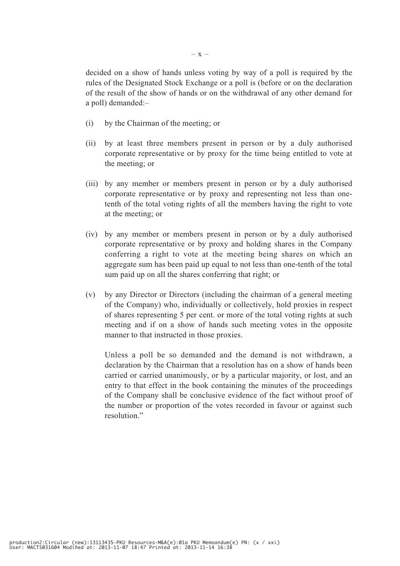decided on a show of hands unless voting by way of a poll is required by the rules of the Designated Stock Exchange or a poll is (before or on the declaration of the result of the show of hands or on the withdrawal of any other demand for a poll) demanded:–

- (i) by the Chairman of the meeting; or
- (ii) by at least three members present in person or by a duly authorised corporate representative or by proxy for the time being entitled to vote at the meeting; or
- (iii) by any member or members present in person or by a duly authorised corporate representative or by proxy and representing not less than onetenth of the total voting rights of all the members having the right to vote at the meeting; or
- (iv) by any member or members present in person or by a duly authorised corporate representative or by proxy and holding shares in the Company conferring a right to vote at the meeting being shares on which an aggregate sum has been paid up equal to not less than one-tenth of the total sum paid up on all the shares conferring that right; or
- (v) by any Director or Directors (including the chairman of a general meeting of the Company) who, individually or collectively, hold proxies in respect of shares representing 5 per cent. or more of the total voting rights at such meeting and if on a show of hands such meeting votes in the opposite manner to that instructed in those proxies.

 Unless a poll be so demanded and the demand is not withdrawn, a declaration by the Chairman that a resolution has on a show of hands been carried or carried unanimously, or by a particular majority, or lost, and an entry to that effect in the book containing the minutes of the proceedings of the Company shall be conclusive evidence of the fact without proof of the number or proportion of the votes recorded in favour or against such resolution."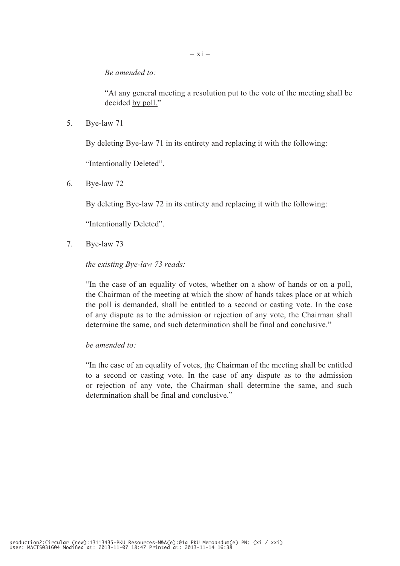*Be amended to:*

 "At any general meeting a resolution put to the vote of the meeting shall be decided by poll."

5. Bye-law 71

By deleting Bye-law 71 in its entirety and replacing it with the following:

"Intentionally Deleted".

6. Bye-law 72

By deleting Bye-law 72 in its entirety and replacing it with the following:

"Intentionally Deleted".

7. Bye-law 73

#### *the existing Bye-law 73 reads:*

 "In the case of an equality of votes, whether on a show of hands or on a poll, the Chairman of the meeting at which the show of hands takes place or at which the poll is demanded, shall be entitled to a second or casting vote. In the case of any dispute as to the admission or rejection of any vote, the Chairman shall determine the same, and such determination shall be final and conclusive."

 *be amended to:*

 "In the case of an equality of votes, the Chairman of the meeting shall be entitled to a second or casting vote. In the case of any dispute as to the admission or rejection of any vote, the Chairman shall determine the same, and such determination shall be final and conclusive."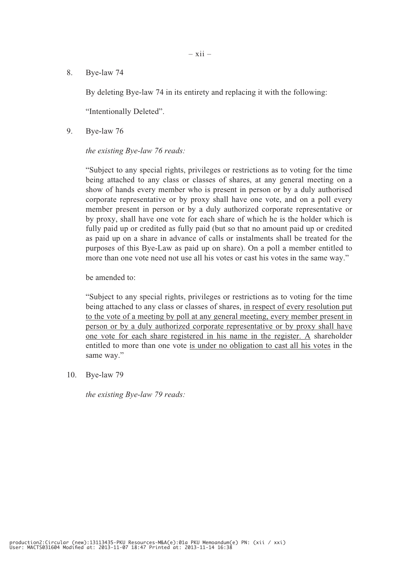8. Bye-law 74

By deleting Bye-law 74 in its entirety and replacing it with the following:

"Intentionally Deleted".

9. Bye-law 76

#### *the existing Bye-law 76 reads:*

 "Subject to any special rights, privileges or restrictions as to voting for the time being attached to any class or classes of shares, at any general meeting on a show of hands every member who is present in person or by a duly authorised corporate representative or by proxy shall have one vote, and on a poll every member present in person or by a duly authorized corporate representative or by proxy, shall have one vote for each share of which he is the holder which is fully paid up or credited as fully paid (but so that no amount paid up or credited as paid up on a share in advance of calls or instalments shall be treated for the purposes of this Bye-Law as paid up on share). On a poll a member entitled to more than one vote need not use all his votes or cast his votes in the same way."

be amended to:

 "Subject to any special rights, privileges or restrictions as to voting for the time being attached to any class or classes of shares, in respect of every resolution put to the vote of a meeting by poll at any general meeting, every member present in person or by a duly authorized corporate representative or by proxy shall have one vote for each share registered in his name in the register. A shareholder entitled to more than one vote is under no obligation to cast all his votes in the same way."

10. Bye-law 79

*the existing Bye-law 79 reads:*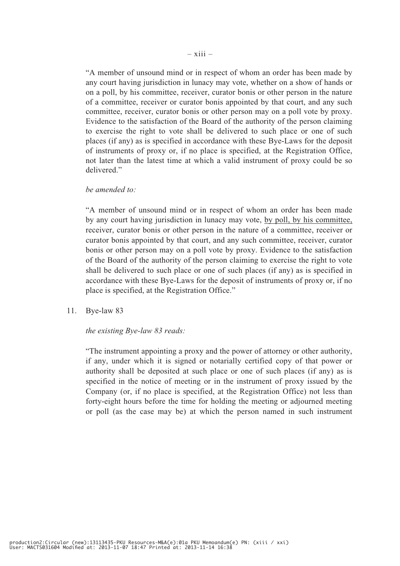"A member of unsound mind or in respect of whom an order has been made by any court having jurisdiction in lunacy may vote, whether on a show of hands or on a poll, by his committee, receiver, curator bonis or other person in the nature of a committee, receiver or curator bonis appointed by that court, and any such committee, receiver, curator bonis or other person may on a poll vote by proxy. Evidence to the satisfaction of the Board of the authority of the person claiming to exercise the right to vote shall be delivered to such place or one of such places (if any) as is specified in accordance with these Bye-Laws for the deposit of instruments of proxy or, if no place is specified, at the Registration Office, not later than the latest time at which a valid instrument of proxy could be so delivered."

#### *be amended to:*

 "A member of unsound mind or in respect of whom an order has been made by any court having jurisdiction in lunacy may vote, by poll, by his committee, receiver, curator bonis or other person in the nature of a committee, receiver or curator bonis appointed by that court, and any such committee, receiver, curator bonis or other person may on a poll vote by proxy. Evidence to the satisfaction of the Board of the authority of the person claiming to exercise the right to vote shall be delivered to such place or one of such places (if any) as is specified in accordance with these Bye-Laws for the deposit of instruments of proxy or, if no place is specified, at the Registration Office."

11. Bye-law 83

#### *the existing Bye-law 83 reads:*

 "The instrument appointing a proxy and the power of attorney or other authority, if any, under which it is signed or notarially certified copy of that power or authority shall be deposited at such place or one of such places (if any) as is specified in the notice of meeting or in the instrument of proxy issued by the Company (or, if no place is specified, at the Registration Office) not less than forty-eight hours before the time for holding the meeting or adjourned meeting or poll (as the case may be) at which the person named in such instrument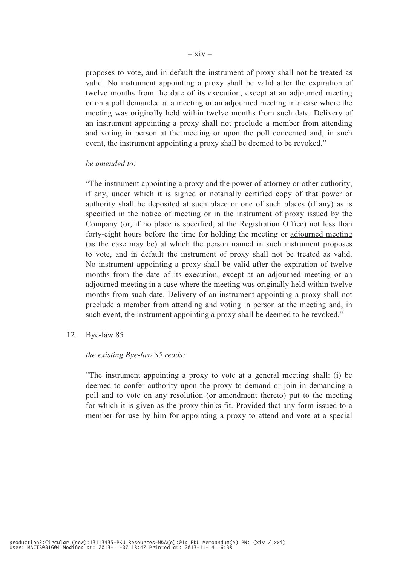proposes to vote, and in default the instrument of proxy shall not be treated as valid. No instrument appointing a proxy shall be valid after the expiration of twelve months from the date of its execution, except at an adjourned meeting or on a poll demanded at a meeting or an adjourned meeting in a case where the meeting was originally held within twelve months from such date. Delivery of an instrument appointing a proxy shall not preclude a member from attending and voting in person at the meeting or upon the poll concerned and, in such event, the instrument appointing a proxy shall be deemed to be revoked."

#### *be amended to:*

 "The instrument appointing a proxy and the power of attorney or other authority, if any, under which it is signed or notarially certified copy of that power or authority shall be deposited at such place or one of such places (if any) as is specified in the notice of meeting or in the instrument of proxy issued by the Company (or, if no place is specified, at the Registration Office) not less than forty-eight hours before the time for holding the meeting or adjourned meeting (as the case may be) at which the person named in such instrument proposes to vote, and in default the instrument of proxy shall not be treated as valid. No instrument appointing a proxy shall be valid after the expiration of twelve months from the date of its execution, except at an adjourned meeting or an adjourned meeting in a case where the meeting was originally held within twelve months from such date. Delivery of an instrument appointing a proxy shall not preclude a member from attending and voting in person at the meeting and, in such event, the instrument appointing a proxy shall be deemed to be revoked."

12. Bye-law 85

#### *the existing Bye-law 85 reads:*

 "The instrument appointing a proxy to vote at a general meeting shall: (i) be deemed to confer authority upon the proxy to demand or join in demanding a poll and to vote on any resolution (or amendment thereto) put to the meeting for which it is given as the proxy thinks fit. Provided that any form issued to a member for use by him for appointing a proxy to attend and vote at a special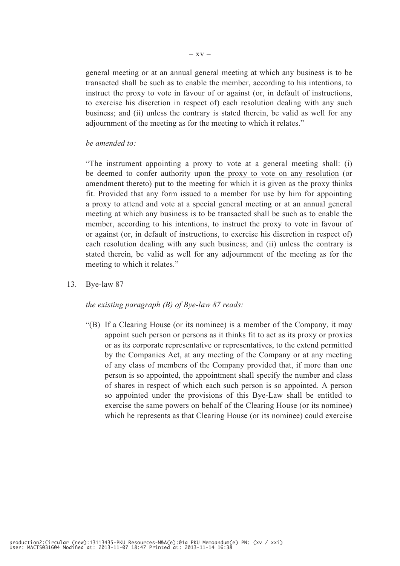general meeting or at an annual general meeting at which any business is to be transacted shall be such as to enable the member, according to his intentions, to instruct the proxy to vote in favour of or against (or, in default of instructions, to exercise his discretion in respect of) each resolution dealing with any such business; and (ii) unless the contrary is stated therein, be valid as well for any adiournment of the meeting as for the meeting to which it relates."

#### *be amended to:*

 "The instrument appointing a proxy to vote at a general meeting shall: (i) be deemed to confer authority upon the proxy to vote on any resolution (or amendment thereto) put to the meeting for which it is given as the proxy thinks fit. Provided that any form issued to a member for use by him for appointing a proxy to attend and vote at a special general meeting or at an annual general meeting at which any business is to be transacted shall be such as to enable the member, according to his intentions, to instruct the proxy to vote in favour of or against (or, in default of instructions, to exercise his discretion in respect of) each resolution dealing with any such business; and (ii) unless the contrary is stated therein, be valid as well for any adjournment of the meeting as for the meeting to which it relates."

13. Bye-law 87

#### *the existing paragraph (B) of Bye-law 87 reads:*

"(B) If a Clearing House (or its nominee) is a member of the Company, it may appoint such person or persons as it thinks fit to act as its proxy or proxies or as its corporate representative or representatives, to the extend permitted by the Companies Act, at any meeting of the Company or at any meeting of any class of members of the Company provided that, if more than one person is so appointed, the appointment shall specify the number and class of shares in respect of which each such person is so appointed. A person so appointed under the provisions of this Bye-Law shall be entitled to exercise the same powers on behalf of the Clearing House (or its nominee) which he represents as that Clearing House (or its nominee) could exercise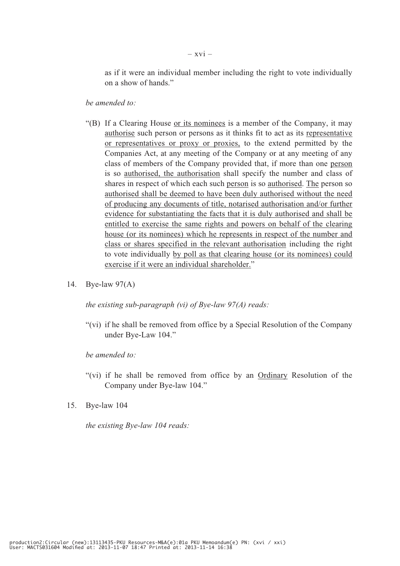as if it were an individual member including the right to vote individually on a show of hands."

*be amended to:*

- "(B) If a Clearing House or its nominees is a member of the Company, it may authorise such person or persons as it thinks fit to act as its representative or representatives or proxy or proxies, to the extend permitted by the Companies Act, at any meeting of the Company or at any meeting of any class of members of the Company provided that, if more than one person is so authorised, the authorisation shall specify the number and class of shares in respect of which each such person is so authorised. The person so authorised shall be deemed to have been duly authorised without the need of producing any documents of title, notarised authorisation and/or further evidence for substantiating the facts that it is duly authorised and shall be entitled to exercise the same rights and powers on behalf of the clearing house (or its nominees) which he represents in respect of the number and class or shares specified in the relevant authorisation including the right to vote individually by poll as that clearing house (or its nominees) could exercise if it were an individual shareholder."
- 14. Bye-law 97(A)

*the existing sub-paragraph (vi) of Bye-law 97(A) reads:*

"(vi) if he shall be removed from office by a Special Resolution of the Company under Bye-Law 104."

 *be amended to:*

- "(vi) if he shall be removed from office by an Ordinary Resolution of the Company under Bye-law 104."
- 15. Bye-law 104

 *the existing Bye-law 104 reads:*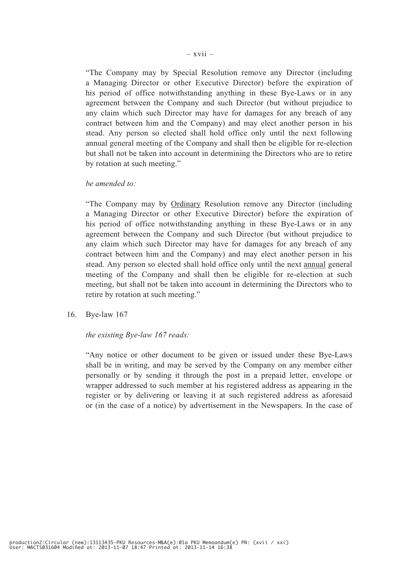"The Company may by Special Resolution remove any Director (including a Managing Director or other Executive Director) before the expiration of his period of office notwithstanding anything in these Bye-Laws or in any agreement between the Company and such Director (but without prejudice to any claim which such Director may have for damages for any breach of any contract between him and the Company) and may elect another person in his stead. Any person so elected shall hold office only until the next following annual general meeting of the Company and shall then be eligible for re-election but shall not be taken into account in determining the Directors who are to retire by rotation at such meeting."

#### *be amended to:*

 "The Company may by Ordinary Resolution remove any Director (including a Managing Director or other Executive Director) before the expiration of his period of office notwithstanding anything in these Bye-Laws or in any agreement between the Company and such Director (but without prejudice to any claim which such Director may have for damages for any breach of any contract between him and the Company) and may elect another person in his stead. Any person so elected shall hold office only until the next annual general meeting of the Company and shall then be eligible for re-election at such meeting, but shall not be taken into account in determining the Directors who to retire by rotation at such meeting."

16. Bye-law 167

#### *the existing Bye-law 167 reads:*

 "Any notice or other document to be given or issued under these Bye-Laws shall be in writing, and may be served by the Company on any member either personally or by sending it through the post in a prepaid letter, envelope or wrapper addressed to such member at his registered address as appearing in the register or by delivering or leaving it at such registered address as aforesaid or (in the case of a notice) by advertisement in the Newspapers. In the case of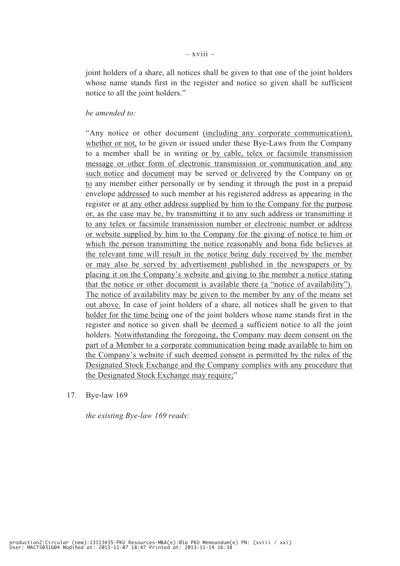joint holders of a share, all notices shall be given to that one of the joint holders whose name stands first in the register and notice so given shall be sufficient notice to all the joint holders."

#### *be amended to:*

 "Any notice or other document (including any corporate communication), whether or not, to be given or issued under these Bye-Laws from the Company to a member shall be in writing or by cable, telex or facsimile transmission message or other form of electronic transmission or communication and any such notice and document may be served or delivered by the Company on or to any member either personally or by sending it through the post in a prepaid envelope addressed to such member at his registered address as appearing in the register or at any other address supplied by him to the Company for the purpose or, as the case may be, by transmitting it to any such address or transmitting it to any telex or facsimile transmission number or electronic number or address or website supplied by him to the Company for the giving of notice to him or which the person transmitting the notice reasonably and bona fide believes at the relevant time will result in the notice being duly received by the member or may also be served by advertisement published in the newspapers or by placing it on the Company's website and giving to the member a notice stating that the notice or other document is available there (a "notice of availability"). The notice of availability may be given to the member by any of the means set out above. In case of joint holders of a share, all notices shall be given to that holder for the time being one of the joint holders whose name stands first in the register and notice so given shall be deemed a sufficient notice to all the joint holders. Notwithstanding the foregoing, the Company may deem consent on the part of a Member to a corporate communication being made available to him on the Company's website if such deemed consent is permitted by the rules of the Designated Stock Exchange and the Company complies with any procedure that the Designated Stock Exchange may require;"

17. Bye-law 169

*the existing Bye-law 169 reads:*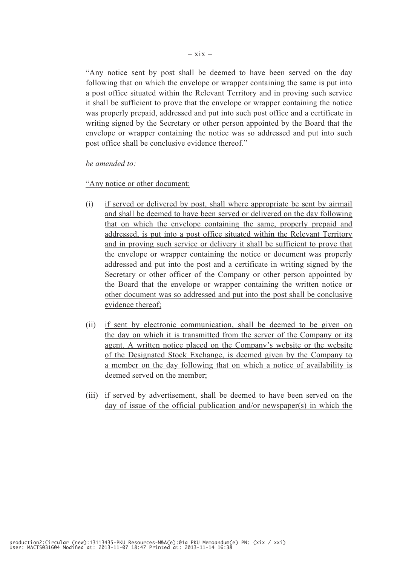"Any notice sent by post shall be deemed to have been served on the day following that on which the envelope or wrapper containing the same is put into a post office situated within the Relevant Territory and in proving such service it shall be sufficient to prove that the envelope or wrapper containing the notice was properly prepaid, addressed and put into such post office and a certificate in writing signed by the Secretary or other person appointed by the Board that the envelope or wrapper containing the notice was so addressed and put into such post office shall be conclusive evidence thereof."

 *be amended to:*

"Any notice or other document:

- (i) if served or delivered by post, shall where appropriate be sent by airmail and shall be deemed to have been served or delivered on the day following that on which the envelope containing the same, properly prepaid and addressed, is put into a post office situated within the Relevant Territory and in proving such service or delivery it shall be sufficient to prove that the envelope or wrapper containing the notice or document was properly addressed and put into the post and a certificate in writing signed by the Secretary or other officer of the Company or other person appointed by the Board that the envelope or wrapper containing the written notice or other document was so addressed and put into the post shall be conclusive evidence thereof;
- (ii) if sent by electronic communication, shall be deemed to be given on the day on which it is transmitted from the server of the Company or its agent. A written notice placed on the Company's website or the website of the Designated Stock Exchange, is deemed given by the Company to a member on the day following that on which a notice of availability is deemed served on the member;
- (iii) if served by advertisement, shall be deemed to have been served on the day of issue of the official publication and/or newspaper(s) in which the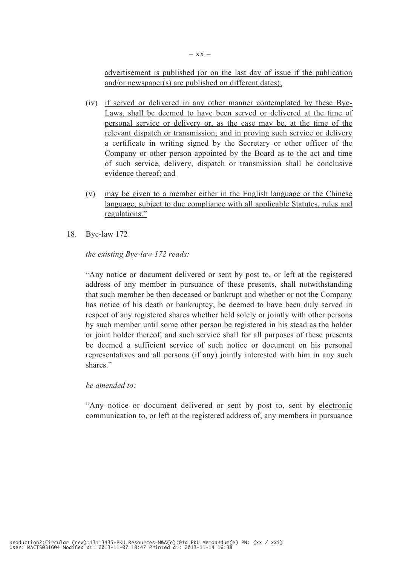advertisement is published (or on the last day of issue if the publication and/or newspaper(s) are published on different dates);

- (iv) if served or delivered in any other manner contemplated by these Bye-Laws, shall be deemed to have been served or delivered at the time of personal service or delivery or, as the case may be, at the time of the relevant dispatch or transmission; and in proving such service or delivery a certificate in writing signed by the Secretary or other officer of the Company or other person appointed by the Board as to the act and time of such service, delivery, dispatch or transmission shall be conclusive evidence thereof; and
- (v) may be given to a member either in the English language or the Chinese language, subject to due compliance with all applicable Statutes, rules and regulations."
- 18. Bye-law 172

#### *the existing Bye-law 172 reads:*

 "Any notice or document delivered or sent by post to, or left at the registered address of any member in pursuance of these presents, shall notwithstanding that such member be then deceased or bankrupt and whether or not the Company has notice of his death or bankruptcy, be deemed to have been duly served in respect of any registered shares whether held solely or jointly with other persons by such member until some other person be registered in his stead as the holder or joint holder thereof, and such service shall for all purposes of these presents be deemed a sufficient service of such notice or document on his personal representatives and all persons (if any) jointly interested with him in any such shares."

#### *be amended to:*

 "Any notice or document delivered or sent by post to, sent by electronic communication to, or left at the registered address of, any members in pursuance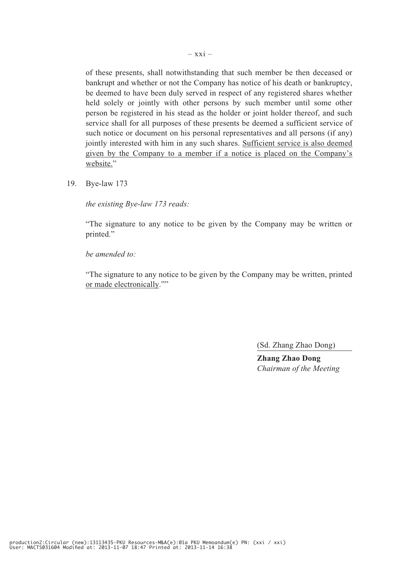of these presents, shall notwithstanding that such member be then deceased or bankrupt and whether or not the Company has notice of his death or bankruptcy, be deemed to have been duly served in respect of any registered shares whether held solely or jointly with other persons by such member until some other person be registered in his stead as the holder or joint holder thereof, and such service shall for all purposes of these presents be deemed a sufficient service of such notice or document on his personal representatives and all persons (if any) jointly interested with him in any such shares. Sufficient service is also deemed given by the Company to a member if a notice is placed on the Company's website."

19. Bye-law 173

*the existing Bye-law 173 reads:*

 "The signature to any notice to be given by the Company may be written or printed."

*be amended to:*

 "The signature to any notice to be given by the Company may be written, printed or made electronically.""

(Sd. Zhang Zhao Dong)

**Zhang Zhao Dong** *Chairman of the Meeting*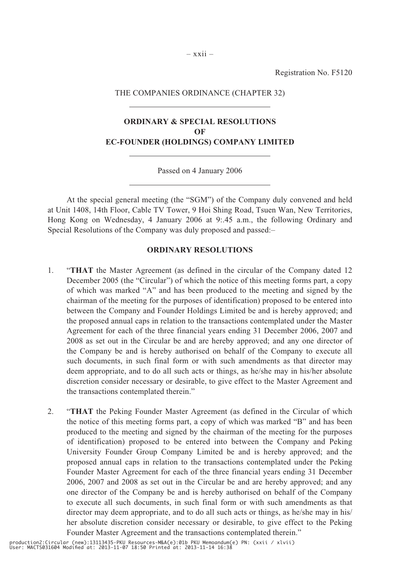Registration No. F5120

#### THE COMPANIES ORDINANCE (CHAPTER 32)

### **ORDINARY & SPECIAL RESOLUTIONS OF EC-FOUNDER (HOLDINGS) COMPANY LIMITED**

Passed on 4 January 2006

At the special general meeting (the "SGM") of the Company duly convened and held at Unit 1408, 14th Floor, Cable TV Tower, 9 Hoi Shing Road, Tsuen Wan, New Territories, Hong Kong on Wednesday, 4 January 2006 at 9:.45 a.m., the following Ordinary and Special Resolutions of the Company was duly proposed and passed:–

#### **ORDINARY RESOLUTIONS**

- 1. "**THAT** the Master Agreement (as defined in the circular of the Company dated 12 December 2005 (the "Circular") of which the notice of this meeting forms part, a copy of which was marked "A" and has been produced to the meeting and signed by the chairman of the meeting for the purposes of identification) proposed to be entered into between the Company and Founder Holdings Limited be and is hereby approved; and the proposed annual caps in relation to the transactions contemplated under the Master Agreement for each of the three financial years ending 31 December 2006, 2007 and 2008 as set out in the Circular be and are hereby approved; and any one director of the Company be and is hereby authorised on behalf of the Company to execute all such documents, in such final form or with such amendments as that director may deem appropriate, and to do all such acts or things, as he/she may in his/her absolute discretion consider necessary or desirable, to give effect to the Master Agreement and the transactions contemplated therein."
- 2. "**THAT** the Peking Founder Master Agreement (as defined in the Circular of which the notice of this meeting forms part, a copy of which was marked "B" and has been produced to the meeting and signed by the chairman of the meeting for the purposes of identification) proposed to be entered into between the Company and Peking University Founder Group Company Limited be and is hereby approved; and the proposed annual caps in relation to the transactions contemplated under the Peking Founder Master Agreement for each of the three financial years ending 31 December 2006, 2007 and 2008 as set out in the Circular be and are hereby approved; and any one director of the Company be and is hereby authorised on behalf of the Company to execute all such documents, in such final form or with such amendments as that director may deem appropriate, and to do all such acts or things, as he/she may in his/ her absolute discretion consider necessary or desirable, to give effect to the Peking Founder Master Agreement and the transactions contemplated therein."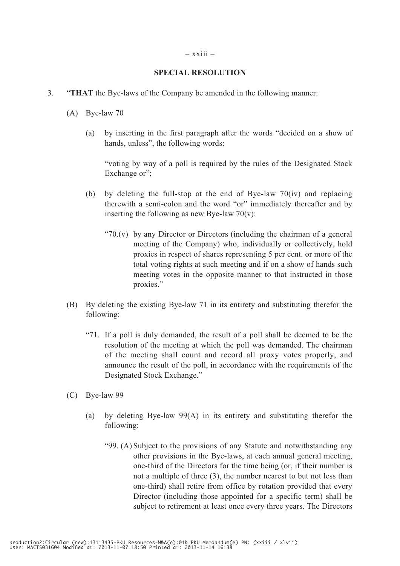#### $-$  xxiii  $-$

#### **SPECIAL RESOLUTION**

- 3. "**THAT** the Bye-laws of the Company be amended in the following manner:
	- (A) Bye-law 70
		- (a) by inserting in the first paragraph after the words "decided on a show of hands, unless", the following words:

"voting by way of a poll is required by the rules of the Designated Stock Exchange or":

- (b) by deleting the full-stop at the end of Bye-law 70(iv) and replacing therewith a semi-colon and the word "or" immediately thereafter and by inserting the following as new Bye-law  $70(v)$ :
	- "70.(v) by any Director or Directors (including the chairman of a general meeting of the Company) who, individually or collectively, hold proxies in respect of shares representing 5 per cent. or more of the total voting rights at such meeting and if on a show of hands such meeting votes in the opposite manner to that instructed in those proxies."
- (B) By deleting the existing Bye-law 71 in its entirety and substituting therefor the following:
	- "71. If a poll is duly demanded, the result of a poll shall be deemed to be the resolution of the meeting at which the poll was demanded. The chairman of the meeting shall count and record all proxy votes properly, and announce the result of the poll, in accordance with the requirements of the Designated Stock Exchange."
- (C) Bye-law 99
	- (a) by deleting Bye-law 99(A) in its entirety and substituting therefor the following:
		- "99. (A) Subject to the provisions of any Statute and notwithstanding any other provisions in the Bye-laws, at each annual general meeting, one-third of the Directors for the time being (or, if their number is not a multiple of three (3), the number nearest to but not less than one-third) shall retire from office by rotation provided that every Director (including those appointed for a specific term) shall be subject to retirement at least once every three years. The Directors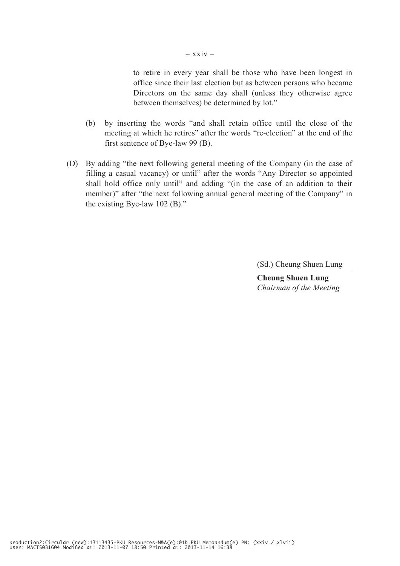to retire in every year shall be those who have been longest in office since their last election but as between persons who became Directors on the same day shall (unless they otherwise agree between themselves) be determined by lot."

- (b) by inserting the words "and shall retain office until the close of the meeting at which he retires" after the words "re-election" at the end of the first sentence of Bye-law 99 (B).
- (D) By adding "the next following general meeting of the Company (in the case of filling a casual vacancy) or until" after the words "Any Director so appointed shall hold office only until" and adding "(in the case of an addition to their member)" after "the next following annual general meeting of the Company" in the existing Bye-law 102 (B)."

(Sd.) Cheung Shuen Lung

**Cheung Shuen Lung** *Chairman of the Meeting*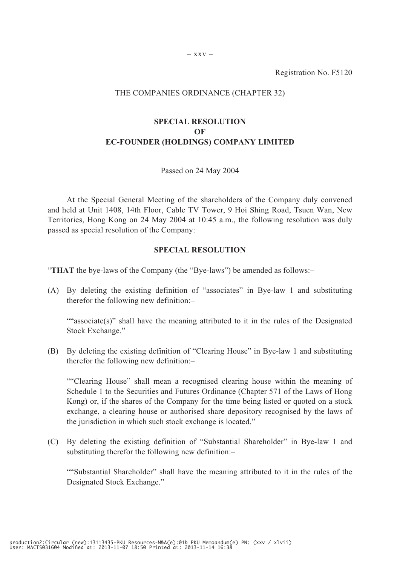Registration No. F5120

#### THE COMPANIES ORDINANCE (CHAPTER 32)

### **SPECIAL RESOLUTION OF EC-FOUNDER (HOLDINGS) COMPANY LIMITED**

#### Passed on 24 May 2004

At the Special General Meeting of the shareholders of the Company duly convened and held at Unit 1408, 14th Floor, Cable TV Tower, 9 Hoi Shing Road, Tsuen Wan, New Territories, Hong Kong on 24 May 2004 at 10:45 a.m., the following resolution was duly passed as special resolution of the Company:

#### **SPECIAL RESOLUTION**

"**THAT** the bye-laws of the Company (the "Bye-laws") be amended as follows:–

(A) By deleting the existing definition of "associates" in Bye-law 1 and substituting therefor the following new definition:–

""associate(s)" shall have the meaning attributed to it in the rules of the Designated Stock Exchange."

(B) By deleting the existing definition of "Clearing House" in Bye-law 1 and substituting therefor the following new definition:–

 ""Clearing House" shall mean a recognised clearing house within the meaning of Schedule 1 to the Securities and Futures Ordinance (Chapter 571 of the Laws of Hong Kong) or, if the shares of the Company for the time being listed or quoted on a stock exchange, a clearing house or authorised share depository recognised by the laws of the jurisdiction in which such stock exchange is located."

(C) By deleting the existing definition of "Substantial Shareholder" in Bye-law 1 and substituting therefor the following new definition:–

 ""Substantial Shareholder" shall have the meaning attributed to it in the rules of the Designated Stock Exchange."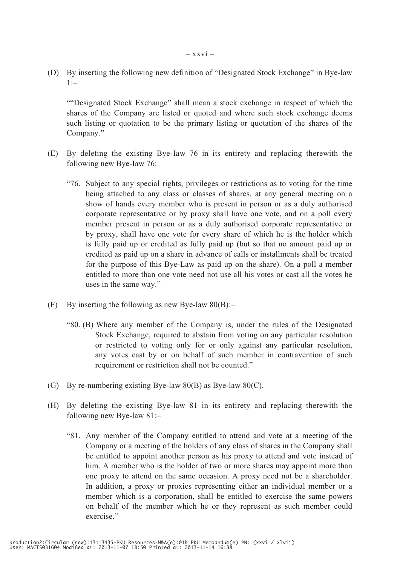(D) By inserting the following new definition of "Designated Stock Exchange" in Bye-law  $1:–$ 

 ""Designated Stock Exchange" shall mean a stock exchange in respect of which the shares of the Company are listed or quoted and where such stock exchange deems such listing or quotation to be the primary listing or quotation of the shares of the Company."

- (E) By deleting the existing Bye-Iaw 76 in its entirety and replacing therewith the following new Bye-Iaw 76:
	- "76. Subject to any special rights, privileges or restrictions as to voting for the time being attached to any class or classes of shares, at any general meeting on a show of hands every member who is present in person or as a duly authorised corporate representative or by proxy shall have one vote, and on a poll every member present in person or as a duly authorised corporate representative or by proxy, shall have one vote for every share of which he is the holder which is fully paid up or credited as fully paid up (but so that no amount paid up or credited as paid up on a share in advance of calls or installments shall be treated for the purpose of this Bye-Law as paid up on the share). On a poll a member entitled to more than one vote need not use all his votes or cast all the votes he uses in the same way."
- (F) By inserting the following as new Bye-law  $80(B)$ :-
	- "80. (B) Where any member of the Company is, under the rules of the Designated Stock Exchange, required to abstain from voting on any particular resolution or restricted to voting only for or only against any particular resolution, any votes cast by or on behalf of such member in contravention of such requirement or restriction shall not be counted."
- (G) By re-numbering existing Bye-law 80(B) as Bye-law 80(C).
- (H) By deleting the existing Bye-law 81 in its entirety and replacing therewith the following new Bye-law 81:–
	- "81. Any member of the Company entitled to attend and vote at a meeting of the Company or a meeting of the holders of any class of shares in the Company shall be entitled to appoint another person as his proxy to attend and vote instead of him. A member who is the holder of two or more shares may appoint more than one proxy to attend on the same occasion. A proxy need not be a shareholder. In addition, a proxy or proxies representing either an individual member or a member which is a corporation, shall be entitled to exercise the same powers on behalf of the member which he or they represent as such member could exercise."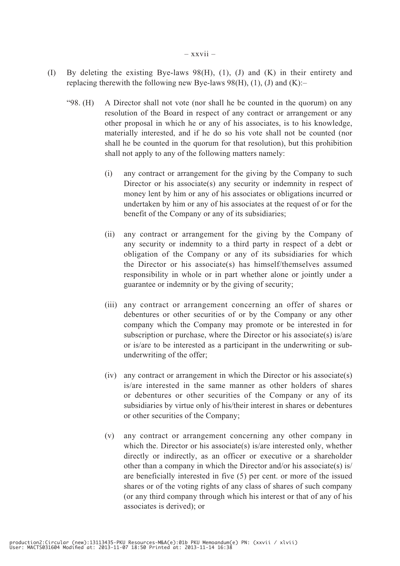- (I) By deleting the existing Bye-laws 98(H), (1), (J) and (K) in their entirety and replacing therewith the following new Bye-laws 98(H), (1), (J) and  $(K)$ :-
	- "98. (H) A Director shall not vote (nor shall he be counted in the quorum) on any resolution of the Board in respect of any contract or arrangement or any other proposal in which he or any of his associates, is to his knowledge, materially interested, and if he do so his vote shall not be counted (nor shall he be counted in the quorum for that resolution), but this prohibition shall not apply to any of the following matters namely:
		- (i) any contract or arrangement for the giving by the Company to such Director or his associate(s) any security or indemnity in respect of money lent by him or any of his associates or obligations incurred or undertaken by him or any of his associates at the request of or for the benefit of the Company or any of its subsidiaries;
		- (ii) any contract or arrangement for the giving by the Company of any security or indemnity to a third party in respect of a debt or obligation of the Company or any of its subsidiaries for which the Director or his associate(s) has himself/themselves assumed responsibility in whole or in part whether alone or jointly under a guarantee or indemnity or by the giving of security;
		- (iii) any contract or arrangement concerning an offer of shares or debentures or other securities of or by the Company or any other company which the Company may promote or be interested in for subscription or purchase, where the Director or his associate(s) is/are or is/are to be interested as a participant in the underwriting or subunderwriting of the offer;
		- (iv) any contract or arrangement in which the Director or his associate(s) is/are interested in the same manner as other holders of shares or debentures or other securities of the Company or any of its subsidiaries by virtue only of his/their interest in shares or debentures or other securities of the Company;
		- (v) any contract or arrangement concerning any other company in which the. Director or his associate(s) is/are interested only, whether directly or indirectly, as an officer or executive or a shareholder other than a company in which the Director and/or his associate(s) is/ are beneficially interested in five (5) per cent. or more of the issued shares or of the voting rights of any class of shares of such company (or any third company through which his interest or that of any of his associates is derived); or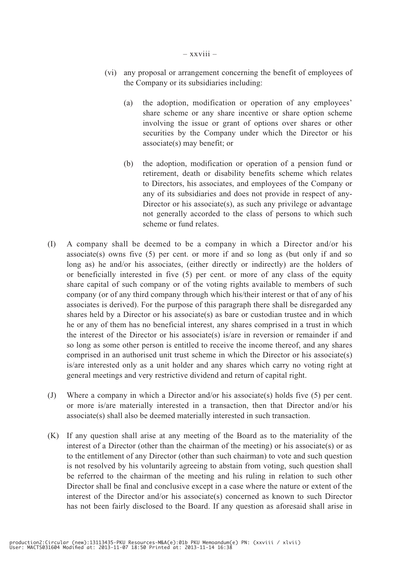- (vi) any proposal or arrangement concerning the benefit of employees of the Company or its subsidiaries including:
	- (a) the adoption, modification or operation of any employees' share scheme or any share incentive or share option scheme involving the issue or grant of options over shares or other securities by the Company under which the Director or his associate(s) may benefit; or
	- (b) the adoption, modification or operation of a pension fund or retirement, death or disability benefits scheme which relates to Directors, his associates, and employees of the Company or any of its subsidiaries and does not provide in respect of any-Director or his associate(s), as such any privilege or advantage not generally accorded to the class of persons to which such scheme or fund relates.
- (I) A company shall be deemed to be a company in which a Director and/or his associate(s) owns five  $(5)$  per cent. or more if and so long as (but only if and so long as) he and/or his associates, (either directly or indirectly) are the holders of or beneficially interested in five (5) per cent. or more of any class of the equity share capital of such company or of the voting rights available to members of such company (or of any third company through which his/their interest or that of any of his associates is derived). For the purpose of this paragraph there shall be disregarded any shares held by a Director or his associate(s) as bare or custodian trustee and in which he or any of them has no beneficial interest, any shares comprised in a trust in which the interest of the Director or his associate(s) is/are in reversion or remainder if and so long as some other person is entitled to receive the income thereof, and any shares comprised in an authorised unit trust scheme in which the Director or his associate(s) is/are interested only as a unit holder and any shares which carry no voting right at general meetings and very restrictive dividend and return of capital right.
- (J) Where a company in which a Director and/or his associate(s) holds five (5) per cent. or more is/are materially interested in a transaction, then that Director and/or his associate(s) shall also be deemed materially interested in such transaction.
- (K) If any question shall arise at any meeting of the Board as to the materiality of the interest of a Director (other than the chairman of the meeting) or his associate(s) or as to the entitlement of any Director (other than such chairman) to vote and such question is not resolved by his voluntarily agreeing to abstain from voting, such question shall be referred to the chairman of the meeting and his ruling in relation to such other Director shall be final and conclusive except in a case where the nature or extent of the interest of the Director and/or his associate(s) concerned as known to such Director has not been fairly disclosed to the Board. If any question as aforesaid shall arise in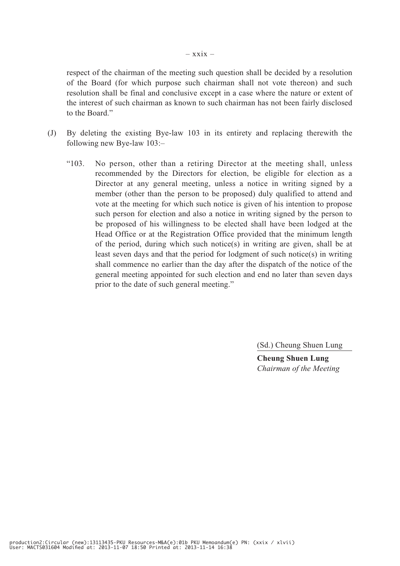respect of the chairman of the meeting such question shall be decided by a resolution of the Board (for which purpose such chairman shall not vote thereon) and such resolution shall be final and conclusive except in a case where the nature or extent of the interest of such chairman as known to such chairman has not been fairly disclosed to the Board."

- (J) By deleting the existing Bye-law 103 in its entirety and replacing therewith the following new Bye-law 103:–
	- "103. No person, other than a retiring Director at the meeting shall, unless recommended by the Directors for election, be eligible for election as a Director at any general meeting, unless a notice in writing signed by a member (other than the person to be proposed) duly qualified to attend and vote at the meeting for which such notice is given of his intention to propose such person for election and also a notice in writing signed by the person to be proposed of his willingness to be elected shall have been lodged at the Head Office or at the Registration Office provided that the minimum length of the period, during which such notice(s) in writing are given, shall be at least seven days and that the period for lodgment of such notice(s) in writing shall commence no earlier than the day after the dispatch of the notice of the general meeting appointed for such election and end no later than seven days prior to the date of such general meeting."

(Sd.) Cheung Shuen Lung

**Cheung Shuen Lung** *Chairman of the Meeting*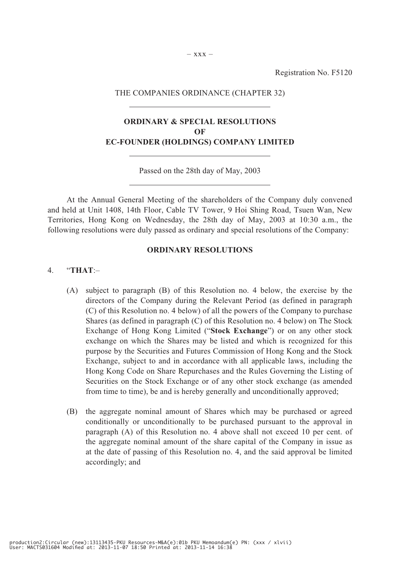Registration No. F5120

#### THE COMPANIES ORDINANCE (CHAPTER 32)

### **ORDINARY & SPECIAL RESOLUTIONS OF EC-FOUNDER (HOLDINGS) COMPANY LIMITED**

Passed on the 28th day of May, 2003

At the Annual General Meeting of the shareholders of the Company duly convened and held at Unit 1408, 14th Floor, Cable TV Tower, 9 Hoi Shing Road, Tsuen Wan, New Territories, Hong Kong on Wednesday, the 28th day of May, 2003 at 10:30 a.m., the following resolutions were duly passed as ordinary and special resolutions of the Company:

#### **ORDINARY RESOLUTIONS**

#### 4. "**THAT**:–

- (A) subject to paragraph (B) of this Resolution no. 4 below, the exercise by the directors of the Company during the Relevant Period (as defined in paragraph (C) of this Resolution no. 4 below) of all the powers of the Company to purchase Shares (as defined in paragraph (C) of this Resolution no. 4 below) on The Stock Exchange of Hong Kong Limited ("**Stock Exchange**") or on any other stock exchange on which the Shares may be listed and which is recognized for this purpose by the Securities and Futures Commission of Hong Kong and the Stock Exchange, subject to and in accordance with all applicable laws, including the Hong Kong Code on Share Repurchases and the Rules Governing the Listing of Securities on the Stock Exchange or of any other stock exchange (as amended from time to time), be and is hereby generally and unconditionally approved;
- (B) the aggregate nominal amount of Shares which may be purchased or agreed conditionally or unconditionally to be purchased pursuant to the approval in paragraph (A) of this Resolution no. 4 above shall not exceed 10 per cent. of the aggregate nominal amount of the share capital of the Company in issue as at the date of passing of this Resolution no. 4, and the said approval be limited accordingly; and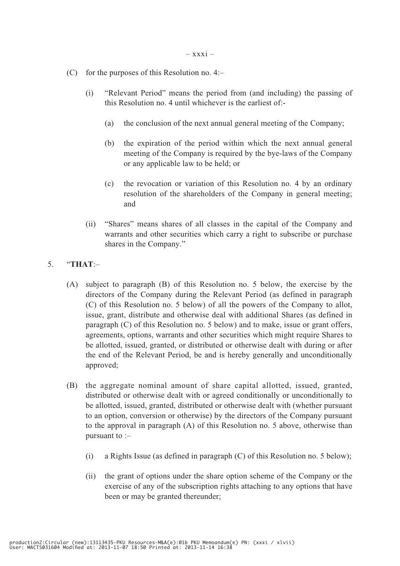- (C) for the purposes of this Resolution no.  $4$ :-
	- (i) "Relevant Period" means the period from (and including) the passing of this Resolution no. 4 until whichever is the earliest of:-
		- (a) the conclusion of the next annual general meeting of the Company;
		- (b) the expiration of the period within which the next annual general meeting of the Company is required by the bye-laws of the Company or any applicable law to be held; or
		- (c) the revocation or variation of this Resolution no. 4 by an ordinary resolution of the shareholders of the Company in general meeting; and
	- (ii) "Shares" means shares of all classes in the capital of the Company and warrants and other securities which carry a right to subscribe or purchase shares in the Company."
- 5. "**THAT**:–
	- (A) subject to paragraph (B) of this Resolution no. 5 below, the exercise by the directors of the Company during the Relevant Period (as defined in paragraph (C) of this Resolution no. 5 below) of all the powers of the Company to allot, issue, grant, distribute and otherwise deal with additional Shares (as defined in paragraph (C) of this Resolution no. 5 below) and to make, issue or grant offers, agreements, options, warrants and other securities which might require Shares to be allotted, issued, granted, or distributed or otherwise dealt with during or after the end of the Relevant Period, be and is hereby generally and unconditionally approved;
	- (B) the aggregate nominal amount of share capital allotted, issued, granted, distributed or otherwise dealt with or agreed conditionally or unconditionally to be allotted, issued, granted, distributed or otherwise dealt with (whether pursuant to an option, conversion or otherwise) by the directors of the Company pursuant to the approval in paragraph (A) of this Resolution no. 5 above, otherwise than pursuant to :–
		- (i) a Rights Issue (as defined in paragraph (C) of this Resolution no. 5 below);
		- (ii) the grant of options under the share option scheme of the Company or the exercise of any of the subscription rights attaching to any options that have been or may be granted thereunder;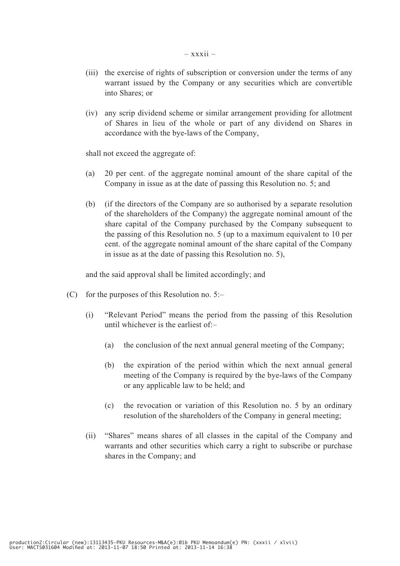- (iii) the exercise of rights of subscription or conversion under the terms of any warrant issued by the Company or any securities which are convertible into Shares; or
- (iv) any scrip dividend scheme or similar arrangement providing for allotment of Shares in lieu of the whole or part of any dividend on Shares in accordance with the bye-laws of the Company,

shall not exceed the aggregate of:

- (a) 20 per cent. of the aggregate nominal amount of the share capital of the Company in issue as at the date of passing this Resolution no. 5; and
- (b) (if the directors of the Company are so authorised by a separate resolution of the shareholders of the Company) the aggregate nominal amount of the share capital of the Company purchased by the Company subsequent to the passing of this Resolution no. 5 (up to a maximum equivalent to 10 per cent. of the aggregate nominal amount of the share capital of the Company in issue as at the date of passing this Resolution no. 5),

and the said approval shall be limited accordingly; and

- (C) for the purposes of this Resolution no.  $5:-$ 
	- (i) "Relevant Period" means the period from the passing of this Resolution until whichever is the earliest of:–
		- (a) the conclusion of the next annual general meeting of the Company;
		- (b) the expiration of the period within which the next annual general meeting of the Company is required by the bye-laws of the Company or any applicable law to be held; and
		- (c) the revocation or variation of this Resolution no. 5 by an ordinary resolution of the shareholders of the Company in general meeting;
	- (ii) "Shares" means shares of all classes in the capital of the Company and warrants and other securities which carry a right to subscribe or purchase shares in the Company; and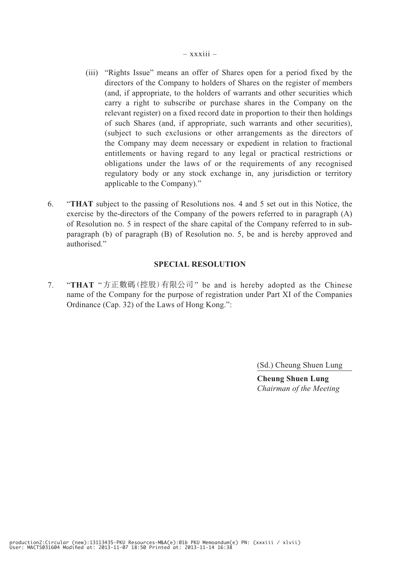- (iii) "Rights Issue" means an offer of Shares open for a period fixed by the directors of the Company to holders of Shares on the register of members (and, if appropriate, to the holders of warrants and other securities which carry a right to subscribe or purchase shares in the Company on the relevant register) on a fixed record date in proportion to their then holdings of such Shares (and, if appropriate, such warrants and other securities), (subject to such exclusions or other arrangements as the directors of the Company may deem necessary or expedient in relation to fractional entitlements or having regard to any legal or practical restrictions or obligations under the laws of or the requirements of any recognised regulatory body or any stock exchange in, any jurisdiction or territory applicable to the Company)."
- 6. "**THAT** subject to the passing of Resolutions nos. 4 and 5 set out in this Notice, the exercise by the-directors of the Company of the powers referred to in paragraph (A) of Resolution no. 5 in respect of the share capital of the Company referred to in subparagraph (b) of paragraph (B) of Resolution no. 5, be and is hereby approved and authorised."

#### **SPECIAL RESOLUTION**

7. "**THAT** "方正數碼(控股)有限公司" be and is hereby adopted as the Chinese name of the Company for the purpose of registration under Part XI of the Companies Ordinance (Cap. 32) of the Laws of Hong Kong.":

(Sd.) Cheung Shuen Lung

**Cheung Shuen Lung** *Chairman of the Meeting*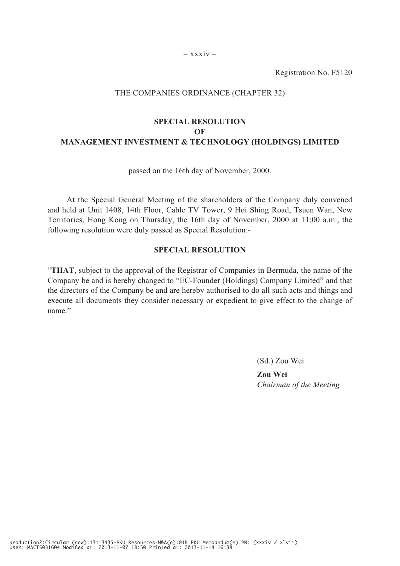$-$  xxxiv –

Registration No. F5120

#### THE COMPANIES ORDINANCE (CHAPTER 32)

### **SPECIAL RESOLUTION OF MANAGEMENT INVESTMENT & TECHNOLOGY (HOLDINGS) LIMITED**

passed on the 16th day of November, 2000.

At the Special General Meeting of the shareholders of the Company duly convened and held at Unit 1408, 14th Floor, Cable TV Tower, 9 Hoi Shing Road, Tsuen Wan, New Territories, Hong Kong on Thursday, the 16th day of November, 2000 at 11:00 a.m., the following resolution were duly passed as Special Resolution:-

#### **SPECIAL RESOLUTION**

"**THAT**, subject to the approval of the Registrar of Companies in Bermuda, the name of the Company be and is hereby changed to "EC-Founder (Holdings) Company Limited" and that the directors of the Company be and are hereby authorised to do all such acts and things and execute all documents they consider necessary or expedient to give effect to the change of name."

(Sd.) Zou Wei

**Zou Wei** *Chairman of the Meeting*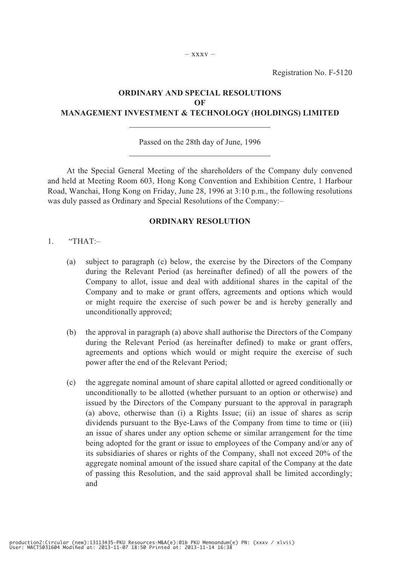## **ORDINARY AND SPECIAL RESOLUTIONS OF MANAGEMENT INVESTMENT & TECHNOLOGY (HOLDINGS) LIMITED**

#### Passed on the 28th day of June, 1996

At the Special General Meeting of the shareholders of the Company duly convened and held at Meeting Room 603, Hong Kong Convention and Exhibition Centre, 1 Harbour Road, Wanchai, Hong Kong on Friday, June 28, 1996 at 3:10 p.m., the following resolutions was duly passed as Ordinary and Special Resolutions of the Company:–

#### **ORDINARY RESOLUTION**

- 1. "THAT:–
	- (a) subject to paragraph (c) below, the exercise by the Directors of the Company during the Relevant Period (as hereinafter defined) of all the powers of the Company to allot, issue and deal with additional shares in the capital of the Company and to make or grant offers, agreements and options which would or might require the exercise of such power be and is hereby generally and unconditionally approved;
	- (b) the approval in paragraph (a) above shall authorise the Directors of the Company during the Relevant Period (as hereinafter defined) to make or grant offers, agreements and options which would or might require the exercise of such power after the end of the Relevant Period;
	- (c) the aggregate nominal amount of share capital allotted or agreed conditionally or unconditionally to be allotted (whether pursuant to an option or otherwise) and issued by the Directors of the Company pursuant to the approval in paragraph (a) above, otherwise than (i) a Rights Issue; (ii) an issue of shares as scrip dividends pursuant to the Bye-Laws of the Company from time to time or (iii) an issue of shares under any option scheme or similar arrangement for the time being adopted for the grant or issue to employees of the Company and/or any of its subsidiaries of shares or rights of the Company, shall not exceed 20% of the aggregate nominal amount of the issued share capital of the Company at the date of passing this Resolution, and the said approval shall be limited accordingly; and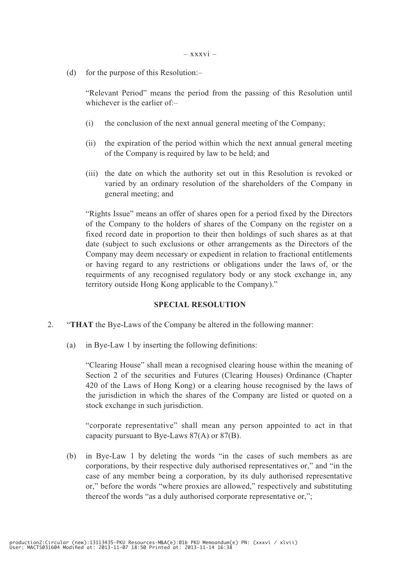(d) for the purpose of this Resolution:–

"Relevant Period" means the period from the passing of this Resolution until whichever is the earlier of $-$ 

- (i) the conclusion of the next annual general meeting of the Company;
- (ii) the expiration of the period within which the next annual general meeting of the Company is required by law to be held; and
- (iii) the date on which the authority set out in this Resolution is revoked or varied by an ordinary resolution of the shareholders of the Company in general meeting; and

"Rights Issue" means an offer of shares open for a period fixed by the Directors of the Company to the holders of shares of the Company on the register on a fixed record date in proportion to their then holdings of such shares as at that date (subject to such exclusions or other arrangements as the Directors of the Company may deem necessary or expedient in relation to fractional entitlements or having regard to any restrictions or obligations under the laws of, or the requirments of any recognised regulatory body or any stock exchange in, any territory outside Hong Kong applicable to the Company)."

# **SPECIAL RESOLUTION**

- 2. "**THAT** the Bye-Laws of the Company be altered in the following manner:
	- (a) in Bye-Law 1 by inserting the following definitions:

"Clearing House" shall mean a recognised clearing house within the meaning of Section 2 of the securities and Futures (Clearing Houses) Ordinance (Chapter 420 of the Laws of Hong Kong) or a clearing house recognised by the laws of the jurisdiction in which the shares of the Company are listed or quoted on a stock exchange in such jurisdiction.

"corporate representative" shall mean any person appointed to act in that capacity pursuant to Bye-Laws 87(A) or 87(B).

(b) in Bye-Law 1 by deleting the words "in the cases of such members as are corporations, by their respective duly authorised representatives or," and "in the case of any member being a corporation, by its duly authorised representative or," before the words "where proxies are allowed," respectively and substituting thereof the words "as a duly authorised corporate representative or,";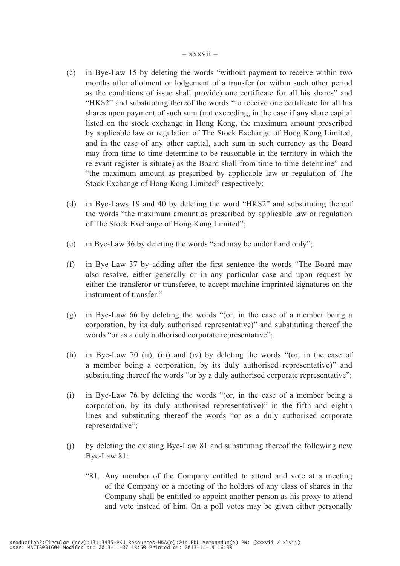- (c) in Bye-Law 15 by deleting the words "without payment to receive within two months after allotment or lodgement of a transfer (or within such other period as the conditions of issue shall provide) one certificate for all his shares" and "HK\$2" and substituting thereof the words "to receive one certificate for all his shares upon payment of such sum (not exceeding, in the case if any share capital listed on the stock exchange in Hong Kong, the maximum amount prescribed by applicable law or regulation of The Stock Exchange of Hong Kong Limited, and in the case of any other capital, such sum in such currency as the Board may from time to time determine to be reasonable in the territory in which the relevant register is situate) as the Board shall from time to time determine" and "the maximum amount as prescribed by applicable law or regulation of The Stock Exchange of Hong Kong Limited" respectively;
- (d) in Bye-Laws 19 and 40 by deleting the word "HK\$2" and substituting thereof the words "the maximum amount as prescribed by applicable law or regulation of The Stock Exchange of Hong Kong Limited";
- (e) in Bye-Law 36 by deleting the words "and may be under hand only";
- (f) in Bye-Law 37 by adding after the first sentence the words "The Board may also resolve, either generally or in any particular case and upon request by either the transferor or transferee, to accept machine imprinted signatures on the instrument of transfer."
- (g) in Bye-Law 66 by deleting the words "(or, in the case of a member being a corporation, by its duly authorised representative)" and substituting thereof the words "or as a duly authorised corporate representative";
- (h) in Bye-Law 70 (ii), (iii) and (iv) by deleting the words "(or, in the case of a member being a corporation, by its duly authorised representative)" and substituting thereof the words "or by a duly authorised corporate representative";
- (i) in Bye-Law 76 by deleting the words "(or, in the case of a member being a corporation, by its duly authorised representative)" in the fifth and eighth lines and substituting thereof the words "or as a duly authorised corporate representative";
- (j) by deleting the existing Bye-Law 81 and substituting thereof the following new Bye-Law 81:
	- "81. Any member of the Company entitled to attend and vote at a meeting of the Company or a meeting of the holders of any class of shares in the Company shall be entitled to appoint another person as his proxy to attend and vote instead of him. On a poll votes may be given either personally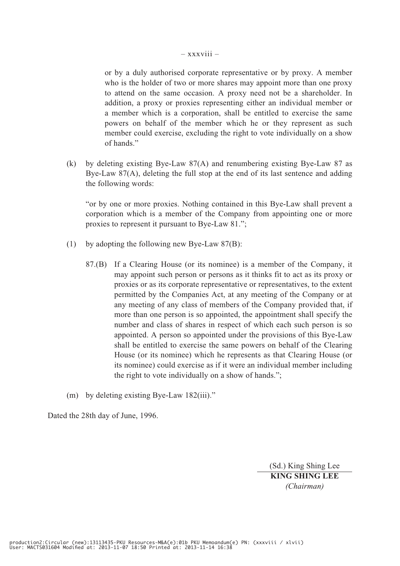### $-$  xxxviii  $-$

or by a duly authorised corporate representative or by proxy. A member who is the holder of two or more shares may appoint more than one proxy to attend on the same occasion. A proxy need not be a shareholder. In addition, a proxy or proxies representing either an individual member or a member which is a corporation, shall be entitled to exercise the same powers on behalf of the member which he or they represent as such member could exercise, excluding the right to vote individually on a show of hands."

(k) by deleting existing Bye-Law 87(A) and renumbering existing Bye-Law 87 as Bye-Law 87(A), deleting the full stop at the end of its last sentence and adding the following words:

"or by one or more proxies. Nothing contained in this Bye-Law shall prevent a corporation which is a member of the Company from appointing one or more proxies to represent it pursuant to Bye-Law 81.";

- (1) by adopting the following new Bye-Law 87(B):
	- 87.(B) If a Clearing House (or its nominee) is a member of the Company, it may appoint such person or persons as it thinks fit to act as its proxy or proxies or as its corporate representative or representatives, to the extent permitted by the Companies Act, at any meeting of the Company or at any meeting of any class of members of the Company provided that, if more than one person is so appointed, the appointment shall specify the number and class of shares in respect of which each such person is so appointed. A person so appointed under the provisions of this Bye-Law shall be entitled to exercise the same powers on behalf of the Clearing House (or its nominee) which he represents as that Clearing House (or its nominee) could exercise as if it were an individual member including the right to vote individually on a show of hands.";
- (m) by deleting existing Bye-Law 182(iii)."

Dated the 28th day of June, 1996.

(Sd.) King Shing Lee **KING SHING LEE** *(Chairman)*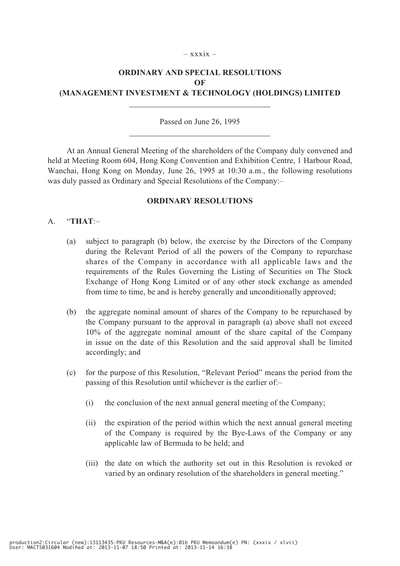### $-$  xxxix  $-$

# **ORDINARY AND SPECIAL RESOLUTIONS OF (MANAGEMENT INVESTMENT & TECHNOLOGY (HOLDINGS) LIMITED**

# Passed on June 26, 1995

At an Annual General Meeting of the shareholders of the Company duly convened and held at Meeting Room 604, Hong Kong Convention and Exhibition Centre, 1 Harbour Road, Wanchai, Hong Kong on Monday, June 26, 1995 at 10:30 a.m., the following resolutions was duly passed as Ordinary and Special Resolutions of the Company:–

### **ORDINARY RESOLUTIONS**

# A. "**THAT**:–

- (a) subject to paragraph (b) below, the exercise by the Directors of the Company during the Relevant Period of all the powers of the Company to repurchase shares of the Company in accordance with all applicable laws and the requirements of the Rules Governing the Listing of Securities on The Stock Exchange of Hong Kong Limited or of any other stock exchange as amended from time to time, be and is hereby generally and unconditionally approved;
- (b) the aggregate nominal amount of shares of the Company to be repurchased by the Company pursuant to the approval in paragraph (a) above shall not exceed 10% of the aggregate nominal amount of the share capital of the Company in issue on the date of this Resolution and the said approval shall be limited accordingly; and
- (c) for the purpose of this Resolution, "Relevant Period" means the period from the passing of this Resolution until whichever is the earlier of:–
	- (i) the conclusion of the next annual general meeting of the Company;
	- (ii) the expiration of the period within which the next annual general meeting of the Company is required by the Bye-Laws of the Company or any applicable law of Bermuda to be held; and
	- (iii) the date on which the authority set out in this Resolution is revoked or varied by an ordinary resolution of the shareholders in general meeting."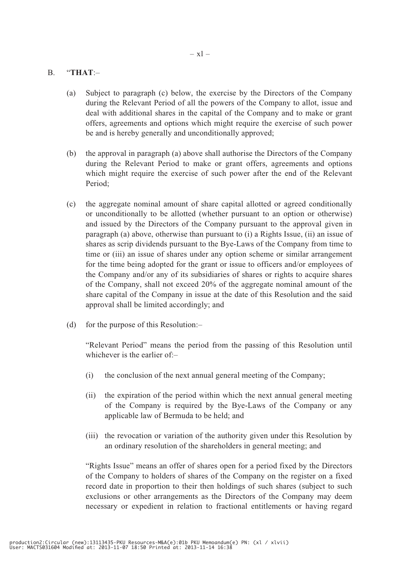# B. "**THAT**:–

- (a) Subject to paragraph (c) below, the exercise by the Directors of the Company during the Relevant Period of all the powers of the Company to allot, issue and deal with additional shares in the capital of the Company and to make or grant offers, agreements and options which might require the exercise of such power be and is hereby generally and unconditionally approved;
- (b) the approval in paragraph (a) above shall authorise the Directors of the Company during the Relevant Period to make or grant offers, agreements and options which might require the exercise of such power after the end of the Relevant Period;
- (c) the aggregate nominal amount of share capital allotted or agreed conditionally or unconditionally to be allotted (whether pursuant to an option or otherwise) and issued by the Directors of the Company pursuant to the approval given in paragraph (a) above, otherwise than pursuant to (i) a Rights Issue, (ii) an issue of shares as scrip dividends pursuant to the Bye-Laws of the Company from time to time or (iii) an issue of shares under any option scheme or similar arrangement for the time being adopted for the grant or issue to officers and/or employees of the Company and/or any of its subsidiaries of shares or rights to acquire shares of the Company, shall not exceed 20% of the aggregate nominal amount of the share capital of the Company in issue at the date of this Resolution and the said approval shall be limited accordingly; and
- (d) for the purpose of this Resolution:–

"Relevant Period" means the period from the passing of this Resolution until whichever is the earlier of:–

- (i) the conclusion of the next annual general meeting of the Company;
- (ii) the expiration of the period within which the next annual general meeting of the Company is required by the Bye-Laws of the Company or any applicable law of Bermuda to be held; and
- (iii) the revocation or variation of the authority given under this Resolution by an ordinary resolution of the shareholders in general meeting; and

"Rights Issue" means an offer of shares open for a period fixed by the Directors of the Company to holders of shares of the Company on the register on a fixed record date in proportion to their then holdings of such shares (subject to such exclusions or other arrangements as the Directors of the Company may deem necessary or expedient in relation to fractional entitlements or having regard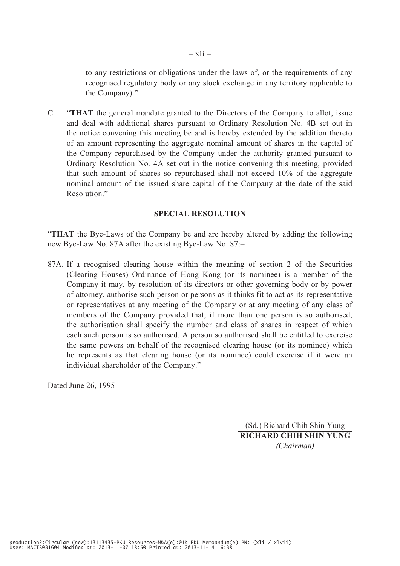to any restrictions or obligations under the laws of, or the requirements of any recognised regulatory body or any stock exchange in any territory applicable to the Company)."

C. "**THAT** the general mandate granted to the Directors of the Company to allot, issue and deal with additional shares pursuant to Ordinary Resolution No. 4B set out in the notice convening this meeting be and is hereby extended by the addition thereto of an amount representing the aggregate nominal amount of shares in the capital of the Company repurchased by the Company under the authority granted pursuant to Ordinary Resolution No. 4A set out in the notice convening this meeting, provided that such amount of shares so repurchased shall not exceed 10% of the aggregate nominal amount of the issued share capital of the Company at the date of the said Resolution."

# **SPECIAL RESOLUTION**

"**THAT** the Bye-Laws of the Company be and are hereby altered by adding the following new Bye-Law No. 87A after the existing Bye-Law No. 87:–

87A. If a recognised clearing house within the meaning of section 2 of the Securities (Clearing Houses) Ordinance of Hong Kong (or its nominee) is a member of the Company it may, by resolution of its directors or other governing body or by power of attorney, authorise such person or persons as it thinks fit to act as its representative or representatives at any meeting of the Company or at any meeting of any class of members of the Company provided that, if more than one person is so authorised, the authorisation shall specify the number and class of shares in respect of which each such person is so authorised. A person so authorised shall be entitled to exercise the same powers on behalf of the recognised clearing house (or its nominee) which he represents as that clearing house (or its nominee) could exercise if it were an individual shareholder of the Company."

Dated June 26, 1995

(Sd.) Richard Chih Shin Yung **RICHARD CHIH SHIN YUNG** *(Chairman)*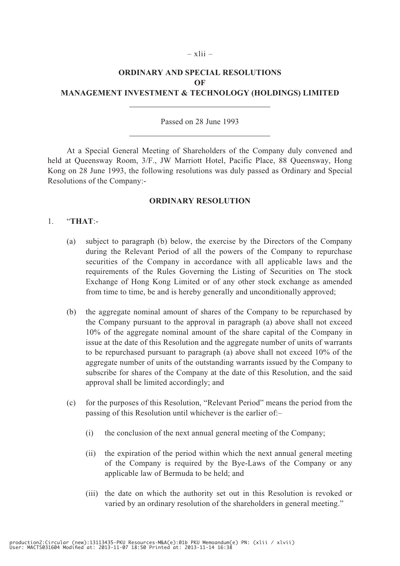### – xlii –

# **ORDINARY AND SPECIAL RESOLUTIONS OF MANAGEMENT INVESTMENT & TECHNOLOGY (HOLDINGS) LIMITED**

# Passed on 28 June 1993

At a Special General Meeting of Shareholders of the Company duly convened and held at Queensway Room, 3/F., JW Marriott Hotel, Pacific Place, 88 Queensway, Hong Kong on 28 June 1993, the following resolutions was duly passed as Ordinary and Special Resolutions of the Company:-

### **ORDINARY RESOLUTION**

# 1. "**THAT**:-

- (a) subject to paragraph (b) below, the exercise by the Directors of the Company during the Relevant Period of all the powers of the Company to repurchase securities of the Company in accordance with all applicable laws and the requirements of the Rules Governing the Listing of Securities on The stock Exchange of Hong Kong Limited or of any other stock exchange as amended from time to time, be and is hereby generally and unconditionally approved;
- (b) the aggregate nominal amount of shares of the Company to be repurchased by the Company pursuant to the approval in paragraph (a) above shall not exceed 10% of the aggregate nominal amount of the share capital of the Company in issue at the date of this Resolution and the aggregate number of units of warrants to be repurchased pursuant to paragraph (a) above shall not exceed 10% of the aggregate number of units of the outstanding warrants issued by the Company to subscribe for shares of the Company at the date of this Resolution, and the said approval shall be limited accordingly; and
- (c) for the purposes of this Resolution, "Relevant Period" means the period from the passing of this Resolution until whichever is the earlier of:–
	- (i) the conclusion of the next annual general meeting of the Company;
	- (ii) the expiration of the period within which the next annual general meeting of the Company is required by the Bye-Laws of the Company or any applicable law of Bermuda to be held; and
	- (iii) the date on which the authority set out in this Resolution is revoked or varied by an ordinary resolution of the shareholders in general meeting."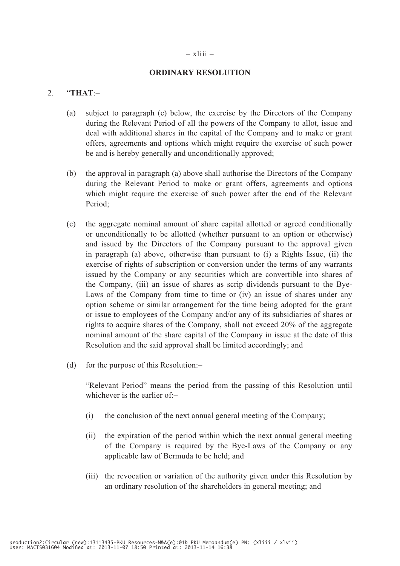# – xliii –

# **ORDINARY RESOLUTION**

# 2. "**THAT**:–

- (a) subject to paragraph (c) below, the exercise by the Directors of the Company during the Relevant Period of all the powers of the Company to allot, issue and deal with additional shares in the capital of the Company and to make or grant offers, agreements and options which might require the exercise of such power be and is hereby generally and unconditionally approved;
- (b) the approval in paragraph (a) above shall authorise the Directors of the Company during the Relevant Period to make or grant offers, agreements and options which might require the exercise of such power after the end of the Relevant Period;
- (c) the aggregate nominal amount of share capital allotted or agreed conditionally or unconditionally to be allotted (whether pursuant to an option or otherwise) and issued by the Directors of the Company pursuant to the approval given in paragraph (a) above, otherwise than pursuant to (i) a Rights Issue, (ii) the exercise of rights of subscription or conversion under the terms of any warrants issued by the Company or any securities which are convertible into shares of the Company, (iii) an issue of shares as scrip dividends pursuant to the Bye-Laws of the Company from time to time or (iv) an issue of shares under any option scheme or similar arrangement for the time being adopted for the grant or issue to employees of the Company and/or any of its subsidiaries of shares or rights to acquire shares of the Company, shall not exceed 20% of the aggregate nominal amount of the share capital of the Company in issue at the date of this Resolution and the said approval shall be limited accordingly; and
- (d) for the purpose of this Resolution:–

"Relevant Period" means the period from the passing of this Resolution until whichever is the earlier of:-

- (i) the conclusion of the next annual general meeting of the Company;
- (ii) the expiration of the period within which the next annual general meeting of the Company is required by the Bye-Laws of the Company or any applicable law of Bermuda to be held; and
- (iii) the revocation or variation of the authority given under this Resolution by an ordinary resolution of the shareholders in general meeting; and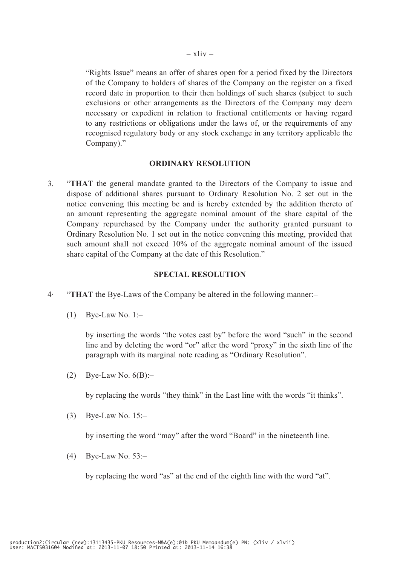"Rights Issue" means an offer of shares open for a period fixed by the Directors of the Company to holders of shares of the Company on the register on a fixed record date in proportion to their then holdings of such shares (subject to such exclusions or other arrangements as the Directors of the Company may deem necessary or expedient in relation to fractional entitlements or having regard to any restrictions or obligations under the laws of, or the requirements of any recognised regulatory body or any stock exchange in any territory applicable the Company)."

# **ORDINARY RESOLUTION**

3. "**THAT** the general mandate granted to the Directors of the Company to issue and dispose of additional shares pursuant to Ordinary Resolution No. 2 set out in the notice convening this meeting be and is hereby extended by the addition thereto of an amount representing the aggregate nominal amount of the share capital of the Company repurchased by the Company under the authority granted pursuant to Ordinary Resolution No. 1 set out in the notice convening this meeting, provided that such amount shall not exceed 10% of the aggregate nominal amount of the issued share capital of the Company at the date of this Resolution."

# **SPECIAL RESOLUTION**

- 4· "**THAT** the Bye-Laws of the Company be altered in the following manner:–
	- $(1)$  Bye-Law No. 1:-

by inserting the words "the votes cast by" before the word "such" in the second line and by deleting the word "or" after the word "proxy" in the sixth line of the paragraph with its marginal note reading as "Ordinary Resolution".

(2) Bye-Law No.  $6(B)$ :-

by replacing the words "they think" in the Last line with the words "it thinks".

(3) Bye-Law No. 15:–

by inserting the word "may" after the word "Board" in the nineteenth line.

(4) Bye-Law No. 53:–

by replacing the word "as" at the end of the eighth line with the word "at".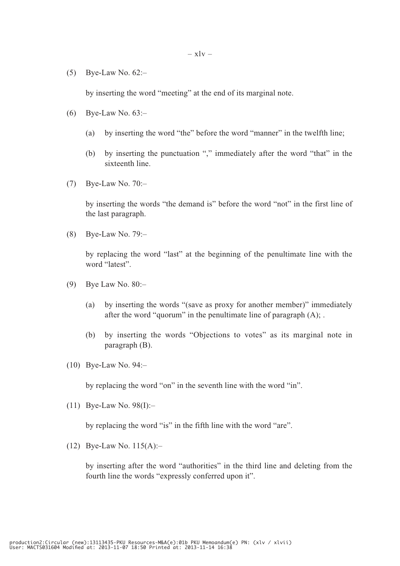$(5)$  Bye-Law No.  $62$ :-

by inserting the word "meeting" at the end of its marginal note.

- (6) Bye-Law No. 63:–
	- (a) by inserting the word "the" before the word "manner" in the twelfth line;
	- (b) by inserting the punctuation "," immediately after the word "that" in the sixteenth line.
- (7) Bye-Law No. 70:–

by inserting the words "the demand is" before the word "not" in the first line of the last paragraph.

(8) Bye-Law No. 79:–

by replacing the word "last" at the beginning of the penultimate line with the word "latest".

- (9) Bye Law No. 80:–
	- (a) by inserting the words "(save as proxy for another member)" immediately after the word "quorum" in the penultimate line of paragraph (A); .
	- (b) by inserting the words "Objections to votes" as its marginal note in paragraph (B).
- (10) Bye-Law No. 94:–

by replacing the word "on" in the seventh line with the word "in".

(11) Bye-Law No. 98(I):–

by replacing the word "is" in the fifth line with the word "are".

(12) Bye-Law No. 115(A):–

by inserting after the word "authorities" in the third line and deleting from the fourth line the words "expressly conferred upon it".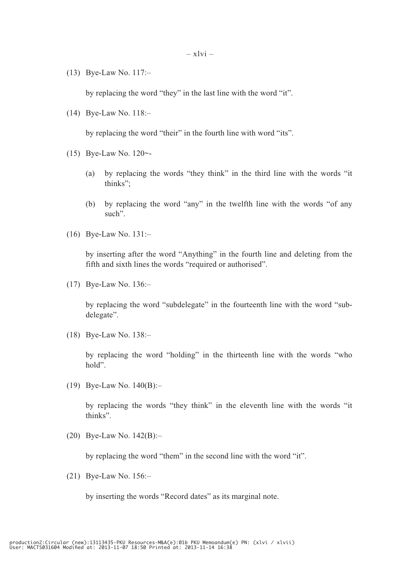(13) Bye-Law No. 117:–

by replacing the word "they" in the last line with the word "it".

(14) Bye-Law No. 118:–

by replacing the word "their" in the fourth line with word "its".

- (15) Bye-Law No. 120~-
	- (a) by replacing the words "they think" in the third line with the words "it thinks";
	- (b) by replacing the word "any" in the twelfth line with the words "of any such".
- (16) Bye-Law No. 131:–

by inserting after the word "Anything" in the fourth line and deleting from the fifth and sixth lines the words "required or authorised".

(17) Bye-Law No. 136:–

by replacing the word "subdelegate" in the fourteenth line with the word "subdelegate".

(18) Bye-Law No. 138:–

 by replacing the word "holding" in the thirteenth line with the words "who hold".

(19) Bye-Law No. 140(B):–

by replacing the words "they think" in the eleventh line with the words "it thinks".

(20) Bye-Law No. 142(B):–

by replacing the word "them" in the second line with the word "it".

(21) Bye-Law No. 156:–

by inserting the words "Record dates" as its marginal note.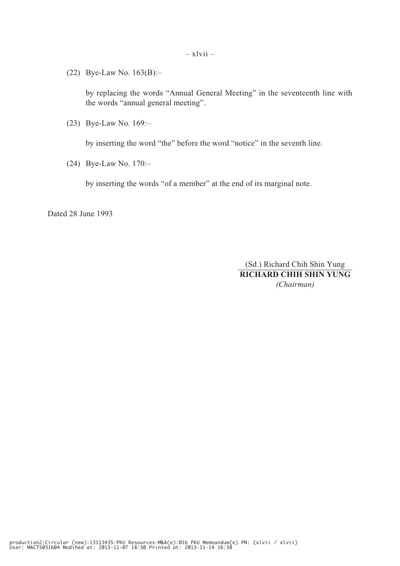(22) Bye-Law No. 163(B):–

by replacing the words "Annual General Meeting" in the seventeenth line with the words "annual general meeting".

(23) Bye-Law No. 169:–

by inserting the word "the" before the word "notice" in the seventh line.

(24) Bye-Law No. 170:–

by inserting the words "of a member" at the end of its marginal note.

Dated 28 June 1993

(Sd.) Richard Chih Shin Yung **RICHARD CHIH SHIN YUNG** *(Chairman)*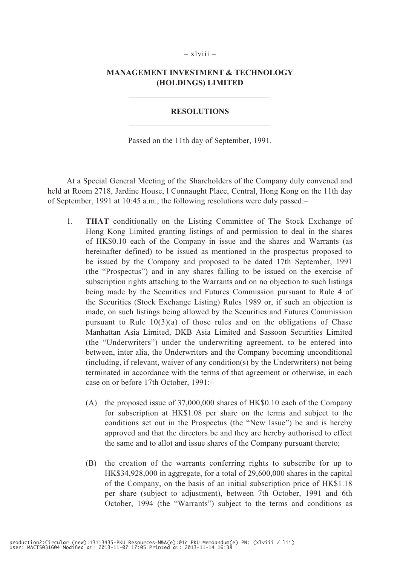# – xlviii –

# **MANAGEMENT INVESTMENT & TECHNOLOGY (HOLDINGS) LIMITED**

# **RESOLUTIONS**

Passed on the 11th day of September, 1991.

At a Special General Meeting of the Shareholders of the Company duly convened and held at Room 2718, Jardine House, 1 Connaught Place, Central, Hong Kong on the 11th day of September, 1991 at 10:45 a.m., the following resolutions were duly passed:–

- 1. **THAT** conditionally on the Listing Committee of The Stock Exchange of Hong Kong Limited granting listings of and permission to deal in the shares of HK\$0.10 each of the Company in issue and the shares and Warrants (as hereinafter defined) to be issued as mentioned in the prospectus proposed to be issued by the Company and proposed to be dated 17th September, 1991 (the "Prospectus") and in any shares falling to be issued on the exercise of subscription rights attaching to the Warrants and on no objection to such listings being made by the Securities and Futures Commission pursuant to Rule 4 of the Securities (Stock Exchange Listing) Rules 1989 or, if such an objection is made, on such listings being allowed by the Securities and Futures Commission pursuant to Rule 10(3)(a) of those rules and on the obligations of Chase Manhattan Asia Limited, DKB Asia Limited and Sassoon Securities Limited (the "Underwriters") under the underwriting agreement, to be entered into between, inter alia, the Underwriters and the Company becoming unconditional (including, if relevant, waiver of any condition(s) by the Underwriters) not being terminated in accordance with the terms of that agreement or otherwise, in each case on or before 17th October, 1991:–
	- (A) the proposed issue of 37,000,000 shares of HK\$0.10 each of the Company for subscription at HK\$1.08 per share on the terms and subject to the conditions set out in the Prospectus (the "New Issue") be and is hereby approved and that the directors be and they are hereby authorised to effect the same and to allot and issue shares of the Company pursuant thereto;
	- (B) the creation of the warrants conferring rights to subscribe for up to HK\$34,928,000 in aggregate, for a total of 29,600,000 shares in the capital of the Company, on the basis of an initial subscription price of HK\$1.18 per share (subject to adjustment), between 7th October, 1991 and 6th October, 1994 (the "Warrants") subject to the terms and conditions as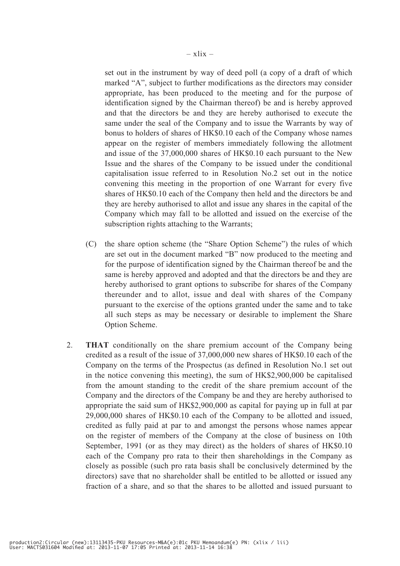set out in the instrument by way of deed poll (a copy of a draft of which marked "A", subject to further modifications as the directors may consider appropriate, has been produced to the meeting and for the purpose of identification signed by the Chairman thereof) be and is hereby approved and that the directors be and they are hereby authorised to execute the same under the seal of the Company and to issue the Warrants by way of bonus to holders of shares of HK\$0.10 each of the Company whose names appear on the register of members immediately following the allotment and issue of the 37,000,000 shares of HK\$0.10 each pursuant to the New Issue and the shares of the Company to be issued under the conditional capitalisation issue referred to in Resolution No.2 set out in the notice convening this meeting in the proportion of one Warrant for every five shares of HK\$0.10 each of the Company then held and the directors be and they are hereby authorised to allot and issue any shares in the capital of the Company which may fall to be allotted and issued on the exercise of the subscription rights attaching to the Warrants;

- (C) the share option scheme (the "Share Option Scheme") the rules of which are set out in the document marked "B" now produced to the meeting and for the purpose of identification signed by the Chairman thereof be and the same is hereby approved and adopted and that the directors be and they are hereby authorised to grant options to subscribe for shares of the Company thereunder and to allot, issue and deal with shares of the Company pursuant to the exercise of the options granted under the same and to take all such steps as may be necessary or desirable to implement the Share Option Scheme.
- 2. **THAT** conditionally on the share premium account of the Company being credited as a result of the issue of 37,000,000 new shares of HK\$0.10 each of the Company on the terms of the Prospectus (as defined in Resolution No.1 set out in the notice convening this meeting), the sum of HK\$2,900,000 be capitalised from the amount standing to the credit of the share premium account of the Company and the directors of the Company be and they are hereby authorised to appropriate the said sum of HK\$2,900,000 as capital for paying up in full at par 29,000,000 shares of HK\$0.10 each of the Company to be allotted and issued, credited as fully paid at par to and amongst the persons whose names appear on the register of members of the Company at the close of business on 10th September, 1991 (or as they may direct) as the holders of shares of HK\$0.10 each of the Company pro rata to their then shareholdings in the Company as closely as possible (such pro rata basis shall be conclusively determined by the directors) save that no shareholder shall be entitled to be allotted or issued any fraction of a share, and so that the shares to be allotted and issued pursuant to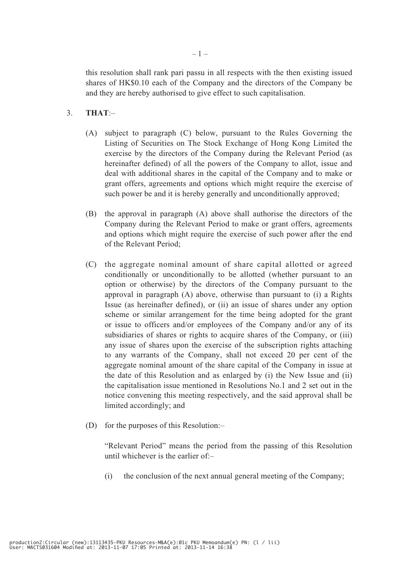this resolution shall rank pari passu in all respects with the then existing issued shares of HK\$0.10 each of the Company and the directors of the Company be and they are hereby authorised to give effect to such capitalisation.

# 3. **THAT**:–

- (A) subject to paragraph (C) below, pursuant to the Rules Governing the Listing of Securities on The Stock Exchange of Hong Kong Limited the exercise by the directors of the Company during the Relevant Period (as hereinafter defined) of all the powers of the Company to allot, issue and deal with additional shares in the capital of the Company and to make or grant offers, agreements and options which might require the exercise of such power be and it is hereby generally and unconditionally approved;
- (B) the approval in paragraph (A) above shall authorise the directors of the Company during the Relevant Period to make or grant offers, agreements and options which might require the exercise of such power after the end of the Relevant Period;
- (C) the aggregate nominal amount of share capital allotted or agreed conditionally or unconditionally to be allotted (whether pursuant to an option or otherwise) by the directors of the Company pursuant to the approval in paragraph (A) above, otherwise than pursuant to (i) a Rights Issue (as hereinafter defined), or (ii) an issue of shares under any option scheme or similar arrangement for the time being adopted for the grant or issue to officers and/or employees of the Company and/or any of its subsidiaries of shares or rights to acquire shares of the Company, or (iii) any issue of shares upon the exercise of the subscription rights attaching to any warrants of the Company, shall not exceed 20 per cent of the aggregate nominal amount of the share capital of the Company in issue at the date of this Resolution and as enlarged by (i) the New Issue and (ii) the capitalisation issue mentioned in Resolutions No.1 and 2 set out in the notice convening this meeting respectively, and the said approval shall be limited accordingly; and
- (D) for the purposes of this Resolution:–

"Relevant Period" means the period from the passing of this Resolution until whichever is the earlier of:–

(i) the conclusion of the next annual general meeting of the Company;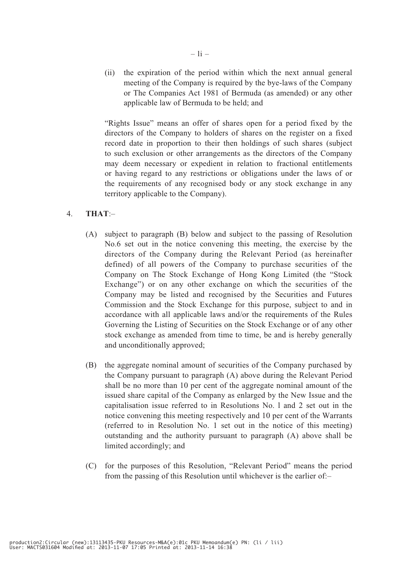(ii) the expiration of the period within which the next annual general meeting of the Company is required by the bye-laws of the Company or The Companies Act 1981 of Bermuda (as amended) or any other applicable law of Bermuda to be held; and

"Rights Issue" means an offer of shares open for a period fixed by the directors of the Company to holders of shares on the register on a fixed record date in proportion to their then holdings of such shares (subject to such exclusion or other arrangements as the directors of the Company may deem necessary or expedient in relation to fractional entitlements or having regard to any restrictions or obligations under the laws of or the requirements of any recognised body or any stock exchange in any territory applicable to the Company).

# 4. **THAT**:–

- (A) subject to paragraph (B) below and subject to the passing of Resolution No.6 set out in the notice convening this meeting, the exercise by the directors of the Company during the Relevant Period (as hereinafter defined) of all powers of the Company to purchase securities of the Company on The Stock Exchange of Hong Kong Limited (the "Stock Exchange") or on any other exchange on which the securities of the Company may be listed and recognised by the Securities and Futures Commission and the Stock Exchange for this purpose, subject to and in accordance with all applicable laws and/or the requirements of the Rules Governing the Listing of Securities on the Stock Exchange or of any other stock exchange as amended from time to time, be and is hereby generally and unconditionally approved;
- (B) the aggregate nominal amount of securities of the Company purchased by the Company pursuant to paragraph (A) above during the Relevant Period shall be no more than 10 per cent of the aggregate nominal amount of the issued share capital of the Company as enlarged by the New Issue and the capitalisation issue referred to in Resolutions No. l and 2 set out in the notice convening this meeting respectively and 10 per cent of the Warrants (referred to in Resolution No. 1 set out in the notice of this meeting) outstanding and the authority pursuant to paragraph (A) above shall be limited accordingly; and
- (C) for the purposes of this Resolution, "Relevant Period" means the period from the passing of this Resolution until whichever is the earlier of:–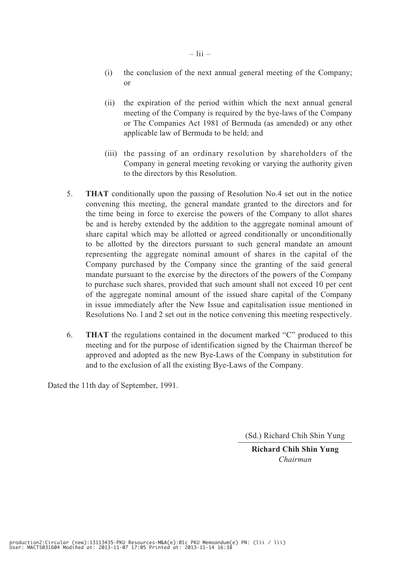- (i) the conclusion of the next annual general meeting of the Company; or
- (ii) the expiration of the period within which the next annual general meeting of the Company is required by the bye-laws of the Company or The Companies Act 1981 of Bermuda (as amended) or any other applicable law of Bermuda to be held; and
- (iii) the passing of an ordinary resolution by shareholders of the Company in general meeting revoking or varying the authority given to the directors by this Resolution.
- 5. **THAT** conditionally upon the passing of Resolution No.4 set out in the notice convening this meeting, the general mandate granted to the directors and for the time being in force to exercise the powers of the Company to allot shares be and is hereby extended by the addition to the aggregate nominal amount of share capital which may be allotted or agreed conditionally or unconditionally to be allotted by the directors pursuant to such general mandate an amount representing the aggregate nominal amount of shares in the capital of the Company purchased by the Company since the granting of the said general mandate pursuant to the exercise by the directors of the powers of the Company to purchase such shares, provided that such amount shall not exceed 10 per cent of the aggregate nominal amount of the issued share capital of the Company in issue immediately after the New Issue and capitalisation issue mentioned in Resolutions No. l and 2 set out in the notice convening this meeting respectively.
- 6. **THAT** the regulations contained in the document marked "C" produced to this meeting and for the purpose of identification signed by the Chairman thereof be approved and adopted as the new Bye-Laws of the Company in substitution for and to the exclusion of all the existing Bye-Laws of the Company.

Dated the 11th day of September, 1991.

(Sd.) Richard Chih Shin Yung

**Richard Chih Shin Yung** *Chairman*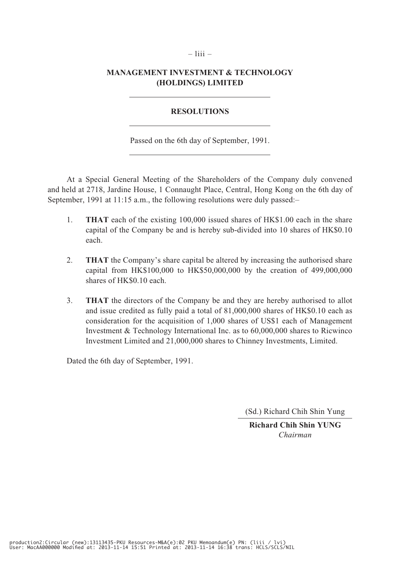# **MANAGEMENT INVESTMENT & TECHNOLOGY (HOLDINGS) LIMITED**

 $-$  liii  $-$ 

# **RESOLUTIONS**

Passed on the 6th day of September, 1991.

At a Special General Meeting of the Shareholders of the Company duly convened and held at 2718, Jardine House, 1 Connaught Place, Central, Hong Kong on the 6th day of September, 1991 at 11:15 a.m., the following resolutions were duly passed:–

- 1. **THAT** each of the existing 100,000 issued shares of HK\$1.00 each in the share capital of the Company be and is hereby sub-divided into 10 shares of HK\$0.10 each.
- 2. **THAT** the Company's share capital be altered by increasing the authorised share capital from HK\$100,000 to HK\$50,000,000 by the creation of 499,000,000 shares of HK\$0.10 each.
- 3. **THAT** the directors of the Company be and they are hereby authorised to allot and issue credited as fully paid a total of 81,000,000 shares of HK\$0.10 each as consideration for the acquisition of 1,000 shares of US\$1 each of Management Investment & Technology International Inc. as to 60,000,000 shares to Ricwinco Investment Limited and 21,000,000 shares to Chinney Investments, Limited.

Dated the 6th day of September, 1991.

(Sd.) Richard Chih Shin Yung

**Richard Chih Shin YUNG** *Chairman*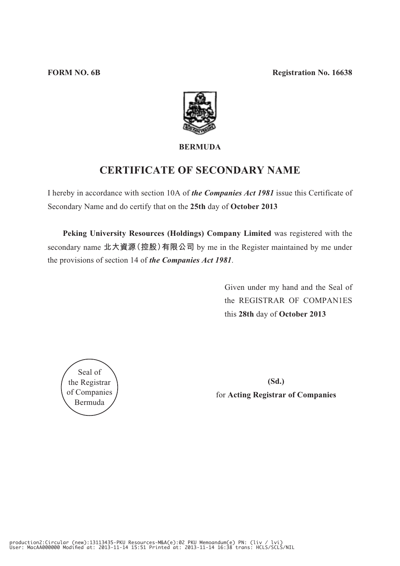

# **BERMUDA**

# **CERTIFICATE OF SECONDARY NAME**

I hereby in accordance with section 10A of *the Companies Act 1981* issue this Certificate of Secondary Name and do certify that on the **25th** day of **October 2013**

**Peking University Resources (Holdings) Company Limited** was registered with the secondary name **北大資源(控股)有限公司** by me in the Register maintained by me under the provisions of section 14 of *the Companies Act 1981*.

> Given under my hand and the Seal of the REGISTRAR OF COMPAN1ES this **28th** day of **October 2013**



**(Sd.)** for **Acting Registrar of Companies**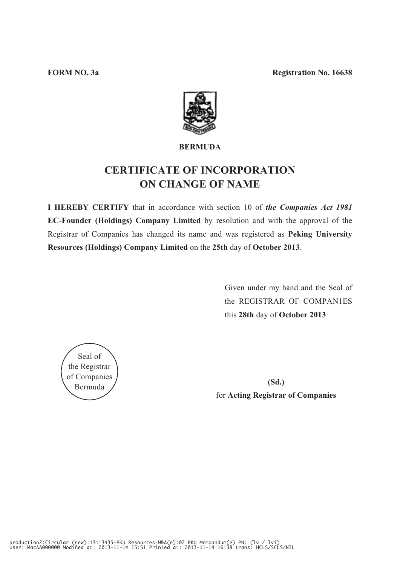

# **BERMUDA**

# **CERTIFICATE OF INCORPORATION ON CHANGE OF NAME**

**I HEREBY CERTIFY** that in accordance with section 10 of *the Companies Act 1981*  **EC-Founder (Holdings) Company Limited** by resolution and with the approval of the Registrar of Companies has changed its name and was registered as **Peking University Resources (Holdings) Company Limited** on the **25th** day of **October 2013**.

> Given under my hand and the Seal of the REGISTRAR OF COMPAN1ES this **28th** day of **October 2013**

Seal of the Registrar of Companies Bermuda

**(Sd.)** for **Acting Registrar of Companies**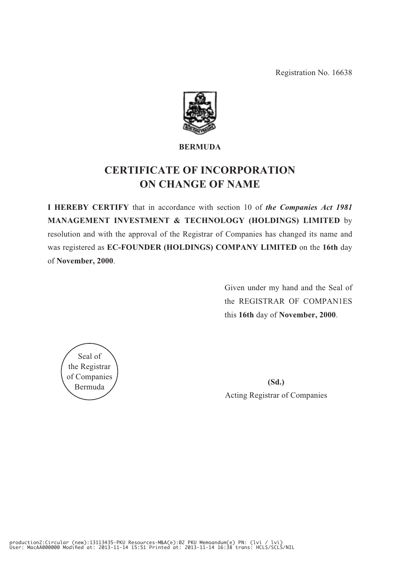Registration No. 16638



# **BERMUDA**

# **CERTIFICATE OF INCORPORATION ON CHANGE OF NAME**

**I HEREBY CERTIFY** that in accordance with section 10 of *the Companies Act 1981* **MANAGEMENT INVESTMENT & TECHNOLOGY (HOLDINGS) LIMITED** by resolution and with the approval of the Registrar of Companies has changed its name and was registered as **EC-FOUNDER (HOLDINGS) COMPANY LIMITED** on the **16th** day of **November, 2000**.

> Given under my hand and the Seal of the REGISTRAR OF COMPAN1ES this **16th** day of **November, 2000**.



**(Sd.)** Acting Registrar of Companies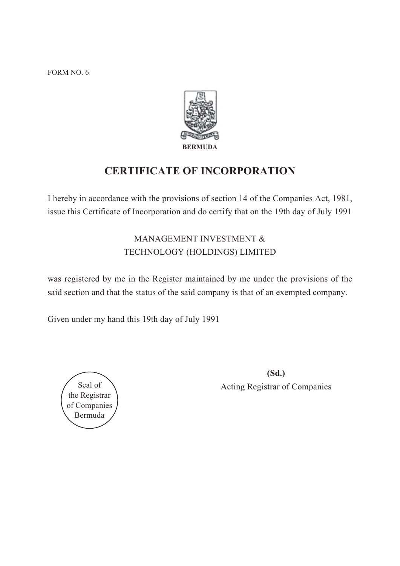FORM NO. 6



# **CERTIFICATE OF INCORPORATION**

I hereby in accordance with the provisions of section 14 of the Companies Act, 1981, issue this Certificate of Incorporation and do certify that on the 19th day of July 1991

# MANAGEMENT INVESTMENT & TECHNOLOGY (HOLDINGS) LIMITED

was registered by me in the Register maintained by me under the provisions of the said section and that the status of the said company is that of an exempted company.

Given under my hand this 19th day of July 1991



**(Sd.)** Seal of  $\setminus$  Acting Registrar of Companies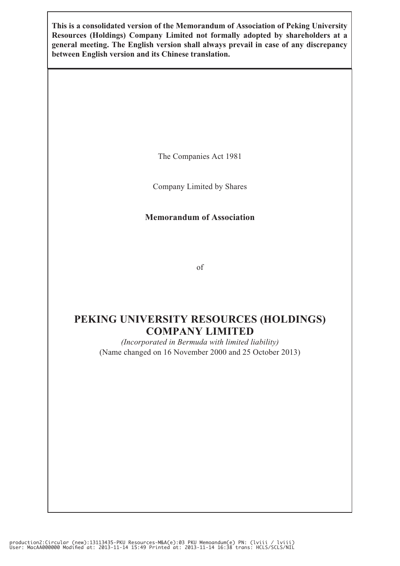**This is a consolidated version of the Memorandum of Association of Peking University Resources (Holdings) Company Limited not formally adopted by shareholders at a general meeting. The English version shall always prevail in case of any discrepancy between English version and its Chinese translation.**

The Companies Act 1981

Company Limited by Shares

# **Memorandum of Association**

of

# **PEKING UNIVERSITY RESOURCES (HOLDINGS) COMPANY LIMITED**

*(Incorporated in Bermuda with limited liability)* (Name changed on 16 November 2000 and 25 October 2013)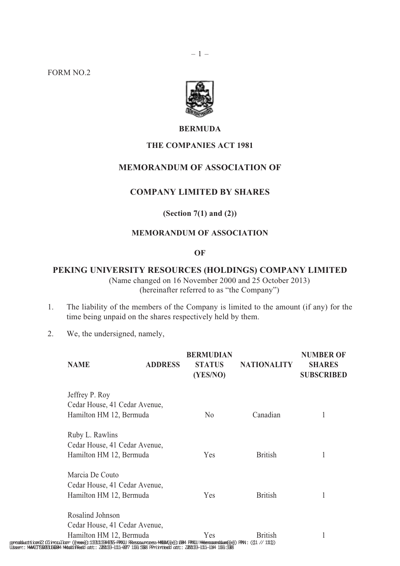FORM NO.2





### **BERMUDA**

# **THE COMPANIES ACT 1981**

# **MEMORANDUM OF ASSOCIATION OF**

# **COMPANY LIMITED BY SHARES**

# **(Section 7(1) and (2))**

# **MEMORANDUM OF ASSOCIATION**

**OF**

# **PEKING UNIVERSITY RESOURCES (HOLDINGS) COMPANY LIMITED**

(Name changed on 16 November 2000 and 25 October 2013) (hereinafter referred to as "the Company")

- 1. The liability of the members of the Company is limited to the amount (if any) for the time being unpaid on the shares respectively held by them.
- 2. We, the undersigned, namely,

| <b>NAME</b>                                                                                                                                                                                                                       | <b>ADDRESS</b>          | <b>BERMUDIAN</b><br><b>STATUS</b><br>(YES/NO) | <b>NATIONALITY</b> | <b>NUMBER OF</b><br><b>SHARES</b><br><b>SUBSCRIBED</b> |
|-----------------------------------------------------------------------------------------------------------------------------------------------------------------------------------------------------------------------------------|-------------------------|-----------------------------------------------|--------------------|--------------------------------------------------------|
| Jeffrey P. Roy                                                                                                                                                                                                                    |                         |                                               |                    |                                                        |
| Cedar House, 41 Cedar Avenue,                                                                                                                                                                                                     |                         |                                               |                    |                                                        |
|                                                                                                                                                                                                                                   | Hamilton HM 12, Bermuda |                                               | Canadian           | 1                                                      |
| Ruby L. Rawlins                                                                                                                                                                                                                   |                         |                                               |                    |                                                        |
| Cedar House, 41 Cedar Avenue,                                                                                                                                                                                                     |                         |                                               |                    |                                                        |
|                                                                                                                                                                                                                                   | Hamilton HM 12, Bermuda |                                               | <b>British</b>     | 1                                                      |
| Marcia De Couto                                                                                                                                                                                                                   |                         |                                               |                    |                                                        |
| Cedar House, 41 Cedar Avenue,                                                                                                                                                                                                     |                         |                                               |                    |                                                        |
| Hamilton HM 12, Bermuda                                                                                                                                                                                                           |                         | Yes                                           | <b>British</b>     | 1                                                      |
| Rosalind Johnson                                                                                                                                                                                                                  |                         |                                               |                    |                                                        |
| Cedar House, 41 Cedar Avenue,                                                                                                                                                                                                     |                         |                                               |                    |                                                        |
| Hamilton HM 12, Bermuda                                                                                                                                                                                                           |                         | Yes                                           | <b>British</b>     |                                                        |
| pprodducttiion22.0Gincau1.bar ((neew)); 1B3111B34835-FRKU RBessouncess-MA&A(@); 004 FRKU Meemoanndum(@)) FRN : ((11 // 1111))<br>Usserr.: MAAOTS083166044 Moddiffeed att: 2001B3-1111-007 1166 5588 FRnintteed att: 2001B3-1111-1 |                         |                                               |                    |                                                        |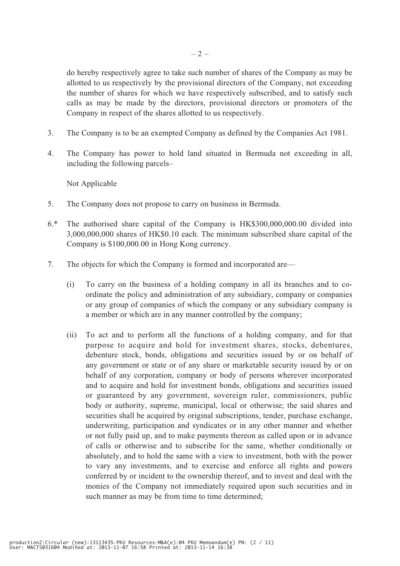do hereby respectively agree to take such number of shares of the Company as may be allotted to us respectively by the provisional directors of the Company, not exceeding the number of shares for which we have respectively subscribed, and to satisfy such calls as may be made by the directors, provisional directors or promoters of the Company in respect of the shares allotted to us respectively.

- 3. The Company is to be an exempted Company as defined by the Companies Act 1981.
- 4. The Company has power to hold land situated in Bermuda not exceeding in all, including the following parcels–

Not Applicable

- 5. The Company does not propose to carry on business in Bermuda.
- 6.\* The authorised share capital of the Company is HK\$300,000,000.00 divided into 3,000,000,000 shares of HK\$0.10 each. The minimum subscribed share capital of the Company is \$100,000.00 in Hong Kong currency.
- 7. The objects for which the Company is formed and incorporated are—
	- (i) To carry on the business of a holding company in all its branches and to coordinate the policy and administration of any subsidiary, company or companies or any group of companies of which the company or any subsidiary company is a member or which are in any manner controlled by the company;
	- (ii) To act and to perform all the functions of a holding company, and for that purpose to acquire and hold for investment shares, stocks, debentures, debenture stock, bonds, obligations and securities issued by or on behalf of any government or state or of any share or marketable security issued by or on behalf of any corporation, company or body of persons wherever incorporated and to acquire and hold for investment bonds, obligations and securities issued or guaranteed by any government, sovereign ruler, commissioners, public body or authority, supreme, municipal, local or otherwise; the said shares and securities shall be acquired by original subscriptions, tender, purchase exchange, underwriting, participation and syndicates or in any other manner and whether or not fully paid up, and to make payments thereon as called upon or in advance of calls or otherwise and to subscribe for the same, whether conditionally or absolutely, and to hold the same with a view to investment, both with the power to vary any investments, and to exercise and enforce all rights and powers conferred by or incident to the ownership thereof, and to invest and deal with the monies of the Company not immediately required upon such securities and in such manner as may be from time to time determined;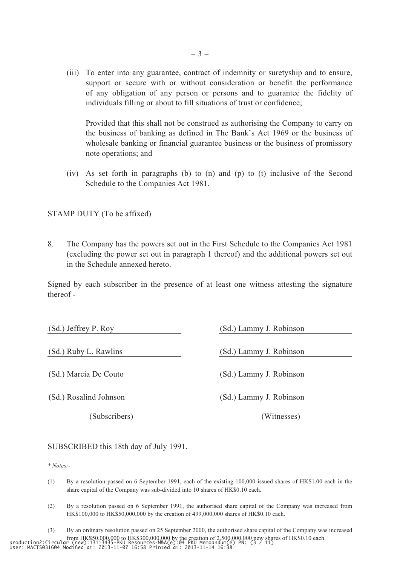(iii) To enter into any guarantee, contract of indemnity or suretyship and to ensure, support or secure with or without consideration or benefit the performance of any obligation of any person or persons and to guarantee the fidelity of individuals filling or about to fill situations of trust or confidence;

 Provided that this shall not be construed as authorising the Company to carry on the business of banking as defined in The Bank's Act 1969 or the business of wholesale banking or financial guarantee business or the business of promissory note operations; and

(iv) As set forth in paragraphs (b) to (n) and (p) to (t) inclusive of the Second Schedule to the Companies Act 1981.

STAMP DUTY (To be affixed)

8. The Company has the powers set out in the First Schedule to the Companies Act 1981 (excluding the power set out in paragraph 1 thereof) and the additional powers set out in the Schedule annexed hereto.

Signed by each subscriber in the presence of at least one witness attesting the signature thereof -

(Sd.) Jeffrey P. Roy (Sd.) Lammy J. Robinson (Sd.) Ruby L. Rawlins (Sd.) Lammy J. Robinson (Sd.) Marcia De Couto (Sd.) Lammy J. Robinson (Sd.) Rosalind Johnson (Sd.) Lammy J. Robinson

(Subscribers) (Witnesses)

SUBSCRIBED this 18th day of July 1991.

*\* Notes:-*

- (1) By a resolution passed on 6 September 1991, each of the existing 100,000 issued shares of HK\$1.00 each in the share capital of the Company was sub-divided into 10 shares of HK\$0.10 each.
- (2) By a resolution passed on 6 September 1991, the authorised share capital of the Company was increased from HK\$100,000 to HK\$50,000,000 by the creation of 499,000,000 shares of HK\$0.10 each.
- (3) By an ordinary resolution passed on 25 September 2000, the authorised share capital of the Company was increased from HK\$50,000,000 to HK\$300,000.000 by the creation of 2,500,000,000 new shares of HK\$0.10 each.<br>production2:Circular (new):13113435-PKU Resources-M&A(e):04 PKU Memoandum(e) PN: (3 / 11)<br>User: MACTS031604 Modified at: 201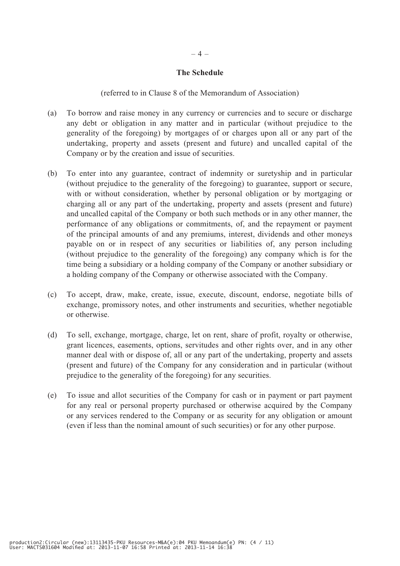### **The Schedule**

(referred to in Clause 8 of the Memorandum of Association)

- (a) To borrow and raise money in any currency or currencies and to secure or discharge any debt or obligation in any matter and in particular (without prejudice to the generality of the foregoing) by mortgages of or charges upon all or any part of the undertaking, property and assets (present and future) and uncalled capital of the Company or by the creation and issue of securities.
- (b) To enter into any guarantee, contract of indemnity or suretyship and in particular (without prejudice to the generality of the foregoing) to guarantee, support or secure, with or without consideration, whether by personal obligation or by mortgaging or charging all or any part of the undertaking, property and assets (present and future) and uncalled capital of the Company or both such methods or in any other manner, the performance of any obligations or commitments, of, and the repayment or payment of the principal amounts of and any premiums, interest, dividends and other moneys payable on or in respect of any securities or liabilities of, any person including (without prejudice to the generality of the foregoing) any company which is for the time being a subsidiary or a holding company of the Company or another subsidiary or a holding company of the Company or otherwise associated with the Company.
- (c) To accept, draw, make, create, issue, execute, discount, endorse, negotiate bills of exchange, promissory notes, and other instruments and securities, whether negotiable or otherwise.
- (d) To sell, exchange, mortgage, charge, let on rent, share of profit, royalty or otherwise, grant licences, easements, options, servitudes and other rights over, and in any other manner deal with or dispose of, all or any part of the undertaking, property and assets (present and future) of the Company for any consideration and in particular (without prejudice to the generality of the foregoing) for any securities.
- (e) To issue and allot securities of the Company for cash or in payment or part payment for any real or personal property purchased or otherwise acquired by the Company or any services rendered to the Company or as security for any obligation or amount (even if less than the nominal amount of such securities) or for any other purpose.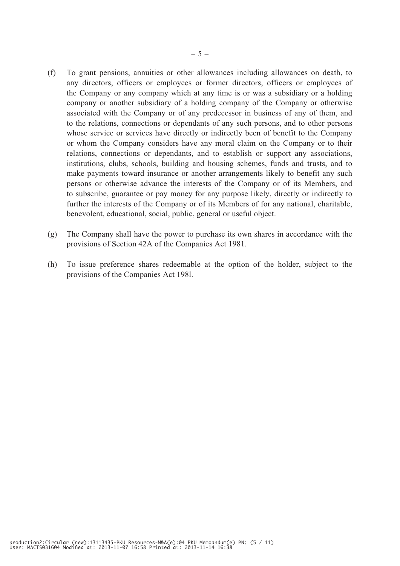- (f) To grant pensions, annuities or other allowances including allowances on death, to any directors, officers or employees or former directors, officers or employees of the Company or any company which at any time is or was a subsidiary or a holding company or another subsidiary of a holding company of the Company or otherwise associated with the Company or of any predecessor in business of any of them, and to the relations, connections or dependants of any such persons, and to other persons whose service or services have directly or indirectly been of benefit to the Company or whom the Company considers have any moral claim on the Company or to their relations, connections or dependants, and to establish or support any associations, institutions, clubs, schools, building and housing schemes, funds and trusts, and to make payments toward insurance or another arrangements likely to benefit any such persons or otherwise advance the interests of the Company or of its Members, and to subscribe, guarantee or pay money for any purpose likely, directly or indirectly to further the interests of the Company or of its Members of for any national, charitable, benevolent, educational, social, public, general or useful object.
- (g) The Company shall have the power to purchase its own shares in accordance with the provisions of Section 42A of the Companies Act 1981.
- (h) To issue preference shares redeemable at the option of the holder, subject to the provisions of the Companies Act 198l.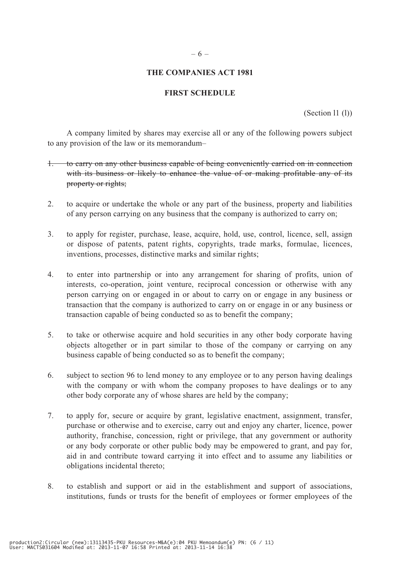### – 6 –

# **THE COMPANIES ACT 1981**

# **FIRST SCHEDULE**

(Section l1 (l))

A company limited by shares may exercise all or any of the following powers subject to any provision of the law or its memorandum–

- 1. to carry on any other business capable of being conveniently carried on in connection with its business or likely to enhance the value of or making profitable any of its property or rights;
- 2. to acquire or undertake the whole or any part of the business, property and liabilities of any person carrying on any business that the company is authorized to carry on;
- 3. to apply for register, purchase, lease, acquire, hold, use, control, licence, sell, assign or dispose of patents, patent rights, copyrights, trade marks, formulae, licences, inventions, processes, distinctive marks and similar rights;
- 4. to enter into partnership or into any arrangement for sharing of profits, union of interests, co-operation, joint venture, reciprocal concession or otherwise with any person carrying on or engaged in or about to carry on or engage in any business or transaction that the company is authorized to carry on or engage in or any business or transaction capable of being conducted so as to benefit the company;
- 5. to take or otherwise acquire and hold securities in any other body corporate having objects altogether or in part similar to those of the company or carrying on any business capable of being conducted so as to benefit the company;
- 6. subject to section 96 to lend money to any employee or to any person having dealings with the company or with whom the company proposes to have dealings or to any other body corporate any of whose shares are held by the company;
- 7. to apply for, secure or acquire by grant, legislative enactment, assignment, transfer, purchase or otherwise and to exercise, carry out and enjoy any charter, licence, power authority, franchise, concession, right or privilege, that any government or authority or any body corporate or other public body may be empowered to grant, and pay for, aid in and contribute toward carrying it into effect and to assume any liabilities or obligations incidental thereto;
- 8. to establish and support or aid in the establishment and support of associations, institutions, funds or trusts for the benefit of employees or former employees of the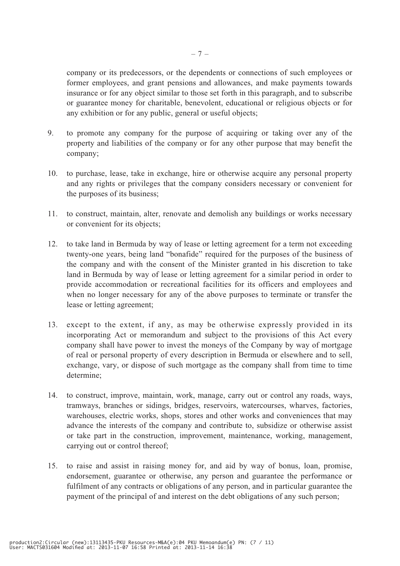company or its predecessors, or the dependents or connections of such employees or former employees, and grant pensions and allowances, and make payments towards insurance or for any object similar to those set forth in this paragraph, and to subscribe or guarantee money for charitable, benevolent, educational or religious objects or for any exhibition or for any public, general or useful objects;

- 9. to promote any company for the purpose of acquiring or taking over any of the property and liabilities of the company or for any other purpose that may benefit the company;
- 10. to purchase, lease, take in exchange, hire or otherwise acquire any personal property and any rights or privileges that the company considers necessary or convenient for the purposes of its business;
- 11. to construct, maintain, alter, renovate and demolish any buildings or works necessary or convenient for its objects;
- 12. to take land in Bermuda by way of lease or letting agreement for a term not exceeding twenty-one years, being land "bonafide" required for the purposes of the business of the company and with the consent of the Minister granted in his discretion to take land in Bermuda by way of lease or letting agreement for a similar period in order to provide accommodation or recreational facilities for its officers and employees and when no longer necessary for any of the above purposes to terminate or transfer the lease or letting agreement;
- 13. except to the extent, if any, as may be otherwise expressly provided in its incorporating Act or memorandum and subject to the provisions of this Act every company shall have power to invest the moneys of the Company by way of mortgage of real or personal property of every description in Bermuda or elsewhere and to sell, exchange, vary, or dispose of such mortgage as the company shall from time to time determine;
- 14. to construct, improve, maintain, work, manage, carry out or control any roads, ways, tramways, branches or sidings, bridges, reservoirs, watercourses, wharves, factories, warehouses, electric works, shops, stores and other works and conveniences that may advance the interests of the company and contribute to, subsidize or otherwise assist or take part in the construction, improvement, maintenance, working, management, carrying out or control thereof;
- 15. to raise and assist in raising money for, and aid by way of bonus, loan, promise, endorsement, guarantee or otherwise, any person and guarantee the performance or fulfilment of any contracts or obligations of any person, and in particular guarantee the payment of the principal of and interest on the debt obligations of any such person;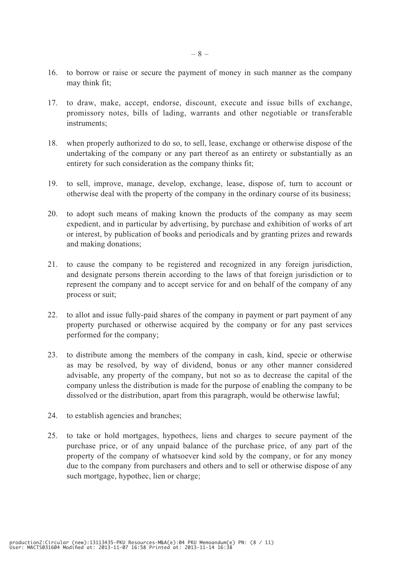- 16. to borrow or raise or secure the payment of money in such manner as the company may think fit;
- 17. to draw, make, accept, endorse, discount, execute and issue bills of exchange, promissory notes, bills of lading, warrants and other negotiable or transferable instruments;
- 18. when properly authorized to do so, to sell, lease, exchange or otherwise dispose of the undertaking of the company or any part thereof as an entirety or substantially as an entirety for such consideration as the company thinks fit;
- 19. to sell, improve, manage, develop, exchange, lease, dispose of, turn to account or otherwise deal with the property of the company in the ordinary course of its business;
- 20. to adopt such means of making known the products of the company as may seem expedient, and in particular by advertising, by purchase and exhibition of works of art or interest, by publication of books and periodicals and by granting prizes and rewards and making donations;
- 21. to cause the company to be registered and recognized in any foreign jurisdiction, and designate persons therein according to the laws of that foreign jurisdiction or to represent the company and to accept service for and on behalf of the company of any process or suit;
- 22. to allot and issue fully-paid shares of the company in payment or part payment of any property purchased or otherwise acquired by the company or for any past services performed for the company;
- 23. to distribute among the members of the company in cash, kind, specie or otherwise as may be resolved, by way of dividend, bonus or any other manner considered advisable, any property of the company, but not so as to decrease the capital of the company unless the distribution is made for the purpose of enabling the company to be dissolved or the distribution, apart from this paragraph, would be otherwise lawful;
- 24. to establish agencies and branches;
- 25. to take or hold mortgages, hypothecs, liens and charges to secure payment of the purchase price, or of any unpaid balance of the purchase price, of any part of the property of the company of whatsoever kind sold by the company, or for any money due to the company from purchasers and others and to sell or otherwise dispose of any such mortgage, hypothec, lien or charge;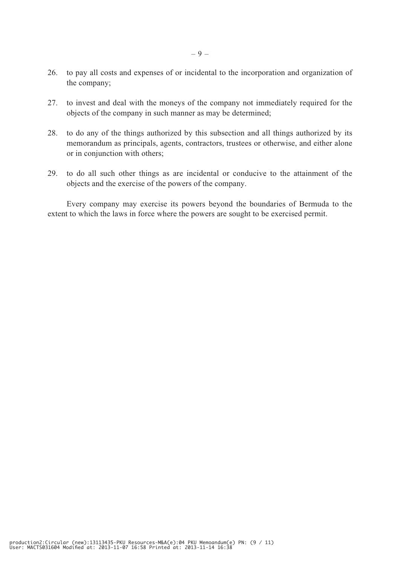- 26. to pay all costs and expenses of or incidental to the incorporation and organization of the company;
- 27. to invest and deal with the moneys of the company not immediately required for the objects of the company in such manner as may be determined;
- 28. to do any of the things authorized by this subsection and all things authorized by its memorandum as principals, agents, contractors, trustees or otherwise, and either alone or in conjunction with others;
- 29. to do all such other things as are incidental or conducive to the attainment of the objects and the exercise of the powers of the company.

Every company may exercise its powers beyond the boundaries of Bermuda to the extent to which the laws in force where the powers are sought to be exercised permit.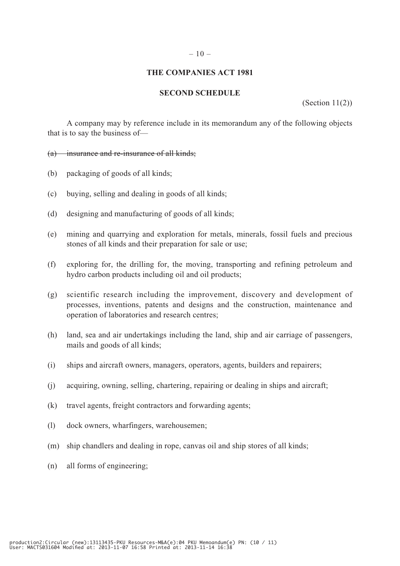#### $-10-$

### **THE COMPANIES ACT 1981**

# **SECOND SCHEDULE**

(Section 11(2))

A company may by reference include in its memorandum any of the following objects that is to say the business of—

(a) insurance and re-insurance of all kinds;

- (b) packaging of goods of all kinds;
- (c) buying, selling and dealing in goods of all kinds;
- (d) designing and manufacturing of goods of all kinds;
- (e) mining and quarrying and exploration for metals, minerals, fossil fuels and precious stones of all kinds and their preparation for sale or use;
- (f) exploring for, the drilling for, the moving, transporting and refining petroleum and hydro carbon products including oil and oil products;
- (g) scientific research including the improvement, discovery and development of processes, inventions, patents and designs and the construction, maintenance and operation of laboratories and research centres;
- (h) land, sea and air undertakings including the land, ship and air carriage of passengers, mails and goods of all kinds;
- (i) ships and aircraft owners, managers, operators, agents, builders and repairers;
- (j) acquiring, owning, selling, chartering, repairing or dealing in ships and aircraft;
- (k) travel agents, freight contractors and forwarding agents;
- (l) dock owners, wharfingers, warehousemen;
- (m) ship chandlers and dealing in rope, canvas oil and ship stores of all kinds;
- (n) all forms of engineering;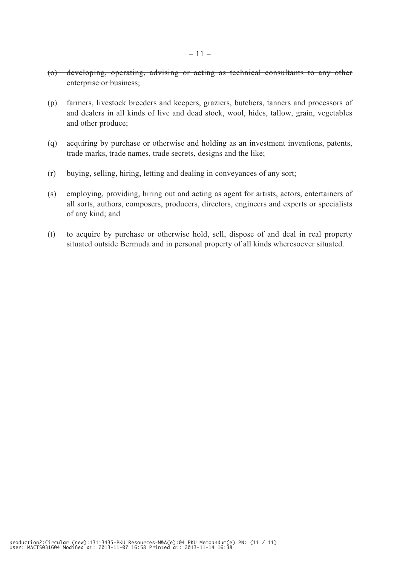- (o) developing, operating, advising or acting as technical consultants to any other enterprise or business;
- (p) farmers, livestock breeders and keepers, graziers, butchers, tanners and processors of and dealers in all kinds of live and dead stock, wool, hides, tallow, grain, vegetables and other produce;
- (q) acquiring by purchase or otherwise and holding as an investment inventions, patents, trade marks, trade names, trade secrets, designs and the like;
- (r) buying, selling, hiring, letting and dealing in conveyances of any sort;
- (s) employing, providing, hiring out and acting as agent for artists, actors, entertainers of all sorts, authors, composers, producers, directors, engineers and experts or specialists of any kind; and
- (t) to acquire by purchase or otherwise hold, sell, dispose of and deal in real property situated outside Bermuda and in personal property of all kinds wheresoever situated.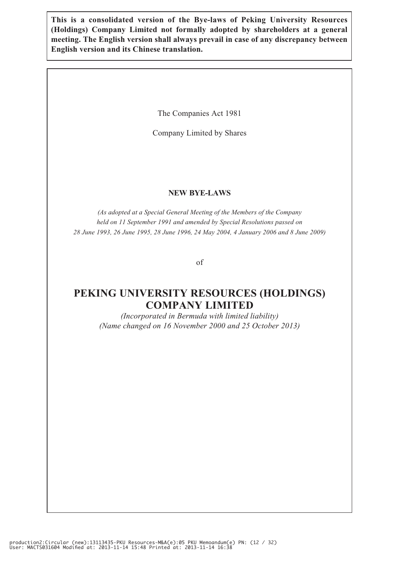**This is a consolidated version of the Bye-laws of Peking University Resources (Holdings) Company Limited not formally adopted by shareholders at a general meeting. The English version shall always prevail in case of any discrepancy between English version and its Chinese translation.**

The Companies Act 1981

Company Limited by Shares

### **NEW BYE-LAWS**

*(As adopted at a Special General Meeting of the Members of the Company held on 11 September 1991 and amended by Special Resolutions passed on 28 June 1993, 26 June 1995, 28 June 1996, 24 May 2004, 4 January 2006 and 8 June 2009)*

of

# **PEKING UNIVERSITY RESOURCES (HOLDINGS) COMPANY LIMITED**

*(Incorporated in Bermuda with limited liability) (Name changed on 16 November 2000 and 25 October 2013)*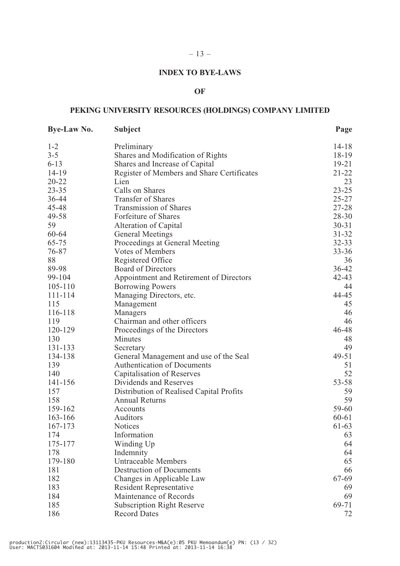# **INDEX TO BYE-LAWS**

 $-13-$ 

### **OF**

# **PEKING UNIVERSITY RESOURCES (HOLDINGS) COMPANY LIMITED**

| <b>Bye-Law No.</b> | <b>Subject</b>                             | Page      |
|--------------------|--------------------------------------------|-----------|
| $1 - 2$            | Preliminary                                | $14 - 18$ |
| $3 - 5$            | Shares and Modification of Rights          | $18-19$   |
| $6 - 13$           | Shares and Increase of Capital             | $19 - 21$ |
| $14 - 19$          | Register of Members and Share Certificates | $21 - 22$ |
| $20 - 22$          | Lien                                       | 23        |
| $23 - 35$          | Calls on Shares                            | $23 - 25$ |
| 36-44              | <b>Transfer of Shares</b>                  | $25 - 27$ |
| 45-48              | Transmission of Shares                     | 27-28     |
| 49-58              | Forfeiture of Shares                       | $28 - 30$ |
| 59                 | Alteration of Capital                      | $30 - 31$ |
| 60-64              | <b>General Meetings</b>                    | $31 - 32$ |
| 65-75              | Proceedings at General Meeting             | $32 - 33$ |
| 76-87              | <b>Votes of Members</b>                    | $33 - 36$ |
| 88                 | Registered Office                          | 36        |
| 89-98              | <b>Board of Directors</b>                  | $36 - 42$ |
| 99-104             | Appointment and Retirement of Directors    | $42 - 43$ |
| $105 - 110$        | <b>Borrowing Powers</b>                    | 44        |
| 111-114            | Managing Directors, etc.                   | 44-45     |
| 115                | Management                                 | 45        |
| 116-118            | Managers                                   | 46        |
| 119                | Chairman and other officers                | 46        |
| 120-129            | Proceedings of the Directors               | 46-48     |
| 130                | Minutes                                    | 48        |
| 131-133            | Secretary                                  | 49        |
| 134-138            | General Management and use of the Seal     | 49-51     |
| 139                | <b>Authentication of Documents</b>         | 51        |
| 140                | Capitalisation of Reserves                 | 52        |
| 141-156            | Dividends and Reserves                     | $53 - 58$ |
| 157                | Distribution of Realised Capital Profits   | 59        |
| 158                | <b>Annual Returns</b>                      | 59        |
| 159-162            | Accounts                                   | 59-60     |
| 163-166            | Auditors                                   | 60-61     |
| 167-173            | <b>Notices</b>                             | 61-63     |
| 174                | Information                                | 63        |
| 175-177            | Winding Up                                 | 64        |
| 178                | Indemnity                                  | 64        |
| 179-180            | <b>Untraceable Members</b>                 | 65        |
| 181                | <b>Destruction of Documents</b>            | 66        |
| 182                | Changes in Applicable Law                  | 67-69     |
| 183                | <b>Resident Representative</b>             | 69        |
| 184                | Maintenance of Records                     | 69        |
| 185                | <b>Subscription Right Reserve</b>          | 69-71     |
| 186                | <b>Record Dates</b>                        | 72        |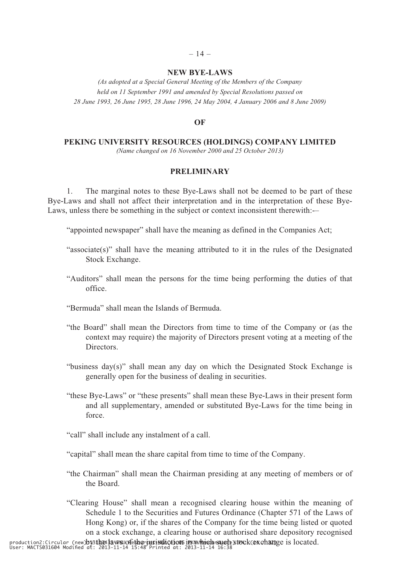## $-14-$ **NEW BYE-LAWS**

*(As adopted at a Special General Meeting of the Members of the Company held on 11 September 1991 and amended by Special Resolutions passed on 28 June 1993, 26 June 1995, 28 June 1996, 24 May 2004, 4 January 2006 and 8 June 2009)*

## **OF**

#### **PEKING UNIVERSITY RESOURCES (HOLDINGS) COMPANY LIMITED**

*(Name changed on 16 November 2000 and 25 October 2013)*

#### **PRELIMINARY**

1. The marginal notes to these Bye-Laws shall not be deemed to be part of these Bye-Laws and shall not affect their interpretation and in the interpretation of these Bye-Laws, unless there be something in the subject or context inconsistent therewith:-–

"appointed newspaper" shall have the meaning as defined in the Companies Act;

- "associate(s)" shall have the meaning attributed to it in the rules of the Designated Stock Exchange.
- "Auditors" shall mean the persons for the time being performing the duties of that office.
- "Bermuda" shall mean the Islands of Bermuda.
- "the Board" shall mean the Directors from time to time of the Company or (as the context may require) the majority of Directors present voting at a meeting of the Directors.
- "business day(s)" shall mean any day on which the Designated Stock Exchange is generally open for the business of dealing in securities.
- "these Bye-Laws" or "these presents" shall mean these Bye-Laws in their present form and all supplementary, amended or substituted Bye-Laws for the time being in force.
- "call" shall include any instalment of a call.
- "capital" shall mean the share capital from time to time of the Company.
- "the Chairman" shall mean the Chairman presiding at any meeting of members or of the Board.
- "Clearing House" shall mean a recognised clearing house within the meaning of Schedule 1 to the Securities and Futures Ordinance (Chapter 571 of the Laws of Hong Kong) or, if the shares of the Company for the time being listed or quoted on a stock exchange, a clearing house or authorised share depository recognised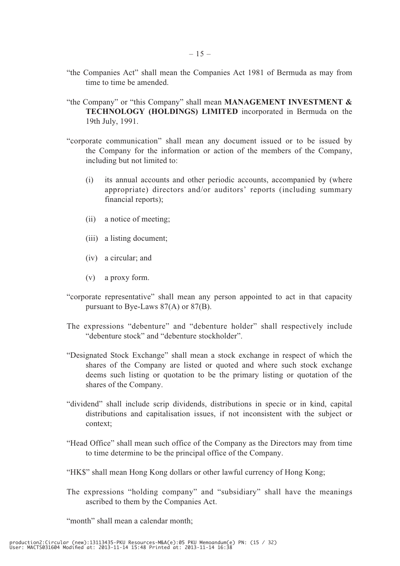- "the Companies Act" shall mean the Companies Act 1981 of Bermuda as may from time to time be amended.
- "the Company" or "this Company" shall mean **MANAGEMENT INVESTMENT & TECHNOLOGY (HOLDINGS) LIMITED** incorporated in Bermuda on the 19th July, 1991.
- "corporate communication" shall mean any document issued or to be issued by the Company for the information or action of the members of the Company, including but not limited to:
	- (i) its annual accounts and other periodic accounts, accompanied by (where appropriate) directors and/or auditors' reports (including summary financial reports);
	- (ii) a notice of meeting;
	- (iii) a listing document;
	- (iv) a circular; and
	- (v) a proxy form.
- "corporate representative" shall mean any person appointed to act in that capacity pursuant to Bye-Laws 87(A) or 87(B).
- The expressions "debenture" and "debenture holder" shall respectively include "debenture stock" and "debenture stockholder".
- "Designated Stock Exchange" shall mean a stock exchange in respect of which the shares of the Company are listed or quoted and where such stock exchange deems such listing or quotation to be the primary listing or quotation of the shares of the Company.
- "dividend" shall include scrip dividends, distributions in specie or in kind, capital distributions and capitalisation issues, if not inconsistent with the subject or context;
- "Head Office" shall mean such office of the Company as the Directors may from time to time determine to be the principal office of the Company.
- "HK\$" shall mean Hong Kong dollars or other lawful currency of Hong Kong;
- The expressions "holding company" and "subsidiary" shall have the meanings ascribed to them by the Companies Act.

"month" shall mean a calendar month: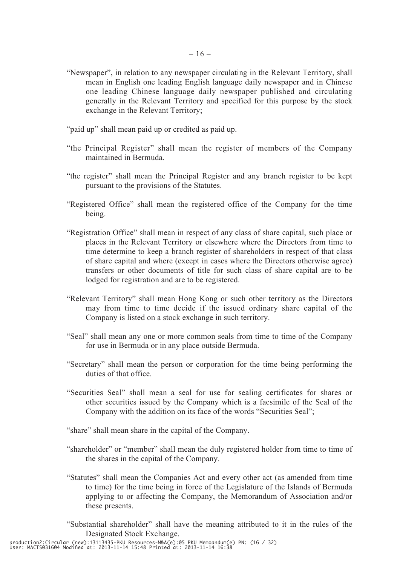- "Newspaper", in relation to any newspaper circulating in the Relevant Territory, shall mean in English one leading English language daily newspaper and in Chinese one leading Chinese language daily newspaper published and circulating generally in the Relevant Territory and specified for this purpose by the stock exchange in the Relevant Territory;
- "paid up" shall mean paid up or credited as paid up.
- "the Principal Register" shall mean the register of members of the Company maintained in Bermuda.
- "the register" shall mean the Principal Register and any branch register to be kept pursuant to the provisions of the Statutes.
- "Registered Office" shall mean the registered office of the Company for the time being.
- "Registration Office" shall mean in respect of any class of share capital, such place or places in the Relevant Territory or elsewhere where the Directors from time to time determine to keep a branch register of shareholders in respect of that class of share capital and where (except in cases where the Directors otherwise agree) transfers or other documents of title for such class of share capital are to be lodged for registration and are to be registered.
- "Relevant Territory" shall mean Hong Kong or such other territory as the Directors may from time to time decide if the issued ordinary share capital of the Company is listed on a stock exchange in such territory.
- "Seal" shall mean any one or more common seals from time to time of the Company for use in Bermuda or in any place outside Bermuda.
- "Secretary" shall mean the person or corporation for the time being performing the duties of that office.
- "Securities Seal" shall mean a seal for use for sealing certificates for shares or other securities issued by the Company which is a facsimile of the Seal of the Company with the addition on its face of the words "Securities Seal";
- "share" shall mean share in the capital of the Company.
- "shareholder" or "member" shall mean the duly registered holder from time to time of the shares in the capital of the Company.
- "Statutes" shall mean the Companies Act and every other act (as amended from time to time) for the time being in force of the Legislature of the Islands of Bermuda applying to or affecting the Company, the Memorandum of Association and/or these presents.
- "Substantial shareholder" shall have the meaning attributed to it in the rules of the Designated Stock Exchange.

production2:Circular (new):13113435-PKU Resources-M&A(e):05 PKU Memoandum(e) PN: (16 / 32) User: MACTS031604 Modified at: 2013-11-14 15:48 Printed at: 2013-11-14 16:38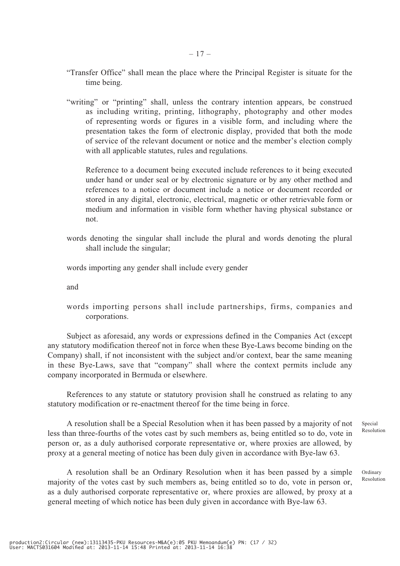- "Transfer Office" shall mean the place where the Principal Register is situate for the time being.
- "writing" or "printing" shall, unless the contrary intention appears, be construed as including writing, printing, lithography, photography and other modes of representing words or figures in a visible form, and including where the presentation takes the form of electronic display, provided that both the mode of service of the relevant document or notice and the member's election comply with all applicable statutes, rules and regulations.

Reference to a document being executed include references to it being executed under hand or under seal or by electronic signature or by any other method and references to a notice or document include a notice or document recorded or stored in any digital, electronic, electrical, magnetic or other retrievable form or medium and information in visible form whether having physical substance or not.

words denoting the singular shall include the plural and words denoting the plural shall include the singular;

words importing any gender shall include every gender

and

words importing persons shall include partnerships, firms, companies and corporations.

Subject as aforesaid, any words or expressions defined in the Companies Act (except any statutory modification thereof not in force when these Bye-Laws become binding on the Company) shall, if not inconsistent with the subject and/or context, bear the same meaning in these Bye-Laws, save that "company" shall where the context permits include any company incorporated in Bermuda or elsewhere.

References to any statute or statutory provision shall he construed as relating to any statutory modification or re-enactment thereof for the time being in force.

A resolution shall be a Special Resolution when it has been passed by a majority of not less than three-fourths of the votes cast by such members as, being entitled so to do, vote in person or, as a duly authorised corporate representative or, where proxies are allowed, by proxy at a general meeting of notice has been duly given in accordance with Bye-law 63.

A resolution shall be an Ordinary Resolution when it has been passed by a simple majority of the votes cast by such members as, being entitled so to do, vote in person or, as a duly authorised corporate representative or, where proxies are allowed, by proxy at a general meeting of which notice has been duly given in accordance with Bye-law 63.

Special Resolution

Ordinary Resolution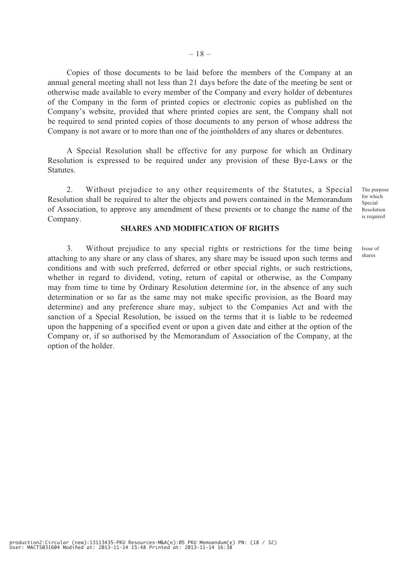Copies of those documents to be laid before the members of the Company at an annual general meeting shall not less than 21 days before the date of the meeting be sent or otherwise made available to every member of the Company and every holder of debentures of the Company in the form of printed copies or electronic copies as published on the Company's website, provided that where printed copies are sent, the Company shall not be required to send printed copies of those documents to any person of whose address the Company is not aware or to more than one of the jointholders of any shares or debentures.

A Special Resolution shall be effective for any purpose for which an Ordinary Resolution is expressed to be required under any provision of these Bye-Laws or the Statutes.

2. Without prejudice to any other requirements of the Statutes, a Special Resolution shall be required to alter the objects and powers contained in the Memorandum of Association, to approve any amendment of these presents or to change the name of the Company.

#### **SHARES AND MODIFICATION OF RIGHTS**

3. Without prejudice to any special rights or restrictions for the time being attaching to any share or any class of shares, any share may be issued upon such terms and conditions and with such preferred, deferred or other special rights, or such restrictions, whether in regard to dividend, voting, return of capital or otherwise, as the Company may from time to time by Ordinary Resolution determine (or, in the absence of any such determination or so far as the same may not make specific provision, as the Board may determine) and any preference share may, subject to the Companies Act and with the sanction of a Special Resolution, be issued on the terms that it is liable to be redeemed upon the happening of a specified event or upon a given date and either at the option of the Company or, if so authorised by the Memorandum of Association of the Company, at the option of the holder.

The purpose for which Special Resolution is required

Issue of shares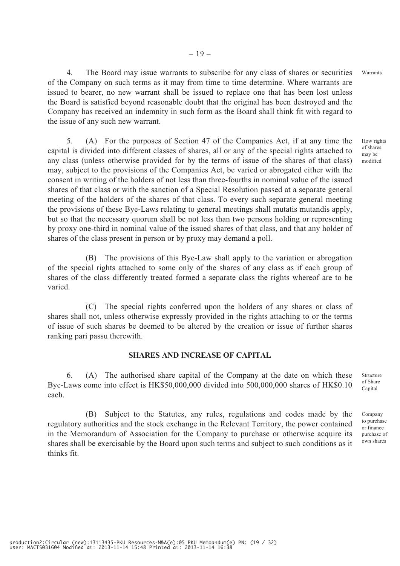4. The Board may issue warrants to subscribe for any class of shares or securities of the Company on such terms as it may from time to time determine. Where warrants are issued to bearer, no new warrant shall be issued to replace one that has been lost unless the Board is satisfied beyond reasonable doubt that the original has been destroyed and the Company has received an indemnity in such form as the Board shall think fit with regard to the issue of any such new warrant. Warrants

5. (A) For the purposes of Section 47 of the Companies Act, if at any time the capital is divided into different classes of shares, all or any of the special rights attached to any class (unless otherwise provided for by the terms of issue of the shares of that class) may, subject to the provisions of the Companies Act, be varied or abrogated either with the consent in writing of the holders of not less than three-fourths in nominal value of the issued shares of that class or with the sanction of a Special Resolution passed at a separate general meeting of the holders of the shares of that class. To every such separate general meeting the provisions of these Bye-Laws relating to general meetings shall mutatis mutandis apply, but so that the necessary quorum shall be not less than two persons holding or representing by proxy one-third in nominal value of the issued shares of that class, and that any holder of shares of the class present in person or by proxy may demand a poll.

(B) The provisions of this Bye-Law shall apply to the variation or abrogation of the special rights attached to some only of the shares of any class as if each group of shares of the class differently treated formed a separate class the rights whereof are to be varied.

(C) The special rights conferred upon the holders of any shares or class of shares shall not, unless otherwise expressly provided in the rights attaching to or the terms of issue of such shares be deemed to be altered by the creation or issue of further shares ranking pari passu therewith.

## **SHARES AND INCREASE OF CAPITAL**

6. (A) The authorised share capital of the Company at the date on which these Bye-Laws come into effect is HK\$50,000,000 divided into 500,000,000 shares of HK\$0.10 each.

(B) Subject to the Statutes, any rules, regulations and codes made by the regulatory authorities and the stock exchange in the Relevant Territory, the power contained in the Memorandum of Association for the Company to purchase or otherwise acquire its shares shall be exercisable by the Board upon such terms and subject to such conditions as it thinks fit.

How rights of shares may be modified

Structure of Share Capital

Company to purchase or finance purchase of own shares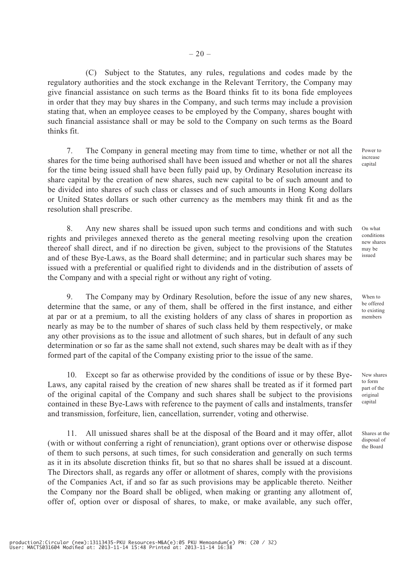(C) Subject to the Statutes, any rules, regulations and codes made by the regulatory authorities and the stock exchange in the Relevant Territory, the Company may give financial assistance on such terms as the Board thinks fit to its bona fide employees in order that they may buy shares in the Company, and such terms may include a provision stating that, when an employee ceases to be employed by the Company, shares bought with such financial assistance shall or may be sold to the Company on such terms as the Board thinks fit.

7. The Company in general meeting may from time to time, whether or not all the shares for the time being authorised shall have been issued and whether or not all the shares for the time being issued shall have been fully paid up, by Ordinary Resolution increase its share capital by the creation of new shares, such new capital to be of such amount and to be divided into shares of such class or classes and of such amounts in Hong Kong dollars or United States dollars or such other currency as the members may think fit and as the resolution shall prescribe.

8. Any new shares shall be issued upon such terms and conditions and with such rights and privileges annexed thereto as the general meeting resolving upon the creation thereof shall direct, and if no direction be given, subject to the provisions of the Statutes and of these Bye-Laws, as the Board shall determine; and in particular such shares may be issued with a preferential or qualified right to dividends and in the distribution of assets of the Company and with a special right or without any right of voting.

9. The Company may by Ordinary Resolution, before the issue of any new shares, determine that the same, or any of them, shall be offered in the first instance, and either at par or at a premium, to all the existing holders of any class of shares in proportion as nearly as may be to the number of shares of such class held by them respectively, or make any other provisions as to the issue and allotment of such shares, but in default of any such determination or so far as the same shall not extend, such shares may be dealt with as if they formed part of the capital of the Company existing prior to the issue of the same.

Except so far as otherwise provided by the conditions of issue or by these Bye-Laws, any capital raised by the creation of new shares shall be treated as if it formed part of the original capital of the Company and such shares shall be subject to the provisions contained in these Bye-Laws with reference to the payment of calls and instalments, transfer and transmission, forfeiture, lien, cancellation, surrender, voting and otherwise.

11. All unissued shares shall be at the disposal of the Board and it may offer, allot (with or without conferring a right of renunciation), grant options over or otherwise dispose of them to such persons, at such times, for such consideration and generally on such terms as it in its absolute discretion thinks fit, but so that no shares shall be issued at a discount. The Directors shall, as regards any offer or allotment of shares, comply with the provisions of the Companies Act, if and so far as such provisions may be applicable thereto. Neither the Company nor the Board shall be obliged, when making or granting any allotment of, offer of, option over or disposal of shares, to make, or make available, any such offer,

Power to increase capital

On what conditions new shares may be issued

When to be offered to existing members

New shares to form part of the original capital

Shares at the disposal of the Board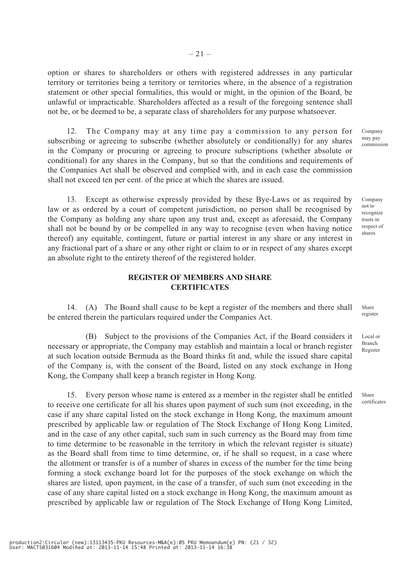option or shares to shareholders or others with registered addresses in any particular territory or territories being a territory or territories where, in the absence of a registration statement or other special formalities, this would or might, in the opinion of the Board, be unlawful or impracticable. Shareholders affected as a result of the foregoing sentence shall not be, or be deemed to be, a separate class of shareholders for any purpose whatsoever.

12. The Company may at any time pay a commission to any person for subscribing or agreeing to subscribe (whether absolutely or conditionally) for any shares in the Company or procuring or agreeing to procure subscriptions (whether absolute or conditional) for any shares in the Company, but so that the conditions and requirements of the Companies Act shall be observed and complied with, and in each case the commission shall not exceed ten per cent. of the price at which the shares are issued.

13. Except as otherwise expressly provided by these Bye-Laws or as required by law or as ordered by a court of competent jurisdiction, no person shall be recognised by the Company as holding any share upon any trust and, except as aforesaid, the Company shall not be bound by or be compelled in any way to recognise (even when having notice thereof) any equitable, contingent, future or partial interest in any share or any interest in any fractional part of a share or any other right or claim to or in respect of any shares except an absolute right to the entirety thereof of the registered holder.

## **REGISTER OF MEMBERS AND SHARE CERTIFICATES**

14. (A) The Board shall cause to be kept a register of the members and there shall be entered therein the particulars required under the Companies Act. register

(B) Subject to the provisions of the Companies Act, if the Board considers it necessary or appropriate, the Company may establish and maintain a local or branch register at such location outside Bermuda as the Board thinks fit and, while the issued share capital of the Company is, with the consent of the Board, listed on any stock exchange in Hong Kong, the Company shall keep a branch register in Hong Kong.

15. Every person whose name is entered as a member in the register shall be entitled to receive one certificate for all his shares upon payment of such sum (not exceeding, in the case if any share capital listed on the stock exchange in Hong Kong, the maximum amount prescribed by applicable law or regulation of The Stock Exchange of Hong Kong Limited, and in the case of any other capital, such sum in such currency as the Board may from time to time determine to be reasonable in the territory in which the relevant register is situate) as the Board shall from time to time determine, or, if he shall so request, in a case where the allotment or transfer is of a number of shares in excess of the number for the time being forming a stock exchange board lot for the purposes of the stock exchange on which the shares are listed, upon payment, in the case of a transfer, of such sum (not exceeding in the case of any share capital listed on a stock exchange in Hong Kong, the maximum amount as prescribed by applicable law or regulation of The Stock Exchange of Hong Kong Limited,

production2:Circular (new):13113435-PKU Resources-M&A(e):05 PKU Memoandum(e) PN: (21 / 32) User: MACTS031604 Modified at: 2013-11-14 15:48 Printed at: 2013-11-14 16:38

Company may pay commission

Company not to recognize trusts in respect of shares

Share

Local or Branch Register

Share certificates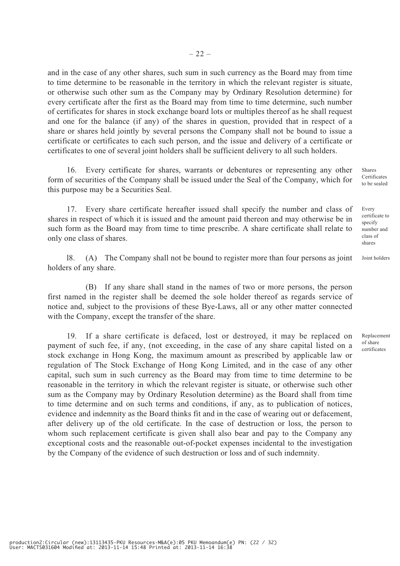and in the case of any other shares, such sum in such currency as the Board may from time to time determine to be reasonable in the territory in which the relevant register is situate, or otherwise such other sum as the Company may by Ordinary Resolution determine) for every certificate after the first as the Board may from time to time determine, such number of certificates for shares in stock exchange board lots or multiples thereof as he shall request and one for the balance (if any) of the shares in question, provided that in respect of a share or shares held jointly by several persons the Company shall not be bound to issue a certificate or certificates to each such person, and the issue and delivery of a certificate or certificates to one of several joint holders shall be sufficient delivery to all such holders.

16. Every certificate for shares, warrants or debentures or representing any other form of securities of the Company shall be issued under the Seal of the Company, which for this purpose may be a Securities Seal.

17. Every share certificate hereafter issued shall specify the number and class of shares in respect of which it is issued and the amount paid thereon and may otherwise be in such form as the Board may from time to time prescribe. A share certificate shall relate to only one class of shares.

l8. (A) The Company shall not be bound to register more than four persons as joint holders of any share. Joint holders

(B) If any share shall stand in the names of two or more persons, the person first named in the register shall be deemed the sole holder thereof as regards service of notice and, subject to the provisions of these Bye-Laws, all or any other matter connected with the Company, except the transfer of the share.

19. If a share certificate is defaced, lost or destroyed, it may be replaced on payment of such fee, if any, (not exceeding, in the case of any share capital listed on a stock exchange in Hong Kong, the maximum amount as prescribed by applicable law or regulation of The Stock Exchange of Hong Kong Limited, and in the case of any other capital, such sum in such currency as the Board may from time to time determine to be reasonable in the territory in which the relevant register is situate, or otherwise such other sum as the Company may by Ordinary Resolution determine) as the Board shall from time to time determine and on such terms and conditions, if any, as to publication of notices, evidence and indemnity as the Board thinks fit and in the case of wearing out or defacement, after delivery up of the old certificate. In the case of destruction or loss, the person to whom such replacement certificate is given shall also bear and pay to the Company any exceptional costs and the reasonable out-of-pocket expenses incidental to the investigation by the Company of the evidence of such destruction or loss and of such indemnity.

Shares Certificates to be sealed

Every certificate to specify number and class of shares

Replacement of share certificates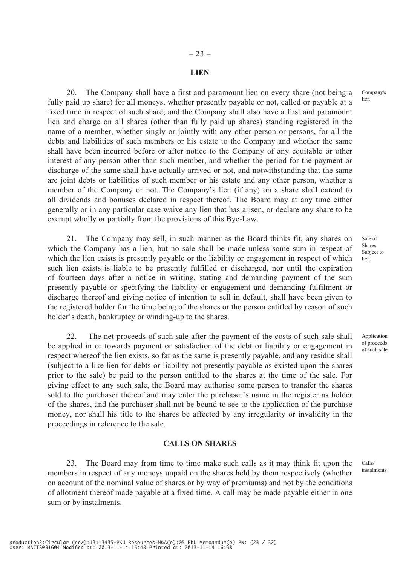#### **LIEN**

20. The Company shall have a first and paramount lien on every share (not being a fully paid up share) for all moneys, whether presently payable or not, called or payable at a fixed time in respect of such share; and the Company shall also have a first and paramount lien and charge on all shares (other than fully paid up shares) standing registered in the name of a member, whether singly or jointly with any other person or persons, for all the debts and liabilities of such members or his estate to the Company and whether the same shall have been incurred before or after notice to the Company of any equitable or other interest of any person other than such member, and whether the period for the payment or discharge of the same shall have actually arrived or not, and notwithstanding that the same are joint debts or liabilities of such member or his estate and any other person, whether a member of the Company or not. The Company's lien (if any) on a share shall extend to all dividends and bonuses declared in respect thereof. The Board may at any time either generally or in any particular case waive any lien that has arisen, or declare any share to be exempt wholly or partially from the provisions of this Bye-Law.

21. The Company may sell, in such manner as the Board thinks fit, any shares on which the Company has a lien, but no sale shall be made unless some sum in respect of which the lien exists is presently payable or the liability or engagement in respect of which such lien exists is liable to be presently fulfilled or discharged, nor until the expiration of fourteen days after a notice in writing, stating and demanding payment of the sum presently payable or specifying the liability or engagement and demanding fulfilment or discharge thereof and giving notice of intention to sell in default, shall have been given to the registered holder for the time being of the shares or the person entitled by reason of such holder's death, bankruptcy or winding-up to the shares.

22. The net proceeds of such sale after the payment of the costs of such sale shall be applied in or towards payment or satisfaction of the debt or liability or engagement in respect whereof the lien exists, so far as the same is presently payable, and any residue shall (subject to a like lien for debts or liability not presently payable as existed upon the shares prior to the sale) be paid to the person entitled to the shares at the time of the sale. For giving effect to any such sale, the Board may authorise some person to transfer the shares sold to the purchaser thereof and may enter the purchaser's name in the register as holder of the shares, and the purchaser shall not be bound to see to the application of the purchase money, nor shall his title to the shares be affected by any irregularity or invalidity in the proceedings in reference to the sale.

#### **CALLS ON SHARES**

23. The Board may from time to time make such calls as it may think fit upon the members in respect of any moneys unpaid on the shares held by them respectively (whether on account of the nominal value of shares or by way of premiums) and not by the conditions of allotment thereof made payable at a fixed time. A call may be made payable either in one sum or by instalments.

Sale of Shares Subject to lien

Company's lien

Application of proceeds of such sale

Calls/ instalments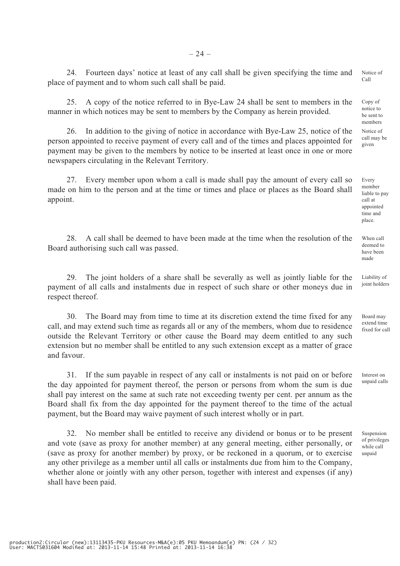24. Fourteen days' notice at least of any call shall be given specifying the time and place of payment and to whom such call shall be paid. Notice of Call

25. A copy of the notice referred to in Bye-Law 24 shall be sent to members in the manner in which notices may be sent to members by the Company as herein provided.

26. In addition to the giving of notice in accordance with Bye-Law 25, notice of the person appointed to receive payment of every call and of the times and places appointed for payment may be given to the members by notice to be inserted at least once in one or more newspapers circulating in the Relevant Territory.

27. Every member upon whom a call is made shall pay the amount of every call so made on him to the person and at the time or times and place or places as the Board shall appoint.

28. A call shall be deemed to have been made at the time when the resolution of the Board authorising such call was passed.

29. The joint holders of a share shall be severally as well as jointly liable for the payment of all calls and instalments due in respect of such share or other moneys due in respect thereof.

30. The Board may from time to time at its discretion extend the time fixed for any call, and may extend such time as regards all or any of the members, whom due to residence outside the Relevant Territory or other cause the Board may deem entitled to any such extension but no member shall be entitled to any such extension except as a matter of grace and favour.

31. If the sum payable in respect of any call or instalments is not paid on or before the day appointed for payment thereof, the person or persons from whom the sum is due shall pay interest on the same at such rate not exceeding twenty per cent. per annum as the Board shall fix from the day appointed for the payment thereof to the time of the actual payment, but the Board may waive payment of such interest wholly or in part.

32. No member shall be entitled to receive any dividend or bonus or to be present and vote (save as proxy for another member) at any general meeting, either personally, or (save as proxy for another member) by proxy, or be reckoned in a quorum, or to exercise any other privilege as a member until all calls or instalments due from him to the Company, whether alone or jointly with any other person, together with interest and expenses (if any) shall have been paid.

Copy of notice to be sent to members Notice of call may be given

Every member liable to pay call at appointed time and place.

When call deemed to have been made

Liability of joint holders

Board may extend time fixed for call

Interest on unpaid calls

Suspension of privileges while call unpaid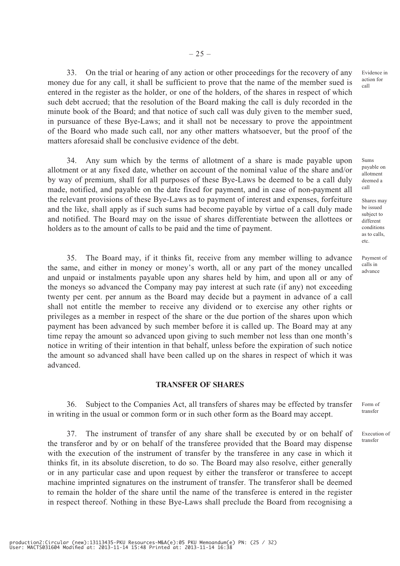33. On the trial or hearing of any action or other proceedings for the recovery of any money due for any call, it shall be sufficient to prove that the name of the member sued is entered in the register as the holder, or one of the holders, of the shares in respect of which such debt accrued; that the resolution of the Board making the call is duly recorded in the minute book of the Board; and that notice of such call was duly given to the member sued, in pursuance of these Bye-Laws; and it shall not be necessary to prove the appointment of the Board who made such call, nor any other matters whatsoever, but the proof of the matters aforesaid shall be conclusive evidence of the debt.

34. Any sum which by the terms of allotment of a share is made payable upon allotment or at any fixed date, whether on account of the nominal value of the share and/or by way of premium, shall for all purposes of these Bye-Laws be deemed to be a call duly made, notified, and payable on the date fixed for payment, and in case of non-payment all the relevant provisions of these Bye-Laws as to payment of interest and expenses, forfeiture and the like, shall apply as if such sums had become payable by virtue of a call duly made and notified. The Board may on the issue of shares differentiate between the allottees or holders as to the amount of calls to be paid and the time of payment.

35. The Board may, if it thinks fit, receive from any member willing to advance the same, and either in money or money's worth, all or any part of the money uncalled and unpaid or instalments payable upon any shares held by him, and upon all or any of the moneys so advanced the Company may pay interest at such rate (if any) not exceeding twenty per cent. per annum as the Board may decide but a payment in advance of a call shall not entitle the member to receive any dividend or to exercise any other rights or privileges as a member in respect of the share or the due portion of the shares upon which payment has been advanced by such member before it is called up. The Board may at any time repay the amount so advanced upon giving to such member not less than one month's notice in writing of their intention in that behalf, unless before the expiration of such notice the amount so advanced shall have been called up on the shares in respect of which it was advanced.

#### **TRANSFER OF SHARES**

36. Subject to the Companies Act, all transfers of shares may be effected by transfer in writing in the usual or common form or in such other form as the Board may accept.

37. The instrument of transfer of any share shall be executed by or on behalf of the transferor and by or on behalf of the transferee provided that the Board may dispense with the execution of the instrument of transfer by the transferee in any case in which it thinks fit, in its absolute discretion, to do so. The Board may also resolve, either generally or in any particular case and upon request by either the transferor or transferee to accept machine imprinted signatures on the instrument of transfer. The transferor shall be deemed to remain the holder of the share until the name of the transferee is entered in the register in respect thereof. Nothing in these Bye-Laws shall preclude the Board from recognising a

Evidence in action for call

Sums payable on allotment deemed a call

Shares may be issued subject to different conditions as to calls, etc.

Payment of calls in advance

Form of transfer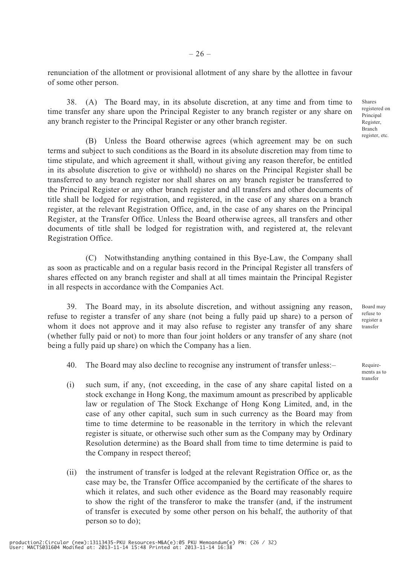renunciation of the allotment or provisional allotment of any share by the allottee in favour of some other person.

38. (A) The Board may, in its absolute discretion, at any time and from time to time transfer any share upon the Principal Register to any branch register or any share on any branch register to the Principal Register or any other branch register.

(B) Unless the Board otherwise agrees (which agreement may be on such terms and subject to such conditions as the Board in its absolute discretion may from time to time stipulate, and which agreement it shall, without giving any reason therefor, be entitled in its absolute discretion to give or withhold) no shares on the Principal Register shall be transferred to any branch register nor shall shares on any branch register be transferred to the Principal Register or any other branch register and all transfers and other documents of title shall be lodged for registration, and registered, in the case of any shares on a branch register, at the relevant Registration Office, and, in the case of any shares on the Principal Register, at the Transfer Office. Unless the Board otherwise agrees, all transfers and other documents of title shall be lodged for registration with, and registered at, the relevant Registration Office.

(C) Notwithstanding anything contained in this Bye-Law, the Company shall as soon as practicable and on a regular basis record in the Principal Register all transfers of shares effected on any branch register and shall at all times maintain the Principal Register in all respects in accordance with the Companies Act.

39. The Board may, in its absolute discretion, and without assigning any reason, refuse to register a transfer of any share (not being a fully paid up share) to a person of whom it does not approve and it may also refuse to register any transfer of any share (whether fully paid or not) to more than four joint holders or any transfer of any share (not being a fully paid up share) on which the Company has a lien.

- 40. The Board may also decline to recognise any instrument of transfer unless:–
- (i) such sum, if any, (not exceeding, in the case of any share capital listed on a stock exchange in Hong Kong, the maximum amount as prescribed by applicable law or regulation of The Stock Exchange of Hong Kong Limited, and, in the case of any other capital, such sum in such currency as the Board may from time to time determine to be reasonable in the territory in which the relevant register is situate, or otherwise such other sum as the Company may by Ordinary Resolution determine) as the Board shall from time to time determine is paid to the Company in respect thereof;
- (ii) the instrument of transfer is lodged at the relevant Registration Office or, as the case may be, the Transfer Office accompanied by the certificate of the shares to which it relates, and such other evidence as the Board may reasonably require to show the right of the transferor to make the transfer (and, if the instrument of transfer is executed by some other person on his behalf, the authority of that person so to do);

Shares registered on Principal Register, Branch register, etc.

Board may refuse to register a transfer

Requirements as to transfer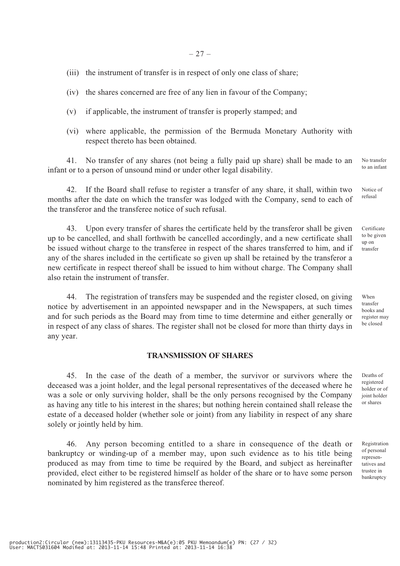- (iii) the instrument of transfer is in respect of only one class of share;
- (iv) the shares concerned are free of any lien in favour of the Company;
- (v) if applicable, the instrument of transfer is properly stamped; and
- (vi) where applicable, the permission of the Bermuda Monetary Authority with respect thereto has been obtained.

41. No transfer of any shares (not being a fully paid up share) shall be made to an infant or to a person of unsound mind or under other legal disability. No transfer

42. If the Board shall refuse to register a transfer of any share, it shall, within two months after the date on which the transfer was lodged with the Company, send to each of the transferor and the transferee notice of such refusal.

43. Upon every transfer of shares the certificate held by the transferor shall be given up to be cancelled, and shall forthwith be cancelled accordingly, and a new certificate shall be issued without charge to the transferee in respect of the shares transferred to him, and if any of the shares included in the certificate so given up shall be retained by the transferor a new certificate in respect thereof shall be issued to him without charge. The Company shall also retain the instrument of transfer.

44. The registration of transfers may be suspended and the register closed, on giving notice by advertisement in an appointed newspaper and in the Newspapers, at such times and for such periods as the Board may from time to time determine and either generally or in respect of any class of shares. The register shall not be closed for more than thirty days in any year.

#### **TRANSMISSION OF SHARES**

45. In the case of the death of a member, the survivor or survivors where the deceased was a joint holder, and the legal personal representatives of the deceased where he was a sole or only surviving holder, shall be the only persons recognised by the Company as having any title to his interest in the shares; but nothing herein contained shall release the estate of a deceased holder (whether sole or joint) from any liability in respect of any share solely or jointly held by him.

46. Any person becoming entitled to a share in consequence of the death or bankruptcy or winding-up of a member may, upon such evidence as to his title being produced as may from time to time be required by the Board, and subject as hereinafter provided, elect either to be registered himself as holder of the share or to have some person nominated by him registered as the transferee thereof.

to an infant

Notice of refusal

Certificate to be given up on transfer

When transfer books and register may be closed

Deaths of registered holder or of joint holder or shares

Registration of personal representatives and trustee in bankruptcy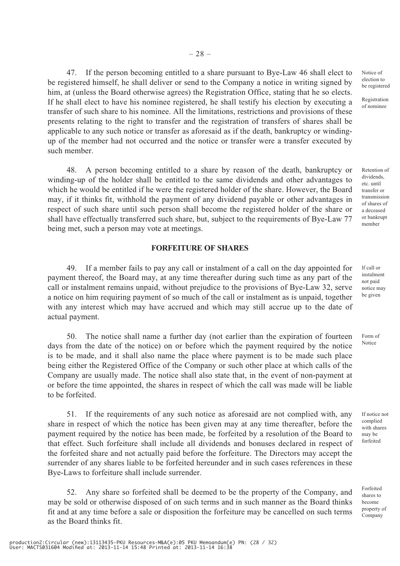$-28-$ 

47. If the person becoming entitled to a share pursuant to Bye-Law 46 shall elect to be registered himself, he shall deliver or send to the Company a notice in writing signed by him, at (unless the Board otherwise agrees) the Registration Office, stating that he so elects. If he shall elect to have his nominee registered, he shall testify his election by executing a transfer of such share to his nominee. All the limitations, restrictions and provisions of these presents relating to the right to transfer and the registration of transfers of shares shall be applicable to any such notice or transfer as aforesaid as if the death, bankruptcy or windingup of the member had not occurred and the notice or transfer were a transfer executed by such member.

48. A person becoming entitled to a share by reason of the death, bankruptcy or winding-up of the holder shall be entitled to the same dividends and other advantages to which he would be entitled if he were the registered holder of the share. However, the Board may, if it thinks fit, withhold the payment of any dividend payable or other advantages in respect of such share until such person shall become the registered holder of the share or shall have effectually transferred such share, but, subject to the requirements of Bye-Law 77 being met, such a person may vote at meetings.

## **FORFEITURE OF SHARES**

49. If a member fails to pay any call or instalment of a call on the day appointed for payment thereof, the Board may, at any time thereafter during such time as any part of the call or instalment remains unpaid, without prejudice to the provisions of Bye-Law 32, serve a notice on him requiring payment of so much of the call or instalment as is unpaid, together with any interest which may have accrued and which may still accrue up to the date of actual payment.

50. The notice shall name a further day (not earlier than the expiration of fourteen days from the date of the notice) on or before which the payment required by the notice is to be made, and it shall also name the place where payment is to be made such place being either the Registered Office of the Company or such other place at which calls of the Company are usually made. The notice shall also state that, in the event of non-payment at or before the time appointed, the shares in respect of which the call was made will be liable to be forfeited.

51. If the requirements of any such notice as aforesaid are not complied with, any share in respect of which the notice has been given may at any time thereafter, before the payment required by the notice has been made, be forfeited by a resolution of the Board to that effect. Such forfeiture shall include all dividends and bonuses declared in respect of the forfeited share and not actually paid before the forfeiture. The Directors may accept the surrender of any shares liable to be forfeited hereunder and in such cases references in these Bye-Laws to forfeiture shall include surrender.

52. Any share so forfeited shall be deemed to be the property of the Company, and may be sold or otherwise disposed of on such terms and in such manner as the Board thinks fit and at any time before a sale or disposition the forfeiture may be cancelled on such terms as the Board thinks fit.

Notice of election to be registered

Registration of nominee

Retention of dividends, etc. until transfer or transmission of shares of a deceased or bankrupt member

lf call or instalment not paid notice may be given

Form of Notice

If notice not complied with shares may be forfeited

Forfeited shares to become property of Company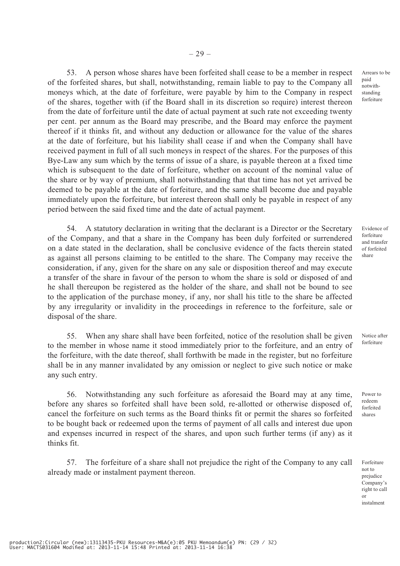53. A person whose shares have been forfeited shall cease to be a member in respect of the forfeited shares, but shall, notwithstanding, remain liable to pay to the Company all moneys which, at the date of forfeiture, were payable by him to the Company in respect of the shares, together with (if the Board shall in its discretion so require) interest thereon from the date of forfeiture until the date of actual payment at such rate not exceeding twenty per cent. per annum as the Board may prescribe, and the Board may enforce the payment thereof if it thinks fit, and without any deduction or allowance for the value of the shares at the date of forfeiture, but his liability shall cease if and when the Company shall have received payment in full of all such moneys in respect of the shares. For the purposes of this Bye-Law any sum which by the terms of issue of a share, is payable thereon at a fixed time which is subsequent to the date of forfeiture, whether on account of the nominal value of the share or by way of premium, shall notwithstanding that that time has not yet arrived be deemed to be payable at the date of forfeiture, and the same shall become due and payable immediately upon the forfeiture, but interest thereon shall only be payable in respect of any period between the said fixed time and the date of actual payment.

54. A statutory declaration in writing that the declarant is a Director or the Secretary of the Company, and that a share in the Company has been duly forfeited or surrendered on a date stated in the declaration, shall be conclusive evidence of the facts therein stated as against all persons claiming to be entitled to the share. The Company may receive the consideration, if any, given for the share on any sale or disposition thereof and may execute a transfer of the share in favour of the person to whom the share is sold or disposed of and he shall thereupon be registered as the holder of the share, and shall not be bound to see to the application of the purchase money, if any, nor shall his title to the share be affected by any irregularity or invalidity in the proceedings in reference to the forfeiture, sale or disposal of the share.

55. When any share shall have been forfeited, notice of the resolution shall be given to the member in whose name it stood immediately prior to the forfeiture, and an entry of the forfeiture, with the date thereof, shall forthwith be made in the register, but no forfeiture shall be in any manner invalidated by any omission or neglect to give such notice or make any such entry.

56. Notwithstanding any such forfeiture as aforesaid the Board may at any time, before any shares so forfeited shall have been sold, re-allotted or otherwise disposed of, cancel the forfeiture on such terms as the Board thinks fit or permit the shares so forfeited to be bought back or redeemed upon the terms of payment of all calls and interest due upon and expenses incurred in respect of the shares, and upon such further terms (if any) as it thinks fit.

57. The forfeiture of a share shall not prejudice the right of the Company to any call already made or instalment payment thereon.

Arrears to be paid notwithstanding forfeiture

Evidence of forfeiture and transfer of forfeited share

Notice after forfeiture

Power to redeem forfeited shares

Forfeiture not to prejudice Company's right to call or instalment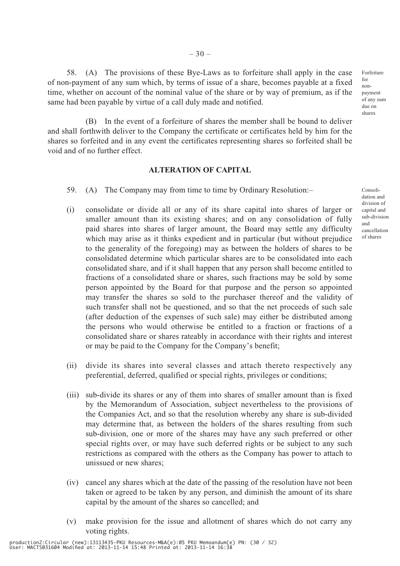58. (A) The provisions of these Bye-Laws as to forfeiture shall apply in the case of non-payment of any sum which, by terms of issue of a share, becomes payable at a fixed time, whether on account of the nominal value of the share or by way of premium, as if the same had been payable by virtue of a call duly made and notified.

(B) In the event of a forfeiture of shares the member shall be bound to deliver and shall forthwith deliver to the Company the certificate or certificates held by him for the shares so forfeited and in any event the certificates representing shares so forfeited shall be void and of no further effect.

#### **ALTERATION OF CAPITAL**

- 59. (A) The Company may from time to time by Ordinary Resolution:–
- (i) consolidate or divide all or any of its share capital into shares of larger or smaller amount than its existing shares; and on any consolidation of fully paid shares into shares of larger amount, the Board may settle any difficulty which may arise as it thinks expedient and in particular (but without prejudice to the generality of the foregoing) may as between the holders of shares to be consolidated determine which particular shares are to be consolidated into each consolidated share, and if it shall happen that any person shall become entitled to fractions of a consolidated share or shares, such fractions may be sold by some person appointed by the Board for that purpose and the person so appointed may transfer the shares so sold to the purchaser thereof and the validity of such transfer shall not be questioned, and so that the net proceeds of such sale (after deduction of the expenses of such sale) may either be distributed among the persons who would otherwise be entitled to a fraction or fractions of a consolidated share or shares rateably in accordance with their rights and interest or may be paid to the Company for the Company's benefit;
- (ii) divide its shares into several classes and attach thereto respectively any preferential, deferred, qualified or special rights, privileges or conditions;
- (iii) sub-divide its shares or any of them into shares of smaller amount than is fixed by the Memorandum of Association, subject nevertheless to the provisions of the Companies Act, and so that the resolution whereby any share is sub-divided may determine that, as between the holders of the shares resulting from such sub-division, one or more of the shares may have any such preferred or other special rights over, or may have such deferred rights or be subject to any such restrictions as compared with the others as the Company has power to attach to unissued or new shares;
- (iv) cancel any shares which at the date of the passing of the resolution have not been taken or agreed to be taken by any person, and diminish the amount of its share capital by the amount of the shares so cancelled; and
- (v) make provision for the issue and allotment of shares which do not carry any voting rights.

Consolidation and division of capital and sub-division and cancellation

of shares

Forfeiture for nonpayment of any sum due on shares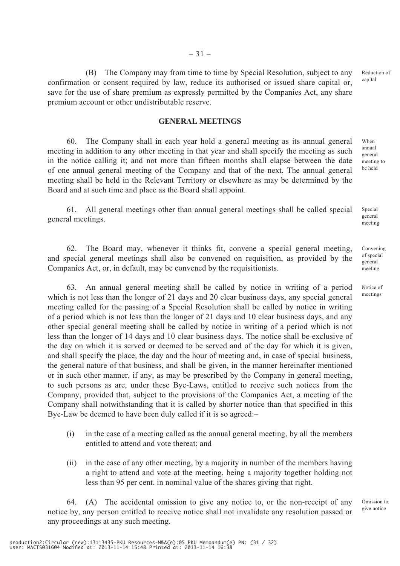– 31 –

(B) The Company may from time to time by Special Resolution, subject to any confirmation or consent required by law, reduce its authorised or issued share capital or, save for the use of share premium as expressly permitted by the Companies Act, any share premium account or other undistributable reserve. Reduction of capital

#### **GENERAL MEETINGS**

60. The Company shall in each year hold a general meeting as its annual general meeting in addition to any other meeting in that year and shall specify the meeting as such in the notice calling it; and not more than fifteen months shall elapse between the date of one annual general meeting of the Company and that of the next. The annual general meeting shall be held in the Relevant Territory or elsewhere as may be determined by the Board and at such time and place as the Board shall appoint.

61. All general meetings other than annual general meetings shall be called special general meetings. Special

62. The Board may, whenever it thinks fit, convene a special general meeting, and special general meetings shall also be convened on requisition, as provided by the Companies Act, or, in default, may be convened by the requisitionists.

63. An annual general meeting shall be called by notice in writing of a period which is not less than the longer of 21 days and 20 clear business days, any special general meeting called for the passing of a Special Resolution shall be called by notice in writing of a period which is not less than the longer of 21 days and 10 clear business days, and any other special general meeting shall be called by notice in writing of a period which is not less than the longer of 14 days and 10 clear business days. The notice shall be exclusive of the day on which it is served or deemed to be served and of the day for which it is given, and shall specify the place, the day and the hour of meeting and, in case of special business, the general nature of that business, and shall be given, in the manner hereinafter mentioned or in such other manner, if any, as may be prescribed by the Company in general meeting, to such persons as are, under these Bye-Laws, entitled to receive such notices from the Company, provided that, subject to the provisions of the Companies Act, a meeting of the Company shall notwithstanding that it is called by shorter notice than that specified in this Bye-Law be deemed to have been duly called if it is so agreed:–

- (i) in the case of a meeting called as the annual general meeting, by all the members entitled to attend and vote thereat; and
- (ii) in the case of any other meeting, by a majority in number of the members having a right to attend and vote at the meeting, being a majority together holding not less than 95 per cent. in nominal value of the shares giving that right.

64. (A) The accidental omission to give any notice to, or the non-receipt of any notice by, any person entitled to receive notice shall not invalidate any resolution passed or any proceedings at any such meeting.

Omission to give notice

When annual general meeting to be held

> general meeting

Convening of special general meeting

Notice of meetings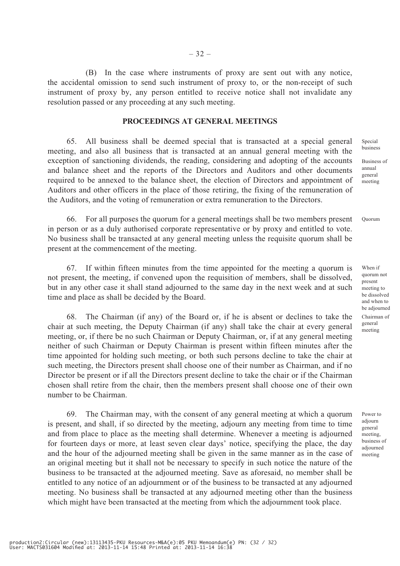(B) In the case where instruments of proxy are sent out with any notice, the accidental omission to send such instrument of proxy to, or the non-receipt of such instrument of proxy by, any person entitled to receive notice shall not invalidate any resolution passed or any proceeding at any such meeting.

#### **PROCEEDINGS AT GENERAL MEETINGS**

65. All business shall be deemed special that is transacted at a special general meeting, and also all business that is transacted at an annual general meeting with the exception of sanctioning dividends, the reading, considering and adopting of the accounts and balance sheet and the reports of the Directors and Auditors and other documents required to be annexed to the balance sheet, the election of Directors and appointment of Auditors and other officers in the place of those retiring, the fixing of the remuneration of the Auditors, and the voting of remuneration or extra remuneration to the Directors.

66. For all purposes the quorum for a general meetings shall be two members present in person or as a duly authorised corporate representative or by proxy and entitled to vote. No business shall be transacted at any general meeting unless the requisite quorum shall be present at the commencement of the meeting.

67. If within fifteen minutes from the time appointed for the meeting a quorum is not present, the meeting, if convened upon the requisition of members, shall be dissolved, but in any other case it shall stand adjourned to the same day in the next week and at such time and place as shall be decided by the Board.

68. The Chairman (if any) of the Board or, if he is absent or declines to take the chair at such meeting, the Deputy Chairman (if any) shall take the chair at every general meeting, or, if there be no such Chairman or Deputy Chairman, or, if at any general meeting neither of such Chairman or Deputy Chairman is present within fifteen minutes after the time appointed for holding such meeting, or both such persons decline to take the chair at such meeting, the Directors present shall choose one of their number as Chairman, and if no Director be present or if all the Directors present decline to take the chair or if the Chairman chosen shall retire from the chair, then the members present shall choose one of their own number to be Chairman.

69. The Chairman may, with the consent of any general meeting at which a quorum is present, and shall, if so directed by the meeting, adjourn any meeting from time to time and from place to place as the meeting shall determine. Whenever a meeting is adjourned for fourteen days or more, at least seven clear days' notice, specifying the place, the day and the hour of the adjourned meeting shall be given in the same manner as in the case of an original meeting but it shall not be necessary to specify in such notice the nature of the business to be transacted at the adjourned meeting. Save as aforesaid, no member shall be entitled to any notice of an adjournment or of the business to be transacted at any adjourned meeting. No business shall be transacted at any adjourned meeting other than the business which might have been transacted at the meeting from which the adjournment took place.

Special business

Business of annual general meeting

Quorum

When if quorum not present meeting to be dissolved and when to be adjourned Chairman of general meeting

Power to adjourn general meeting, business of adjourned meeting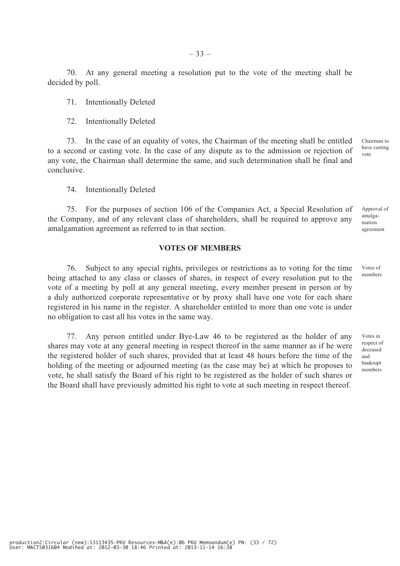70. At any general meeting a resolution put to the vote of the meeting shall be decided by poll.

71. Intentionally Deleted

72. Intentionally Deleted

73. In the case of an equality of votes, the Chairman of the meeting shall be entitled to a second or casting vote. In the case of any dispute as to the admission or rejection of any vote, the Chairman shall determine the same, and such determination shall be final and conclusive. Chairman to have casting

74. Intentionally Deleted

75. For the purposes of section 106 of the Companies Act, a Special Resolution of the Company, and of any relevant class of shareholders, shall be required to approve any amalgamation agreement as referred to in that section.

#### **VOTES OF MEMBERS**

76. Subject to any special rights, privileges or restrictions as to voting for the time being attached to any class or classes of shares, in respect of every resolution put to the vote of a meeting by poll at any general meeting, every member present in person or by a duly authorized corporate representative or by proxy shall have one vote for each share registered in his name in the register. A shareholder entitled to more than one vote is under no obligation to cast all his votes in the same way.

77. Any person entitled under Bye-Law 46 to be registered as the holder of any shares may vote at any general meeting in respect thereof in the same manner as if he were the registered holder of such shares, provided that at least 48 hours before the time of the holding of the meeting or adjourned meeting (as the case may be) at which he proposes to vote, he shall satisfy the Board of his right to be registered as the holder of such shares or the Board shall have previously admitted his right to vote at such meeting in respect thereof.

vote

agreement

Approval of amalgamation

Votes of members

Votes in respect of deceased and bankrupt members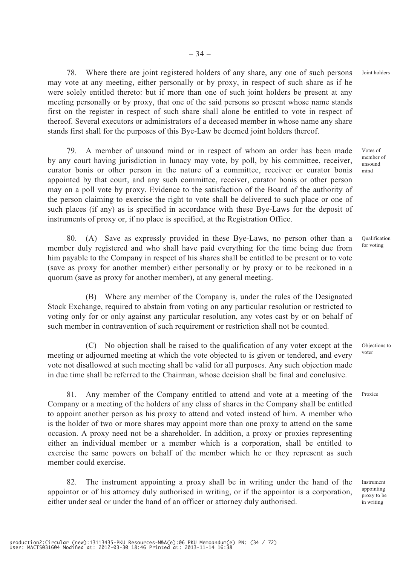production2:Circular (new):13113435-PKU Resources-M&A(e):06 PKU Memoandum(e) PN: (34 / 72) User: MACTS031604 Modified at: 2012-03-30 18:46 Printed at: 2013-11-14 16:38

78. Where there are joint registered holders of any share, any one of such persons may vote at any meeting, either personally or by proxy, in respect of such share as if he were solely entitled thereto: but if more than one of such joint holders be present at any meeting personally or by proxy, that one of the said persons so present whose name stands first on the register in respect of such share shall alone be entitled to vote in respect of thereof. Several executors or administrators of a deceased member in whose name any share stands first shall for the purposes of this Bye-Law be deemed joint holders thereof.

79. A member of unsound mind or in respect of whom an order has been made by any court having jurisdiction in lunacy may vote, by poll, by his committee, receiver, curator bonis or other person in the nature of a committee, receiver or curator bonis appointed by that court, and any such committee, receiver, curator bonis or other person may on a poll vote by proxy. Evidence to the satisfaction of the Board of the authority of the person claiming to exercise the right to vote shall be delivered to such place or one of such places (if any) as is specified in accordance with these Bye-Laws for the deposit of instruments of proxy or, if no place is specified, at the Registration Office.

80. (A) Save as expressly provided in these Bye-Laws, no person other than a member duly registered and who shall have paid everything for the time being due from him payable to the Company in respect of his shares shall be entitled to be present or to vote (save as proxy for another member) either personally or by proxy or to be reckoned in a quorum (save as proxy for another member), at any general meeting.

(B) Where any member of the Company is, under the rules of the Designated Stock Exchange, required to abstain from voting on any particular resolution or restricted to voting only for or only against any particular resolution, any votes cast by or on behalf of such member in contravention of such requirement or restriction shall not be counted.

(C) No objection shall be raised to the qualification of any voter except at the meeting or adjourned meeting at which the vote objected to is given or tendered, and every vote not disallowed at such meeting shall be valid for all purposes. Any such objection made in due time shall be referred to the Chairman, whose decision shall be final and conclusive.

81. Any member of the Company entitled to attend and vote at a meeting of the Company or a meeting of the holders of any class of shares in the Company shall be entitled to appoint another person as his proxy to attend and voted instead of him. A member who is the holder of two or more shares may appoint more than one proxy to attend on the same occasion. A proxy need not be a shareholder. In addition, a proxy or proxies representing either an individual member or a member which is a corporation, shall be entitled to exercise the same powers on behalf of the member which he or they represent as such member could exercise.

82. The instrument appointing a proxy shall be in writing under the hand of the appointor or of his attorney duly authorised in writing, or if the appointor is a corporation, either under seal or under the hand of an officer or attorney duly authorised.

Votes of member of unsound mind

Joint holders

Qualification for voting

Objections to voter

Proxies

Instrument appointing proxy to be in writing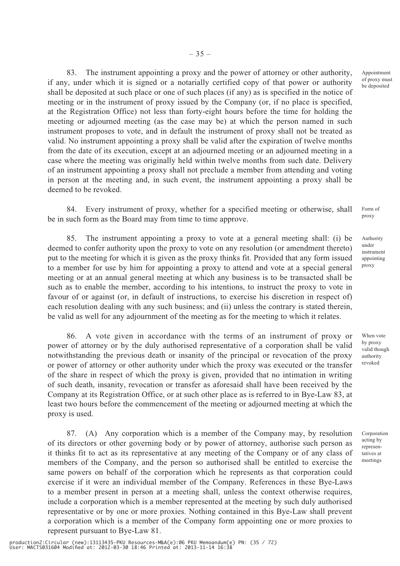83. The instrument appointing a proxy and the power of attorney or other authority, if any, under which it is signed or a notarially certified copy of that power or authority shall be deposited at such place or one of such places (if any) as is specified in the notice of meeting or in the instrument of proxy issued by the Company (or, if no place is specified, at the Registration Office) not less than forty-eight hours before the time for holding the meeting or adjourned meeting (as the case may be) at which the person named in such instrument proposes to vote, and in default the instrument of proxy shall not be treated as valid. No instrument appointing a proxy shall be valid after the expiration of twelve months from the date of its execution, except at an adjourned meeting or an adjourned meeting in a case where the meeting was originally held within twelve months from such date. Delivery of an instrument appointing a proxy shall not preclude a member from attending and voting in person at the meeting and, in such event, the instrument appointing a proxy shall be deemed to be revoked.

84. Every instrument of proxy, whether for a specified meeting or otherwise, shall be in such form as the Board may from time to time approve.

85. The instrument appointing a proxy to vote at a general meeting shall: (i) be deemed to confer authority upon the proxy to vote on any resolution (or amendment thereto) put to the meeting for which it is given as the proxy thinks fit. Provided that any form issued to a member for use by him for appointing a proxy to attend and vote at a special general meeting or at an annual general meeting at which any business is to be transacted shall be such as to enable the member, according to his intentions, to instruct the proxy to vote in favour of or against (or, in default of instructions, to exercise his discretion in respect of) each resolution dealing with any such business; and (ii) unless the contrary is stated therein, be valid as well for any adjournment of the meeting as for the meeting to which it relates.

86. A vote given in accordance with the terms of an instrument of proxy or power of attorney or by the duly authorised representative of a corporation shall be valid notwithstanding the previous death or insanity of the principal or revocation of the proxy or power of attorney or other authority under which the proxy was executed or the transfer of the share in respect of which the proxy is given, provided that no intimation in writing of such death, insanity, revocation or transfer as aforesaid shall have been received by the Company at its Registration Office, or at such other place as is referred to in Bye-Law 83, at least two hours before the commencement of the meeting or adjourned meeting at which the proxy is used.

87. (A) Any corporation which is a member of the Company may, by resolution of its directors or other governing body or by power of attorney, authorise such person as it thinks fit to act as its representative at any meeting of the Company or of any class of members of the Company, and the person so authorised shall be entitled to exercise the same powers on behalf of the corporation which he represents as that corporation could exercise if it were an individual member of the Company. References in these Bye-Laws to a member present in person at a meeting shall, unless the context otherwise requires, include a corporation which is a member represented at the meeting by such duly authorised representative or by one or more proxies. Nothing contained in this Bye-Law shall prevent a corporation which is a member of the Company form appointing one or more proxies to represent pursuant to Bye-Law 81.

production2:Circular (new):13113435-PKU Resources-M&A(e):06 PKU Memoandum(e) PN: (35 / 72) User: MACTS031604 Modified at: 2012-03-30 18:46 Printed at: 2013-11-14 16:38

Appointment of proxy must be deposited

Form of proxy

Authority under instrument appointing proxy

When vote by proxy valid though authority revoked

Corporation acting by representatives at meetings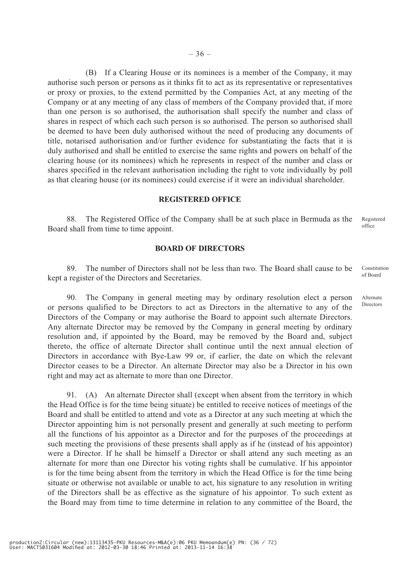(B) If a Clearing House or its nominees is a member of the Company, it may authorise such person or persons as it thinks fit to act as its representative or representatives or proxy or proxies, to the extend permitted by the Companies Act, at any meeting of the Company or at any meeting of any class of members of the Company provided that, if more than one person is so authorised, the authorisation shall specify the number and class of shares in respect of which each such person is so authorised. The person so authorised shall be deemed to have been duly authorised without the need of producing any documents of title, notarised authorisation and/or further evidence for substantiating the facts that it is duly authorised and shall be entitled to exercise the same rights and powers on behalf of the clearing house (or its nominees) which he represents in respect of the number and class or shares specified in the relevant authorisation including the right to vote individually by poll as that clearing house (or its nominees) could exercise if it were an individual shareholder.

#### **REGISTERED OFFICE**

88. The Registered Office of the Company shall be at such place in Bermuda as the Board shall from time to time appoint. Registered office

#### **BOARD OF DIRECTORS**

89. The number of Directors shall not be less than two. The Board shall cause to be kept a register of the Directors and Secretaries.

90. The Company in general meeting may by ordinary resolution elect a person or persons qualified to be Directors to act as Directors in the alternative to any of the Directors of the Company or may authorise the Board to appoint such alternate Directors. Any alternate Director may be removed by the Company in general meeting by ordinary resolution and, if appointed by the Board, may be removed by the Board and, subject thereto, the office of alternate Director shall continue until the next annual election of Directors in accordance with Bye-Law 99 or, if earlier, the date on which the relevant Director ceases to be a Director. An alternate Director may also be a Director in his own right and may act as alternate to more than one Director.

91. (A) An alternate Director shall (except when absent from the territory in which the Head Office is for the time being situate) be entitled to receive notices of meetings of the Board and shall be entitled to attend and vote as a Director at any such meeting at which the Director appointing him is not personally present and generally at such meeting to perform all the functions of his appointor as a Director and for the purposes of the proceedings at such meeting the provisions of these presents shall apply as if he (instead of his appointor) were a Director. If he shall be himself a Director or shall attend any such meeting as an alternate for more than one Director his voting rights shall be cumulative. If his appointor is for the time being absent from the territory in which the Head Office is for the time being situate or otherwise not available or unable to act, his signature to any resolution in writing of the Directors shall be as effective as the signature of his appointor. To such extent as the Board may from time to time determine in relation to any committee of the Board, the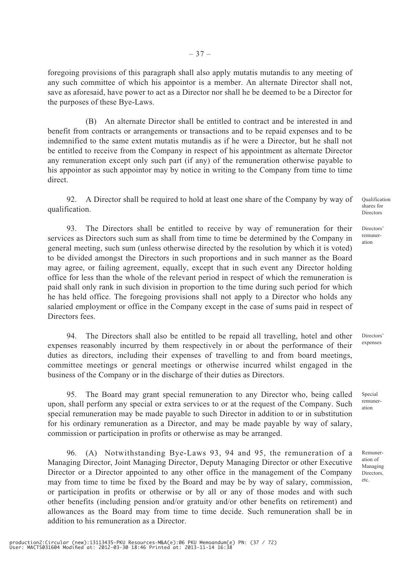foregoing provisions of this paragraph shall also apply mutatis mutandis to any meeting of any such committee of which his appointor is a member. An alternate Director shall not, save as aforesaid, have power to act as a Director nor shall he be deemed to be a Director for the purposes of these Bye-Laws.

(B) An alternate Director shall be entitled to contract and be interested in and benefit from contracts or arrangements or transactions and to be repaid expenses and to be indemnified to the same extent mutatis mutandis as if he were a Director, but he shall not be entitled to receive from the Company in respect of his appointment as alternate Director any remuneration except only such part (if any) of the remuneration otherwise payable to his appointor as such appointor may by notice in writing to the Company from time to time direct.

92. A Director shall be required to hold at least one share of the Company by way of qualification.

93. The Directors shall be entitled to receive by way of remuneration for their services as Directors such sum as shall from time to time be determined by the Company in general meeting, such sum (unless otherwise directed by the resolution by which it is voted) to be divided amongst the Directors in such proportions and in such manner as the Board may agree, or failing agreement, equally, except that in such event any Director holding office for less than the whole of the relevant period in respect of which the remuneration is paid shall only rank in such division in proportion to the time during such period for which he has held office. The foregoing provisions shall not apply to a Director who holds any salaried employment or office in the Company except in the case of sums paid in respect of Directors fees.

94. The Directors shall also be entitled to be repaid all travelling, hotel and other expenses reasonably incurred by them respectively in or about the performance of their duties as directors, including their expenses of travelling to and from board meetings, committee meetings or general meetings or otherwise incurred whilst engaged in the business of the Company or in the discharge of their duties as Directors.

95. The Board may grant special remuneration to any Director who, being called upon, shall perform any special or extra services to or at the request of the Company. Such special remuneration may be made payable to such Director in addition to or in substitution for his ordinary remuneration as a Director, and may be made payable by way of salary, commission or participation in profits or otherwise as may be arranged.

96. (A) Notwithstanding Bye-Laws 93, 94 and 95, the remuneration of a Managing Director, Joint Managing Director, Deputy Managing Director or other Executive Director or a Director appointed to any other office in the management of the Company may from time to time be fixed by the Board and may be by way of salary, commission, or participation in profits or otherwise or by all or any of those modes and with such other benefits (including pension and/or gratuity and/or other benefits on retirement) and allowances as the Board may from time to time decide. Such remuneration shall be in addition to his remuneration as a Director.

Qualification shares for Directors

Directors' remuneration

Special remuner-

Remuneration of Managing Directors, etc.

ation

Directors' expenses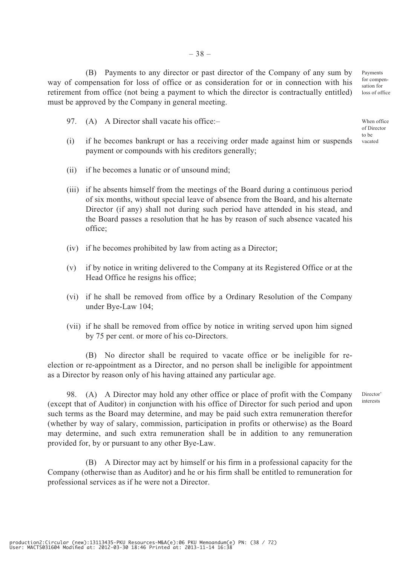(B) Payments to any director or past director of the Company of any sum by way of compensation for loss of office or as consideration for or in connection with his retirement from office (not being a payment to which the director is contractually entitled) must be approved by the Company in general meeting.

- 97. (A) A Director shall vacate his office:-
- (i) if he becomes bankrupt or has a receiving order made against him or suspends payment or compounds with his creditors generally;
- (ii) if he becomes a lunatic or of unsound mind;
- (iii) if he absents himself from the meetings of the Board during a continuous period of six months, without special leave of absence from the Board, and his alternate Director (if any) shall not during such period have attended in his stead, and the Board passes a resolution that he has by reason of such absence vacated his office;
- (iv) if he becomes prohibited by law from acting as a Director;
- (v) if by notice in writing delivered to the Company at its Registered Office or at the Head Office he resigns his office;
- (vi) if he shall be removed from office by a Ordinary Resolution of the Company under Bye-Law 104;
- (vii) if he shall be removed from office by notice in writing served upon him signed by 75 per cent. or more of his co-Directors.

(B) No director shall be required to vacate office or be ineligible for reelection or re-appointment as a Director, and no person shall be ineligible for appointment as a Director by reason only of his having attained any particular age.

98. (A) A Director may hold any other office or place of profit with the Company (except that of Auditor) in conjunction with his office of Director for such period and upon such terms as the Board may determine, and may be paid such extra remuneration therefor (whether by way of salary, commission, participation in profits or otherwise) as the Board may determine, and such extra remuneration shall be in addition to any remuneration provided for, by or pursuant to any other Bye-Law.

(B) A Director may act by himself or his firm in a professional capacity for the Company (otherwise than as Auditor) and he or his firm shall be entitled to remuneration for professional services as if he were not a Director.

When office of Director to be

Payments for compensation for loss of office

vacated

Director' interests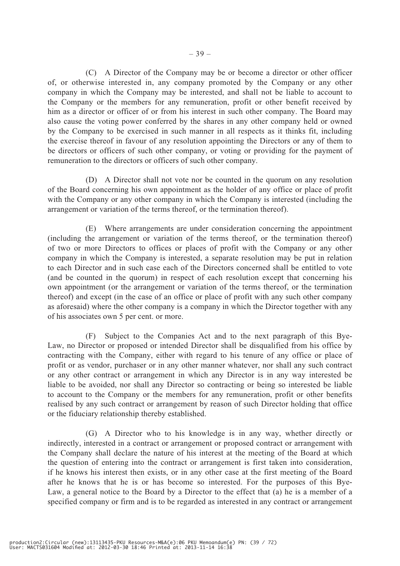(C) A Director of the Company may be or become a director or other officer of, or otherwise interested in, any company promoted by the Company or any other company in which the Company may be interested, and shall not be liable to account to the Company or the members for any remuneration, profit or other benefit received by him as a director or officer of or from his interest in such other company. The Board may also cause the voting power conferred by the shares in any other company held or owned by the Company to be exercised in such manner in all respects as it thinks fit, including the exercise thereof in favour of any resolution appointing the Directors or any of them to be directors or officers of such other company, or voting or providing for the payment of remuneration to the directors or officers of such other company.

(D) A Director shall not vote nor be counted in the quorum on any resolution of the Board concerning his own appointment as the holder of any office or place of profit with the Company or any other company in which the Company is interested (including the arrangement or variation of the terms thereof, or the termination thereof).

(E) Where arrangements are under consideration concerning the appointment (including the arrangement or variation of the terms thereof, or the termination thereof) of two or more Directors to offices or places of profit with the Company or any other company in which the Company is interested, a separate resolution may be put in relation to each Director and in such case each of the Directors concerned shall be entitled to vote (and be counted in the quorum) in respect of each resolution except that concerning his own appointment (or the arrangement or variation of the terms thereof, or the termination thereof) and except (in the case of an office or place of profit with any such other company as aforesaid) where the other company is a company in which the Director together with any of his associates own 5 per cent. or more.

(F) Subject to the Companies Act and to the next paragraph of this Bye-Law, no Director or proposed or intended Director shall be disqualified from his office by contracting with the Company, either with regard to his tenure of any office or place of profit or as vendor, purchaser or in any other manner whatever, nor shall any such contract or any other contract or arrangement in which any Director is in any way interested be liable to be avoided, nor shall any Director so contracting or being so interested be liable to account to the Company or the members for any remuneration, profit or other benefits realised by any such contract or arrangement by reason of such Director holding that office or the fiduciary relationship thereby established.

(G) A Director who to his knowledge is in any way, whether directly or indirectly, interested in a contract or arrangement or proposed contract or arrangement with the Company shall declare the nature of his interest at the meeting of the Board at which the question of entering into the contract or arrangement is first taken into consideration, if he knows his interest then exists, or in any other case at the first meeting of the Board after he knows that he is or has become so interested. For the purposes of this Bye-Law, a general notice to the Board by a Director to the effect that (a) he is a member of a specified company or firm and is to be regarded as interested in any contract or arrangement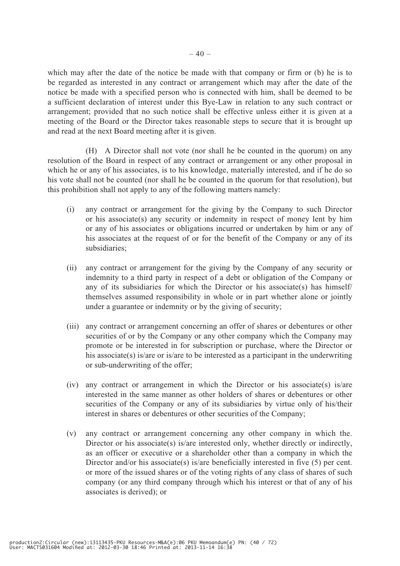which may after the date of the notice be made with that company or firm or (b) he is to be regarded as interested in any contract or arrangement which may after the date of the notice be made with a specified person who is connected with him, shall be deemed to be a sufficient declaration of interest under this Bye-Law in relation to any such contract or arrangement; provided that no such notice shall be effective unless either it is given at a meeting of the Board or the Director takes reasonable steps to secure that it is brought up and read at the next Board meeting after it is given.

(H) A Director shall not vote (nor shall he be counted in the quorum) on any resolution of the Board in respect of any contract or arrangement or any other proposal in which he or any of his associates, is to his knowledge, materially interested, and if he do so his vote shall not be counted (nor shall he be counted in the quorum for that resolution), but this prohibition shall not apply to any of the following matters namely:

- (i) any contract or arrangement for the giving by the Company to such Director or his associate(s) any security or indemnity in respect of money lent by him or any of his associates or obligations incurred or undertaken by him or any of his associates at the request of or for the benefit of the Company or any of its subsidiaries;
- (ii) any contract or arrangement for the giving by the Company of any security or indemnity to a third party in respect of a debt or obligation of the Company or any of its subsidiaries for which the Director or his associate(s) has himself/ themselves assumed responsibility in whole or in part whether alone or jointly under a guarantee or indemnity or by the giving of security;
- (iii) any contract or arrangement concerning an offer of shares or debentures or other securities of or by the Company or any other company which the Company may promote or be interested in for subscription or purchase, where the Director or his associate(s) is/are or is/are to be interested as a participant in the underwriting or sub-underwriting of the offer;
- (iv) any contract or arrangement in which the Director or his associate(s) is/are interested in the same manner as other holders of shares or debentures or other securities of the Company or any of its subsidiaries by virtue only of his/their interest in shares or debentures or other securities of the Company;
- (v) any contract or arrangement concerning any other company in which the. Director or his associate(s) is/are interested only, whether directly or indirectly, as an officer or executive or a shareholder other than a company in which the Director and/or his associate(s) is/are beneficially interested in five (5) per cent. or more of the issued shares or of the voting rights of any class of shares of such company (or any third company through which his interest or that of any of his associates is derived); or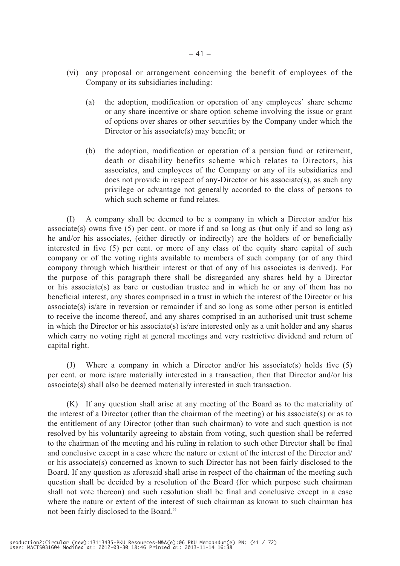- (vi) any proposal or arrangement concerning the benefit of employees of the Company or its subsidiaries including:
	- (a) the adoption, modification or operation of any employees' share scheme or any share incentive or share option scheme involving the issue or grant of options over shares or other securities by the Company under which the Director or his associate(s) may benefit; or
	- (b) the adoption, modification or operation of a pension fund or retirement, death or disability benefits scheme which relates to Directors, his associates, and employees of the Company or any of its subsidiaries and does not provide in respect of any-Director or his associate(s), as such any privilege or advantage not generally accorded to the class of persons to which such scheme or fund relates.

(I) A company shall be deemed to be a company in which a Director and/or his associate(s) owns five (5) per cent. or more if and so long as (but only if and so long as) he and/or his associates, (either directly or indirectly) are the holders of or beneficially interested in five (5) per cent. or more of any class of the equity share capital of such company or of the voting rights available to members of such company (or of any third company through which his/their interest or that of any of his associates is derived). For the purpose of this paragraph there shall be disregarded any shares held by a Director or his associate(s) as bare or custodian trustee and in which he or any of them has no beneficial interest, any shares comprised in a trust in which the interest of the Director or his associate(s) is/are in reversion or remainder if and so long as some other person is entitled to receive the income thereof, and any shares comprised in an authorised unit trust scheme in which the Director or his associate(s) is/are interested only as a unit holder and any shares which carry no voting right at general meetings and very restrictive dividend and return of capital right.

(J) Where a company in which a Director and/or his associate(s) holds five (5) per cent. or more is/are materially interested in a transaction, then that Director and/or his associate(s) shall also be deemed materially interested in such transaction.

(K) If any question shall arise at any meeting of the Board as to the materiality of the interest of a Director (other than the chairman of the meeting) or his associate(s) or as to the entitlement of any Director (other than such chairman) to vote and such question is not resolved by his voluntarily agreeing to abstain from voting, such question shall be referred to the chairman of the meeting and his ruling in relation to such other Director shall be final and conclusive except in a case where the nature or extent of the interest of the Director and/ or his associate(s) concerned as known to such Director has not been fairly disclosed to the Board. If any question as aforesaid shall arise in respect of the chairman of the meeting such question shall be decided by a resolution of the Board (for which purpose such chairman shall not vote thereon) and such resolution shall be final and conclusive except in a case where the nature or extent of the interest of such chairman as known to such chairman has not been fairly disclosed to the Board."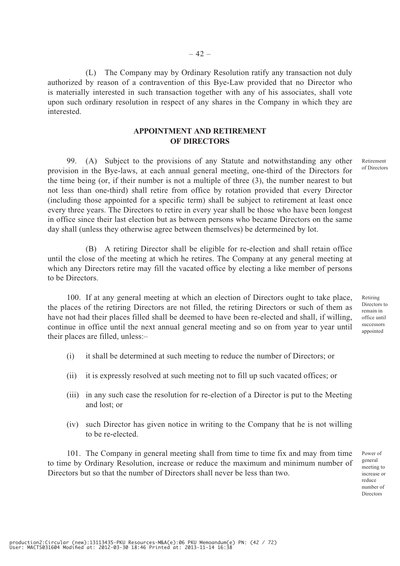(L) The Company may by Ordinary Resolution ratify any transaction not duly authorized by reason of a contravention of this Bye-Law provided that no Director who is materially interested in such transaction together with any of his associates, shall vote upon such ordinary resolution in respect of any shares in the Company in which they are **interested** 

## **APPOINTMENT AND RETIREMENT OF DIRECTORS**

99. (A) Subject to the provisions of any Statute and notwithstanding any other provision in the Bye-laws, at each annual general meeting, one-third of the Directors for the time being (or, if their number is not a multiple of three (3), the number nearest to but not less than one-third) shall retire from office by rotation provided that every Director (including those appointed for a specific term) shall be subject to retirement at least once every three years. The Directors to retire in every year shall be those who have been longest in office since their last election but as between persons who became Directors on the same day shall (unless they otherwise agree between themselves) be determeined by lot.

(B) A retiring Director shall be eligible for re-election and shall retain office until the close of the meeting at which he retires. The Company at any general meeting at which any Directors retire may fill the vacated office by electing a like member of persons to be Directors.

100. If at any general meeting at which an election of Directors ought to take place, the places of the retiring Directors are not filled, the retiring Directors or such of them as have not had their places filled shall be deemed to have been re-elected and shall, if willing, continue in office until the next annual general meeting and so on from year to year until their places are filled, unless:–

- (i) it shall be determined at such meeting to reduce the number of Directors; or
- (ii) it is expressly resolved at such meeting not to fill up such vacated offices; or
- (iii) in any such case the resolution for re-election of a Director is put to the Meeting and lost; or
- (iv) such Director has given notice in writing to the Company that he is not willing to be re-elected.

101. The Company in general meeting shall from time to time fix and may from time to time by Ordinary Resolution, increase or reduce the maximum and minimum number of Directors but so that the number of Directors shall never be less than two.

Power of general meeting to increase or reduce number of Directors

Retirement of Directors

Retiring Directors to remain in office until successors appointed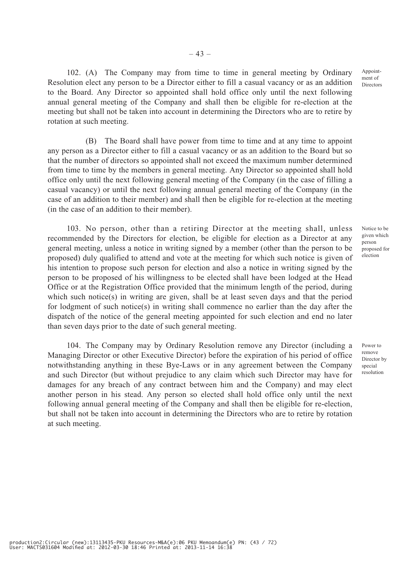102. (A) The Company may from time to time in general meeting by Ordinary Resolution elect any person to be a Director either to fill a casual vacancy or as an addition to the Board. Any Director so appointed shall hold office only until the next following annual general meeting of the Company and shall then be eligible for re-election at the meeting but shall not be taken into account in determining the Directors who are to retire by rotation at such meeting.

– 43 –

(B) The Board shall have power from time to time and at any time to appoint any person as a Director either to fill a casual vacancy or as an addition to the Board but so that the number of directors so appointed shall not exceed the maximum number determined from time to time by the members in general meeting. Any Director so appointed shall hold office only until the next following general meeting of the Company (in the case of filling a casual vacancy) or until the next following annual general meeting of the Company (in the case of an addition to their member) and shall then be eligible for re-election at the meeting (in the case of an addition to their member).

103. No person, other than a retiring Director at the meeting shall, unless recommended by the Directors for election, be eligible for election as a Director at any general meeting, unless a notice in writing signed by a member (other than the person to be proposed) duly qualified to attend and vote at the meeting for which such notice is given of his intention to propose such person for election and also a notice in writing signed by the person to be proposed of his willingness to be elected shall have been lodged at the Head Office or at the Registration Office provided that the minimum length of the period, during which such notice(s) in writing are given, shall be at least seven days and that the period for lodgment of such notice(s) in writing shall commence no earlier than the day after the dispatch of the notice of the general meeting appointed for such election and end no later than seven days prior to the date of such general meeting.

104. The Company may by Ordinary Resolution remove any Director (including a Managing Director or other Executive Director) before the expiration of his period of office notwithstanding anything in these Bye-Laws or in any agreement between the Company and such Director (but without prejudice to any claim which such Director may have for damages for any breach of any contract between him and the Company) and may elect another person in his stead. Any person so elected shall hold office only until the next following annual general meeting of the Company and shall then be eligible for re-election, but shall not be taken into account in determining the Directors who are to retire by rotation at such meeting.

Notice to be given which person proposed for election

Appointment of Directors

Power to remove Director by special resolution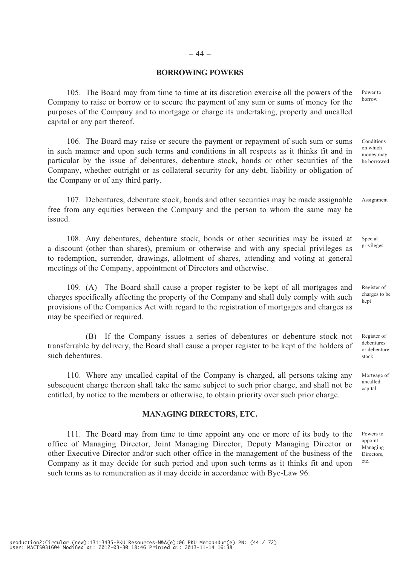#### **BORROWING POWERS**

105. The Board may from time to time at its discretion exercise all the powers of the Company to raise or borrow or to secure the payment of any sum or sums of money for the purposes of the Company and to mortgage or charge its undertaking, property and uncalled capital or any part thereof.

106. The Board may raise or secure the payment or repayment of such sum or sums in such manner and upon such terms and conditions in all respects as it thinks fit and in particular by the issue of debentures, debenture stock, bonds or other securities of the Company, whether outright or as collateral security for any debt, liability or obligation of the Company or of any third party.

107. Debentures, debenture stock, bonds and other securities may be made assignable free from any equities between the Company and the person to whom the same may be issued.

108. Any debentures, debenture stock, bonds or other securities may be issued at a discount (other than shares), premium or otherwise and with any special privileges as to redemption, surrender, drawings, allotment of shares, attending and voting at general meetings of the Company, appointment of Directors and otherwise.

109. (A) The Board shall cause a proper register to be kept of all mortgages and charges specifically affecting the property of the Company and shall duly comply with such provisions of the Companies Act with regard to the registration of mortgages and charges as may be specified or required.

(B) If the Company issues a series of debentures or debenture stock not transferrable by delivery, the Board shall cause a proper register to be kept of the holders of such debentures.

110. Where any uncalled capital of the Company is charged, all persons taking any subsequent charge thereon shall take the same subject to such prior charge, and shall not be entitled, by notice to the members or otherwise, to obtain priority over such prior charge.

#### **MANAGING DIRECTORS, ETC.**

111. The Board may from time to time appoint any one or more of its body to the office of Managing Director, Joint Managing Director, Deputy Managing Director or other Executive Director and/or such other office in the management of the business of the Company as it may decide for such period and upon such terms as it thinks fit and upon such terms as to remuneration as it may decide in accordance with Bye-Law 96.

Power to borrow

Conditions on which money may be borrowed

Assignment

Special privileges

Register of charges to be kept

Register of debentures or debenture stock

Mortgage of uncalled capital

Powers to appoint Managing Directors, etc.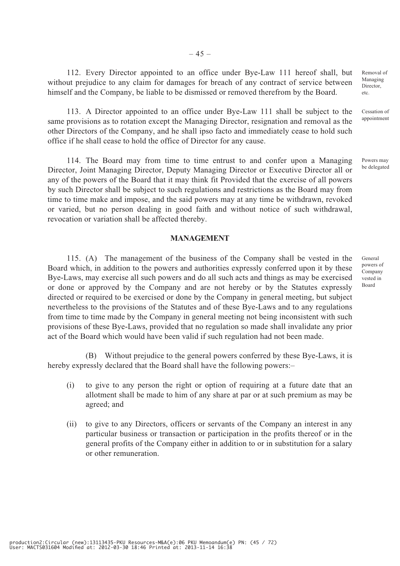112. Every Director appointed to an office under Bye-Law 111 hereof shall, but without prejudice to any claim for damages for breach of any contract of service between himself and the Company, be liable to be dismissed or removed therefrom by the Board.

113. A Director appointed to an office under Bye-Law 111 shall be subject to the same provisions as to rotation except the Managing Director, resignation and removal as the other Directors of the Company, and he shall ipso facto and immediately cease to hold such office if he shall cease to hold the office of Director for any cause.

114. The Board may from time to time entrust to and confer upon a Managing Director, Joint Managing Director, Deputy Managing Director or Executive Director all or any of the powers of the Board that it may think fit Provided that the exercise of all powers by such Director shall be subject to such regulations and restrictions as the Board may from time to time make and impose, and the said powers may at any time be withdrawn, revoked or varied, but no person dealing in good faith and without notice of such withdrawal, revocation or variation shall be affected thereby.

#### **MANAGEMENT**

115. (A) The management of the business of the Company shall be vested in the Board which, in addition to the powers and authorities expressly conferred upon it by these Bye-Laws, may exercise all such powers and do all such acts and things as may be exercised or done or approved by the Company and are not hereby or by the Statutes expressly directed or required to be exercised or done by the Company in general meeting, but subject nevertheless to the provisions of the Statutes and of these Bye-Laws and to any regulations from time to time made by the Company in general meeting not being inconsistent with such provisions of these Bye-Laws, provided that no regulation so made shall invalidate any prior act of the Board which would have been valid if such regulation had not been made.

(B) Without prejudice to the general powers conferred by these Bye-Laws, it is hereby expressly declared that the Board shall have the following powers:-

- (i) to give to any person the right or option of requiring at a future date that an allotment shall be made to him of any share at par or at such premium as may be agreed; and
- (ii) to give to any Directors, officers or servants of the Company an interest in any particular business or transaction or participation in the profits thereof or in the general profits of the Company either in addition to or in substitution for a salary or other remuneration.

Removal of Managing **Director** etc.

Cessation of appointment

Powers may be delegated

General powers of Company vested in Board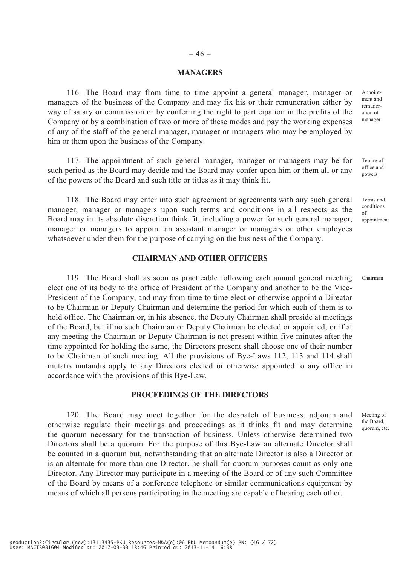#### – 46 –

#### **MANAGERS**

116. The Board may from time to time appoint a general manager, manager or managers of the business of the Company and may fix his or their remuneration either by way of salary or commission or by conferring the right to participation in the profits of the Company or by a combination of two or more of these modes and pay the working expenses of any of the staff of the general manager, manager or managers who may be employed by him or them upon the business of the Company.

117. The appointment of such general manager, manager or managers may be for such period as the Board may decide and the Board may confer upon him or them all or any of the powers of the Board and such title or titles as it may think fit.

118. The Board may enter into such agreement or agreements with any such general manager, manager or managers upon such terms and conditions in all respects as the Board may in its absolute discretion think fit, including a power for such general manager, manager or managers to appoint an assistant manager or managers or other employees whatsoever under them for the purpose of carrying on the business of the Company.

#### **CHAIRMAN AND OTHER OFFICERS**

119. The Board shall as soon as practicable following each annual general meeting elect one of its body to the office of President of the Company and another to be the Vice-President of the Company, and may from time to time elect or otherwise appoint a Director to be Chairman or Deputy Chairman and determine the period for which each of them is to hold office. The Chairman or, in his absence, the Deputy Chairman shall preside at meetings of the Board, but if no such Chairman or Deputy Chairman be elected or appointed, or if at any meeting the Chairman or Deputy Chairman is not present within five minutes after the time appointed for holding the same, the Directors present shall choose one of their number to be Chairman of such meeting. All the provisions of Bye-Laws 112, 113 and 114 shall mutatis mutandis apply to any Directors elected or otherwise appointed to any office in accordance with the provisions of this Bye-Law.

#### **PROCEEDINGS OF THE DIRECTORS**

120. The Board may meet together for the despatch of business, adjourn and otherwise regulate their meetings and proceedings as it thinks fit and may determine the quorum necessary for the transaction of business. Unless otherwise determined two Directors shall be a quorum. For the purpose of this Bye-Law an alternate Director shall be counted in a quorum but, notwithstanding that an alternate Director is also a Director or is an alternate for more than one Director, he shall for quorum purposes count as only one Director. Any Director may participate in a meeting of the Board or of any such Committee of the Board by means of a conference telephone or similar communications equipment by means of which all persons participating in the meeting are capable of hearing each other.

Appointment and remuneration of manager

Tenure of office and powers

Terms and conditions of appointment

Chairman

Meeting of the Board, quorum, etc.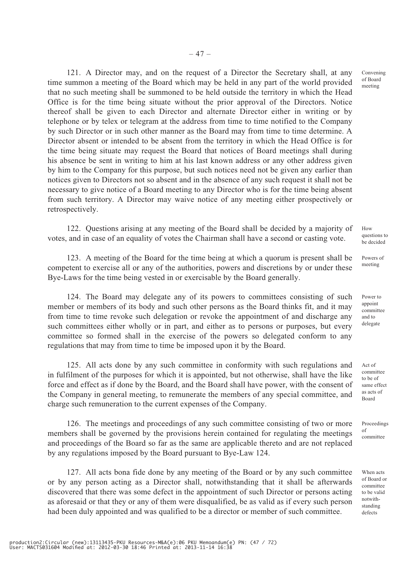121. A Director may, and on the request of a Director the Secretary shall, at any time summon a meeting of the Board which may be held in any part of the world provided that no such meeting shall be summoned to be held outside the territory in which the Head Office is for the time being situate without the prior approval of the Directors. Notice thereof shall be given to each Director and alternate Director either in writing or by telephone or by telex or telegram at the address from time to time notified to the Company by such Director or in such other manner as the Board may from time to time determine. A Director absent or intended to be absent from the territory in which the Head Office is for the time being situate may request the Board that notices of Board meetings shall during his absence be sent in writing to him at his last known address or any other address given by him to the Company for this purpose, but such notices need not be given any earlier than notices given to Directors not so absent and in the absence of any such request it shall not be necessary to give notice of a Board meeting to any Director who is for the time being absent from such territory. A Director may waive notice of any meeting either prospectively or retrospectively.

122. Questions arising at any meeting of the Board shall be decided by a majority of votes, and in case of an equality of votes the Chairman shall have a second or casting vote.

123. A meeting of the Board for the time being at which a quorum is present shall be competent to exercise all or any of the authorities, powers and discretions by or under these Bye-Laws for the time being vested in or exercisable by the Board generally.

124. The Board may delegate any of its powers to committees consisting of such member or members of its body and such other persons as the Board thinks fit, and it may from time to time revoke such delegation or revoke the appointment of and discharge any such committees either wholly or in part, and either as to persons or purposes, but every committee so formed shall in the exercise of the powers so delegated conform to any regulations that may from time to time be imposed upon it by the Board.

125. All acts done by any such committee in conformity with such regulations and in fulfilment of the purposes for which it is appointed, but not otherwise, shall have the like force and effect as if done by the Board, and the Board shall have power, with the consent of the Company in general meeting, to remunerate the members of any special committee, and charge such remuneration to the current expenses of the Company.

126. The meetings and proceedings of any such committee consisting of two or more members shall be governed by the provisions herein contained for regulating the meetings and proceedings of the Board so far as the same are applicable thereto and are not replaced by any regulations imposed by the Board pursuant to Bye-Law 124.

127. All acts bona fide done by any meeting of the Board or by any such committee or by any person acting as a Director shall, notwithstanding that it shall be afterwards discovered that there was some defect in the appointment of such Director or persons acting as aforesaid or that they or any of them were disqualified, be as valid as if every such person had been duly appointed and was qualified to be a director or member of such committee.

Convening of Board meeting

How questions to be decided

Powers of meeting

Power to appoint committee and to delegate

Act of committee to be of same effect as acts of Board

Proceedings of committee

When acts of Board or committee to be valid notwithstanding defects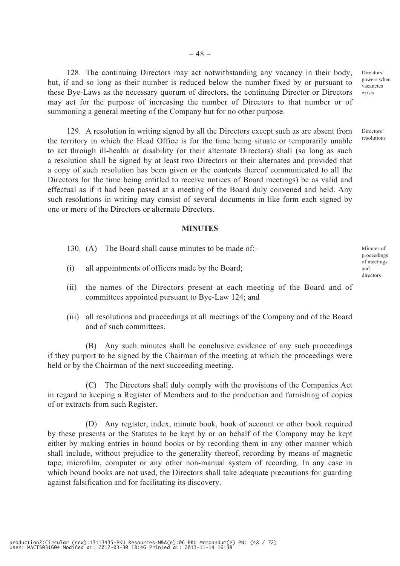128. The continuing Directors may act notwithstanding any vacancy in their body, but, if and so long as their number is reduced below the number fixed by or pursuant to these Bye-Laws as the necessary quorum of directors, the continuing Director or Directors may act for the purpose of increasing the number of Directors to that number or of summoning a general meeting of the Company but for no other purpose.

129. A resolution in writing signed by all the Directors except such as are absent from the territory in which the Head Office is for the time being situate or temporarily unable to act through ill-health or disability (or their alternate Directors) shall (so long as such a resolution shall be signed by at least two Directors or their alternates and provided that a copy of such resolution has been given or the contents thereof communicated to all the Directors for the time being entitled to receive notices of Board meetings) be as valid and effectual as if it had been passed at a meeting of the Board duly convened and held. Any such resolutions in writing may consist of several documents in like form each signed by one or more of the Directors or alternate Directors.

#### **MINUTES**

- 130. (A) The Board shall cause minutes to be made of:–
- (i) all appointments of officers made by the Board;
- (ii) the names of the Directors present at each meeting of the Board and of committees appointed pursuant to Bye-Law 124; and
- (iii) all resolutions and proceedings at all meetings of the Company and of the Board and of such committees.

(B) Any such minutes shall be conclusive evidence of any such proceedings if they purport to be signed by the Chairman of the meeting at which the proceedings were held or by the Chairman of the next succeeding meeting.

(C) The Directors shall duly comply with the provisions of the Companies Act in regard to keeping a Register of Members and to the production and furnishing of copies of or extracts from such Register.

(D) Any register, index, minute book, book of account or other book required by these presents or the Statutes to be kept by or on behalf of the Company may be kept either by making entries in bound books or by recording them in any other manner which shall include, without prejudice to the generality thereof, recording by means of magnetic tape, microfilm, computer or any other non-manual system of recording. In any case in which bound books are not used, the Directors shall take adequate precautions for guarding against falsification and for facilitating its discovery.

Minutes of proceedings of meetings and directors

Directors' powers when vacancies exists

Directors' resolutions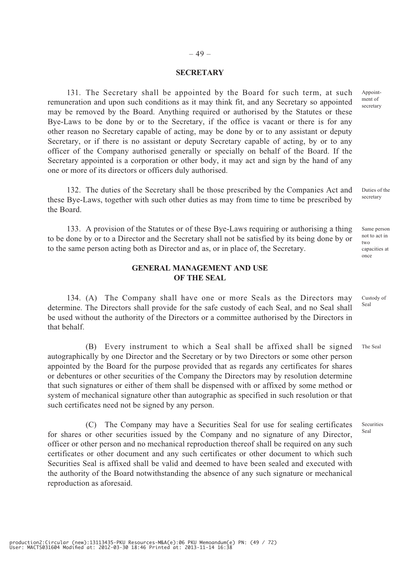# – 49 –

## **SECRETARY**

131. The Secretary shall be appointed by the Board for such term, at such remuneration and upon such conditions as it may think fit, and any Secretary so appointed may be removed by the Board. Anything required or authorised by the Statutes or these Bye-Laws to be done by or to the Secretary, if the office is vacant or there is for any other reason no Secretary capable of acting, may be done by or to any assistant or deputy Secretary, or if there is no assistant or deputy Secretary capable of acting, by or to any officer of the Company authorised generally or specially on behalf of the Board. If the Secretary appointed is a corporation or other body, it may act and sign by the hand of any one or more of its directors or officers duly authorised.

132. The duties of the Secretary shall be those prescribed by the Companies Act and these Bye-Laws, together with such other duties as may from time to time be prescribed by the Board.

133. A provision of the Statutes or of these Bye-Laws requiring or authorising a thing to be done by or to a Director and the Secretary shall not be satisfied by its being done by or to the same person acting both as Director and as, or in place of, the Secretary.

## **GENERAL MANAGEMENT AND USE OF THE SEAL**

134. (A) The Company shall have one or more Seals as the Directors may determine. The Directors shall provide for the safe custody of each Seal, and no Seal shall be used without the authority of the Directors or a committee authorised by the Directors in that behalf. Seal

(B) Every instrument to which a Seal shall be affixed shall be signed autographically by one Director and the Secretary or by two Directors or some other person appointed by the Board for the purpose provided that as regards any certificates for shares or debentures or other securities of the Company the Directors may by resolution determine that such signatures or either of them shall be dispensed with or affixed by some method or system of mechanical signature other than autographic as specified in such resolution or that such certificates need not be signed by any person.

(C) The Company may have a Securities Seal for use for sealing certificates for shares or other securities issued by the Company and no signature of any Director, officer or other person and no mechanical reproduction thereof shall be required on any such certificates or other document and any such certificates or other document to which such Securities Seal is affixed shall be valid and deemed to have been sealed and executed with the authority of the Board notwithstanding the absence of any such signature or mechanical reproduction as aforesaid.

Appointment of secretary

Duties of the secretary

Same person not to act in two capacities at once

Custody of

The Seal

Securities Seal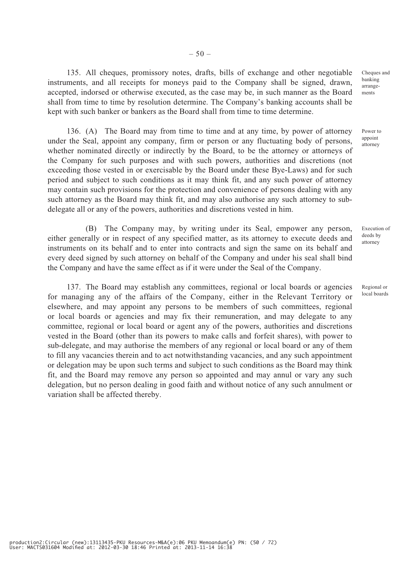135. All cheques, promissory notes, drafts, bills of exchange and other negotiable instruments, and all receipts for moneys paid to the Company shall be signed, drawn, accepted, indorsed or otherwise executed, as the case may be, in such manner as the Board shall from time to time by resolution determine. The Company's banking accounts shall be kept with such banker or bankers as the Board shall from time to time determine.

136. (A) The Board may from time to time and at any time, by power of attorney under the Seal, appoint any company, firm or person or any fluctuating body of persons, whether nominated directly or indirectly by the Board, to be the attorney or attorneys of the Company for such purposes and with such powers, authorities and discretions (not exceeding those vested in or exercisable by the Board under these Bye-Laws) and for such period and subject to such conditions as it may think fit, and any such power of attorney may contain such provisions for the protection and convenience of persons dealing with any such attorney as the Board may think fit, and may also authorise any such attorney to subdelegate all or any of the powers, authorities and discretions vested in him.

(B) The Company may, by writing under its Seal, empower any person, either generally or in respect of any specified matter, as its attorney to execute deeds and instruments on its behalf and to enter into contracts and sign the same on its behalf and every deed signed by such attorney on behalf of the Company and under his seal shall bind the Company and have the same effect as if it were under the Seal of the Company.

137. The Board may establish any committees, regional or local boards or agencies for managing any of the affairs of the Company, either in the Relevant Territory or elsewhere, and may appoint any persons to be members of such committees, regional or local boards or agencies and may fix their remuneration, and may delegate to any committee, regional or local board or agent any of the powers, authorities and discretions vested in the Board (other than its powers to make calls and forfeit shares), with power to sub-delegate, and may authorise the members of any regional or local board or any of them to fill any vacancies therein and to act notwithstanding vacancies, and any such appointment or delegation may be upon such terms and subject to such conditions as the Board may think fit, and the Board may remove any person so appointed and may annul or vary any such delegation, but no person dealing in good faith and without notice of any such annulment or variation shall be affected thereby.

Cheques and banking arrangements

Power to appoint attorney

Execution of deeds by attorney

Regional or local boards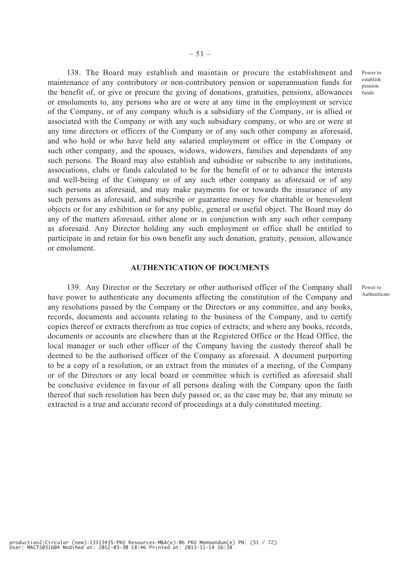$-51-$ 

138. The Board may establish and maintain or procure the establishment and maintenance of any contributory or non-contributory pension or superannuation funds for the benefit of, or give or procure the giving of donations, gratuities, pensions, allowances or emoluments to, any persons who are or were at any time in the employment or service of the Company, or of any company which is a subsidiary of the Company, or is allied or associated with the Company or with any such subsidiary company, or who are or were at any time directors or officers of the Company or of any such other company as aforesaid, and who hold or who have held any salaried employment or office in the Company or such other company, and the spouses, widows, widowers, families and dependants of any such persons. The Board may also establish and subsidise or subscribe to any institutions, associations, clubs or funds calculated to be for the benefit of or to advance the interests and well-being of the Company or of any such other company as aforesaid or of any such persons as aforesaid, and may make payments for or towards the insurance of any such persons as aforesaid, and subscribe or guarantee money for charitable or benevolent objects or for any exhibition or for any public, general or useful object. The Board may do any of the matters aforesaid, either alone or in conjunction with any such other company as aforesaid. Any Director holding any such employment or office shall be entitled to participate in and retain for his own benefit any such donation, gratuity, pension, allowance or emolument.

#### **AUTHENTICATION OF DOCUMENTS**

139. Any Director or the Secretary or other authorised officer of the Company shall have power to authenticate any documents affecting the constitution of the Company and any resolutions passed by the Company or the Directors or any committee, and any books, records, documents and accounts relating to the business of the Company, and to certify copies thereof or extracts therefrom as true copies of extracts; and where any books, records, documents or accounts are elsewhere than at the Registered Office or the Head Office, the local manager or such other officer of the Company having the custody thereof shall be deemed to be the authorised officer of the Company as aforesaid. A document purporting to be a copy of a resolution, or an extract from the minutes of a meeting, of the Company or of the Directors or any local board or committee which is certified as aforesaid shall be conclusive evidence in favour of all persons dealing with the Company upon the faith thereof that such resolution has been duly passed or, as the case may be, that any minute so extracted is a true and accurate record of proceedings at a duly constituted meeting.

Power to Authenticate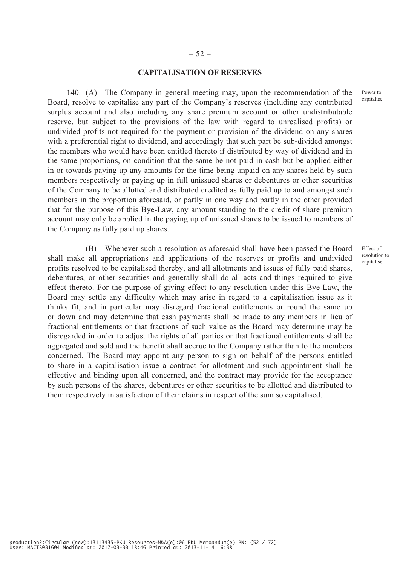## – 52 –

## **CAPITALISATION OF RESERVES**

140. (A) The Company in general meeting may, upon the recommendation of the Board, resolve to capitalise any part of the Company's reserves (including any contributed surplus account and also including any share premium account or other undistributable reserve, but subject to the provisions of the law with regard to unrealised profits) or undivided profits not required for the payment or provision of the dividend on any shares with a preferential right to dividend, and accordingly that such part be sub-divided amongst the members who would have been entitled thereto if distributed by way of dividend and in the same proportions, on condition that the same be not paid in cash but be applied either in or towards paying up any amounts for the time being unpaid on any shares held by such members respectively or paying up in full unissued shares or debentures or other securities of the Company to be allotted and distributed credited as fully paid up to and amongst such members in the proportion aforesaid, or partly in one way and partly in the other provided that for the purpose of this Bye-Law, any amount standing to the credit of share premium account may only be applied in the paying up of unissued shares to be issued to members of the Company as fully paid up shares.

(B) Whenever such a resolution as aforesaid shall have been passed the Board shall make all appropriations and applications of the reserves or profits and undivided profits resolved to be capitalised thereby, and all allotments and issues of fully paid shares, debentures, or other securities and generally shall do all acts and things required to give effect thereto. For the purpose of giving effect to any resolution under this Bye-Law, the Board may settle any difficulty which may arise in regard to a capitalisation issue as it thinks fit, and in particular may disregard fractional entitlements or round the same up or down and may determine that cash payments shall be made to any members in lieu of fractional entitlements or that fractions of such value as the Board may determine may be disregarded in order to adjust the rights of all parties or that fractional entitlements shall be aggregated and sold and the benefit shall accrue to the Company rather than to the members concerned. The Board may appoint any person to sign on behalf of the persons entitled to share in a capitalisation issue a contract for allotment and such appointment shall be effective and binding upon all concerned, and the contract may provide for the acceptance by such persons of the shares, debentures or other securities to be allotted and distributed to them respectively in satisfaction of their claims in respect of the sum so capitalised.

Power to capitalise

Effect of resolution to capitalise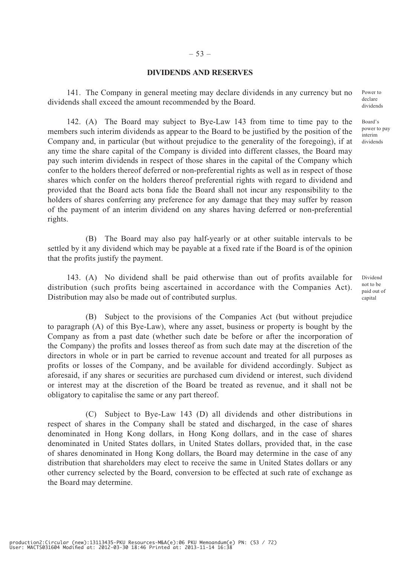## **DIVIDENDS AND RESERVES**

141. The Company in general meeting may declare dividends in any currency but no dividends shall exceed the amount recommended by the Board.

142. (A) The Board may subject to Bye-Law 143 from time to time pay to the members such interim dividends as appear to the Board to be justified by the position of the Company and, in particular (but without prejudice to the generality of the foregoing), if at any time the share capital of the Company is divided into different classes, the Board may pay such interim dividends in respect of those shares in the capital of the Company which confer to the holders thereof deferred or non-preferential rights as well as in respect of those shares which confer on the holders thereof preferential rights with regard to dividend and provided that the Board acts bona fide the Board shall not incur any responsibility to the holders of shares conferring any preference for any damage that they may suffer by reason of the payment of an interim dividend on any shares having deferred or non-preferential rights.

(B) The Board may also pay half-yearly or at other suitable intervals to be settled by it any dividend which may be payable at a fixed rate if the Board is of the opinion that the profits justify the payment.

143. (A) No dividend shall be paid otherwise than out of profits available for distribution (such profits being ascertained in accordance with the Companies Act). Distribution may also be made out of contributed surplus.

(B) Subject to the provisions of the Companies Act (but without prejudice to paragraph (A) of this Bye-Law), where any asset, business or property is bought by the Company as from a past date (whether such date be before or after the incorporation of the Company) the profits and losses thereof as from such date may at the discretion of the directors in whole or in part be carried to revenue account and treated for all purposes as profits or losses of the Company, and be available for dividend accordingly. Subject as aforesaid, if any shares or securities are purchased cum dividend or interest, such dividend or interest may at the discretion of the Board be treated as revenue, and it shall not be obligatory to capitalise the same or any part thereof.

(C) Subject to Bye-Law 143 (D) all dividends and other distributions in respect of shares in the Company shall be stated and discharged, in the case of shares denominated in Hong Kong dollars, in Hong Kong dollars, and in the case of shares denominated in United States dollars, in United States dollars, provided that, in the case of shares denominated in Hong Kong dollars, the Board may determine in the case of any distribution that shareholders may elect to receive the same in United States dollars or any other currency selected by the Board, conversion to be effected at such rate of exchange as the Board may determine.

Power to declare dividends

Board's power to pay interim dividends

Dividend not to be paid out of capital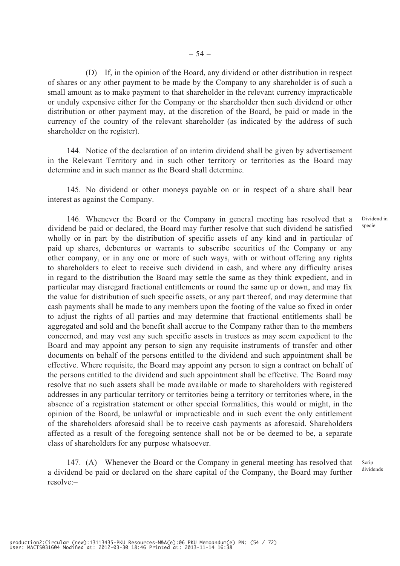(D) If, in the opinion of the Board, any dividend or other distribution in respect of shares or any other payment to be made by the Company to any shareholder is of such a small amount as to make payment to that shareholder in the relevant currency impracticable or unduly expensive either for the Company or the shareholder then such dividend or other distribution or other payment may, at the discretion of the Board, be paid or made in the currency of the country of the relevant shareholder (as indicated by the address of such shareholder on the register).

144. Notice of the declaration of an interim dividend shall be given by advertisement in the Relevant Territory and in such other territory or territories as the Board may determine and in such manner as the Board shall determine.

145. No dividend or other moneys payable on or in respect of a share shall bear interest as against the Company.

146. Whenever the Board or the Company in general meeting has resolved that a dividend be paid or declared, the Board may further resolve that such dividend be satisfied wholly or in part by the distribution of specific assets of any kind and in particular of paid up shares, debentures or warrants to subscribe securities of the Company or any other company, or in any one or more of such ways, with or without offering any rights to shareholders to elect to receive such dividend in cash, and where any difficulty arises in regard to the distribution the Board may settle the same as they think expedient, and in particular may disregard fractional entitlements or round the same up or down, and may fix the value for distribution of such specific assets, or any part thereof, and may determine that cash payments shall be made to any members upon the footing of the value so fixed in order to adjust the rights of all parties and may determine that fractional entitlements shall be aggregated and sold and the benefit shall accrue to the Company rather than to the members concerned, and may vest any such specific assets in trustees as may seem expedient to the Board and may appoint any person to sign any requisite instruments of transfer and other documents on behalf of the persons entitled to the dividend and such appointment shall be effective. Where requisite, the Board may appoint any person to sign a contract on behalf of the persons entitled to the dividend and such appointment shall be effective. The Board may resolve that no such assets shall be made available or made to shareholders with registered addresses in any particular territory or territories being a territory or territories where, in the absence of a registration statement or other special formalities, this would or might, in the opinion of the Board, be unlawful or impracticable and in such event the only entitlement of the shareholders aforesaid shall be to receive cash payments as aforesaid. Shareholders affected as a result of the foregoing sentence shall not be or be deemed to be, a separate class of shareholders for any purpose whatsoever.

147. (A) Whenever the Board or the Company in general meeting has resolved that a dividend be paid or declared on the share capital of the Company, the Board may further resolve:–

Dividend in specie

Scrip dividends

production2:Circular (new):13113435-PKU Resources-M&A(e):06 PKU Memoandum(e) PN: (54 / 72) User: MACTS031604 Modified at: 2012-03-30 18:46 Printed at: 2013-11-14 16:38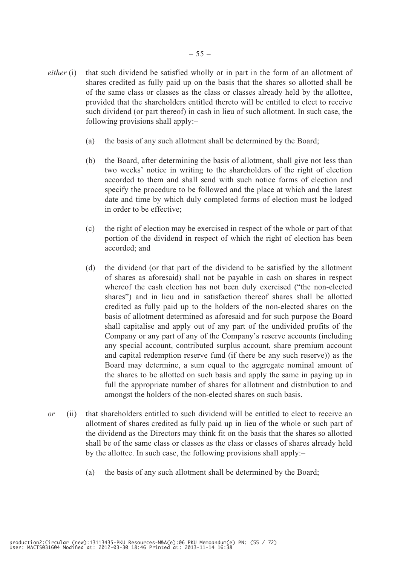- *either* (i) that such dividend be satisfied wholly or in part in the form of an allotment of shares credited as fully paid up on the basis that the shares so allotted shall be of the same class or classes as the class or classes already held by the allottee, provided that the shareholders entitled thereto will be entitled to elect to receive such dividend (or part thereof) in cash in lieu of such allotment. In such case, the following provisions shall apply:–
	- (a) the basis of any such allotment shall be determined by the Board;
	- (b) the Board, after determining the basis of allotment, shall give not less than two weeks' notice in writing to the shareholders of the right of election accorded to them and shall send with such notice forms of election and specify the procedure to be followed and the place at which and the latest date and time by which duly completed forms of election must be lodged in order to be effective;
	- (c) the right of election may be exercised in respect of the whole or part of that portion of the dividend in respect of which the right of election has been accorded; and
	- (d) the dividend (or that part of the dividend to be satisfied by the allotment of shares as aforesaid) shall not be payable in cash on shares in respect whereof the cash election has not been duly exercised ("the non-elected shares") and in lieu and in satisfaction thereof shares shall be allotted credited as fully paid up to the holders of the non-elected shares on the basis of allotment determined as aforesaid and for such purpose the Board shall capitalise and apply out of any part of the undivided profits of the Company or any part of any of the Company's reserve accounts (including any special account, contributed surplus account, share premium account and capital redemption reserve fund (if there be any such reserve)) as the Board may determine, a sum equal to the aggregate nominal amount of the shares to be allotted on such basis and apply the same in paying up in full the appropriate number of shares for allotment and distribution to and amongst the holders of the non-elected shares on such basis.
- *or* (ii) that shareholders entitled to such dividend will be entitled to elect to receive an allotment of shares credited as fully paid up in lieu of the whole or such part of the dividend as the Directors may think fit on the basis that the shares so allotted shall be of the same class or classes as the class or classes of shares already held by the allottee. In such case, the following provisions shall apply:–
	- (a) the basis of any such allotment shall be determined by the Board;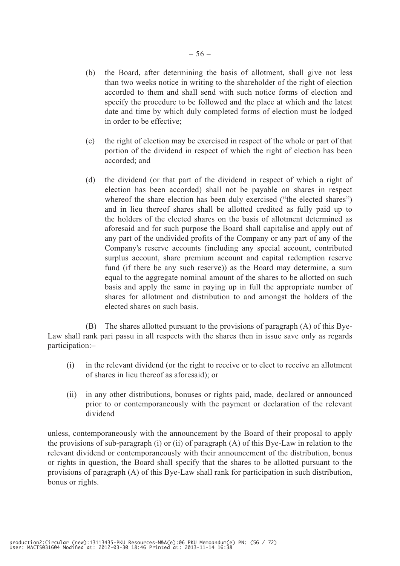- (b) the Board, after determining the basis of allotment, shall give not less than two weeks notice in writing to the shareholder of the right of election accorded to them and shall send with such notice forms of election and specify the procedure to be followed and the place at which and the latest date and time by which duly completed forms of election must be lodged in order to be effective;
- (c) the right of election may be exercised in respect of the whole or part of that portion of the dividend in respect of which the right of election has been accorded; and
- (d) the dividend (or that part of the dividend in respect of which a right of election has been accorded) shall not be payable on shares in respect whereof the share election has been duly exercised ("the elected shares") and in lieu thereof shares shall be allotted credited as fully paid up to the holders of the elected shares on the basis of allotment determined as aforesaid and for such purpose the Board shall capitalise and apply out of any part of the undivided profits of the Company or any part of any of the Company's reserve accounts (including any special account, contributed surplus account, share premium account and capital redemption reserve fund (if there be any such reserve)) as the Board may determine, a sum equal to the aggregate nominal amount of the shares to be allotted on such basis and apply the same in paying up in full the appropriate number of shares for allotment and distribution to and amongst the holders of the elected shares on such basis.

(B) The shares allotted pursuant to the provisions of paragraph (A) of this Bye-Law shall rank pari passu in all respects with the shares then in issue save only as regards participation:–

- (i) in the relevant dividend (or the right to receive or to elect to receive an allotment of shares in lieu thereof as aforesaid); or
- (ii) in any other distributions, bonuses or rights paid, made, declared or announced prior to or contemporaneously with the payment or declaration of the relevant dividend

unless, contemporaneously with the announcement by the Board of their proposal to apply the provisions of sub-paragraph (i) or (ii) of paragraph (A) of this Bye-Law in relation to the relevant dividend or contemporaneously with their announcement of the distribution, bonus or rights in question, the Board shall specify that the shares to be allotted pursuant to the provisions of paragraph (A) of this Bye-Law shall rank for participation in such distribution, bonus or rights.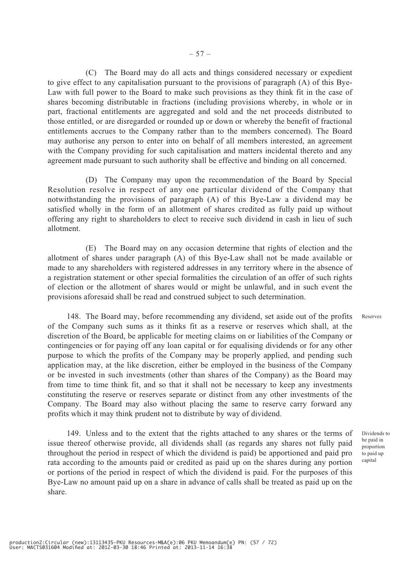(C) The Board may do all acts and things considered necessary or expedient to give effect to any capitalisation pursuant to the provisions of paragraph (A) of this Bye-Law with full power to the Board to make such provisions as they think fit in the case of shares becoming distributable in fractions (including provisions whereby, in whole or in part, fractional entitlements are aggregated and sold and the net proceeds distributed to those entitled, or are disregarded or rounded up or down or whereby the benefit of fractional entitlements accrues to the Company rather than to the members concerned). The Board may authorise any person to enter into on behalf of all members interested, an agreement with the Company providing for such capitalisation and matters incidental thereto and any agreement made pursuant to such authority shall be effective and binding on all concerned.

(D) The Company may upon the recommendation of the Board by Special Resolution resolve in respect of any one particular dividend of the Company that notwithstanding the provisions of paragraph (A) of this Bye-Law a dividend may be satisfied wholly in the form of an allotment of shares credited as fully paid up without offering any right to shareholders to elect to receive such dividend in cash in lieu of such allotment.

(E) The Board may on any occasion determine that rights of election and the allotment of shares under paragraph (A) of this Bye-Law shall not be made available or made to any shareholders with registered addresses in any territory where in the absence of a registration statement or other special formalities the circulation of an offer of such rights of election or the allotment of shares would or might be unlawful, and in such event the provisions aforesaid shall be read and construed subject to such determination.

148. The Board may, before recommending any dividend, set aside out of the profits of the Company such sums as it thinks fit as a reserve or reserves which shall, at the discretion of the Board, be applicable for meeting claims on or liabilities of the Company or contingencies or for paying off any loan capital or for equalising dividends or for any other purpose to which the profits of the Company may be properly applied, and pending such application may, at the like discretion, either be employed in the business of the Company or be invested in such investments (other than shares of the Company) as the Board may from time to time think fit, and so that it shall not be necessary to keep any investments constituting the reserve or reserves separate or distinct from any other investments of the Company. The Board may also without placing the same to reserve carry forward any profits which it may think prudent not to distribute by way of dividend.

149. Unless and to the extent that the rights attached to any shares or the terms of issue thereof otherwise provide, all dividends shall (as regards any shares not fully paid throughout the period in respect of which the dividend is paid) be apportioned and paid pro rata according to the amounts paid or credited as paid up on the shares during any portion or portions of the period in respect of which the dividend is paid. For the purposes of this Bye-Law no amount paid up on a share in advance of calls shall be treated as paid up on the share.

Reserves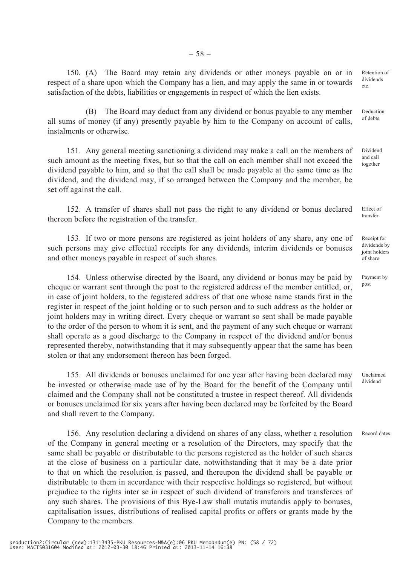150. (A) The Board may retain any dividends or other moneys payable on or in respect of a share upon which the Company has a lien, and may apply the same in or towards satisfaction of the debts, liabilities or engagements in respect of which the lien exists.

(B) The Board may deduct from any dividend or bonus payable to any member all sums of money (if any) presently payable by him to the Company on account of calls, instalments or otherwise.

151. Any general meeting sanctioning a dividend may make a call on the members of such amount as the meeting fixes, but so that the call on each member shall not exceed the dividend payable to him, and so that the call shall be made payable at the same time as the dividend, and the dividend may, if so arranged between the Company and the member, be set off against the call.

152. A transfer of shares shall not pass the right to any dividend or bonus declared thereon before the registration of the transfer.

153. If two or more persons are registered as joint holders of any share, any one of such persons may give effectual receipts for any dividends, interim dividends or bonuses and other moneys payable in respect of such shares.

154. Unless otherwise directed by the Board, any dividend or bonus may be paid by cheque or warrant sent through the post to the registered address of the member entitled, or, in case of joint holders, to the registered address of that one whose name stands first in the register in respect of the joint holding or to such person and to such address as the holder or joint holders may in writing direct. Every cheque or warrant so sent shall be made payable to the order of the person to whom it is sent, and the payment of any such cheque or warrant shall operate as a good discharge to the Company in respect of the dividend and/or bonus represented thereby, notwithstanding that it may subsequently appear that the same has been stolen or that any endorsement thereon has been forged.

155. All dividends or bonuses unclaimed for one year after having been declared may be invested or otherwise made use of by the Board for the benefit of the Company until claimed and the Company shall not be constituted a trustee in respect thereof. All dividends or bonuses unclaimed for six years after having been declared may be forfeited by the Board and shall revert to the Company. Unclaimed dividend

156. Any resolution declaring a dividend on shares of any class, whether a resolution of the Company in general meeting or a resolution of the Directors, may specify that the same shall be payable or distributable to the persons registered as the holder of such shares at the close of business on a particular date, notwithstanding that it may be a date prior to that on which the resolution is passed, and thereupon the dividend shall be payable or distributable to them in accordance with their respective holdings so registered, but without prejudice to the rights inter se in respect of such dividend of transferors and transferees of any such shares. The provisions of this Bye-Law shall mutatis mutandis apply to bonuses, capitalisation issues, distributions of realised capital profits or offers or grants made by the Company to the members. Record dates

Retention of dividends etc.

Deduction of debts

Dividend and call together

Effect of transfer

Receipt for dividends by joint holders of share

Payment by post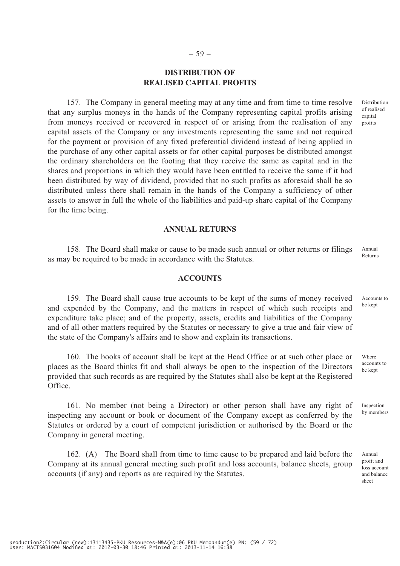# **DISTRIBUTION OF REALISED CAPITAL PROFITS**

157. The Company in general meeting may at any time and from time to time resolve that any surplus moneys in the hands of the Company representing capital profits arising from moneys received or recovered in respect of or arising from the realisation of any capital assets of the Company or any investments representing the same and not required for the payment or provision of any fixed preferential dividend instead of being applied in the purchase of any other capital assets or for other capital purposes be distributed amongst the ordinary shareholders on the footing that they receive the same as capital and in the shares and proportions in which they would have been entitled to receive the same if it had been distributed by way of dividend, provided that no such profits as aforesaid shall be so distributed unless there shall remain in the hands of the Company a sufficiency of other assets to answer in full the whole of the liabilities and paid-up share capital of the Company for the time being.

#### **ANNUAL RETURNS**

158. The Board shall make or cause to be made such annual or other returns or filings as may be required to be made in accordance with the Statutes. Annual Returns

#### **ACCOUNTS**

159. The Board shall cause true accounts to be kept of the sums of money received and expended by the Company, and the matters in respect of which such receipts and expenditure take place; and of the property, assets, credits and liabilities of the Company and of all other matters required by the Statutes or necessary to give a true and fair view of the state of the Company's affairs and to show and explain its transactions.

160. The books of account shall be kept at the Head Office or at such other place or places as the Board thinks fit and shall always be open to the inspection of the Directors provided that such records as are required by the Statutes shall also be kept at the Registered Office.

161. No member (not being a Director) or other person shall have any right of inspecting any account or book or document of the Company except as conferred by the Statutes or ordered by a court of competent jurisdiction or authorised by the Board or the Company in general meeting.

162. (A) The Board shall from time to time cause to be prepared and laid before the Company at its annual general meeting such profit and loss accounts, balance sheets, group accounts (if any) and reports as are required by the Statutes.

Accounts to be kept

Distribution of realised capital profits

accounts to be kept

Where

Inspection by members

Annual profit and loss account and balance sheet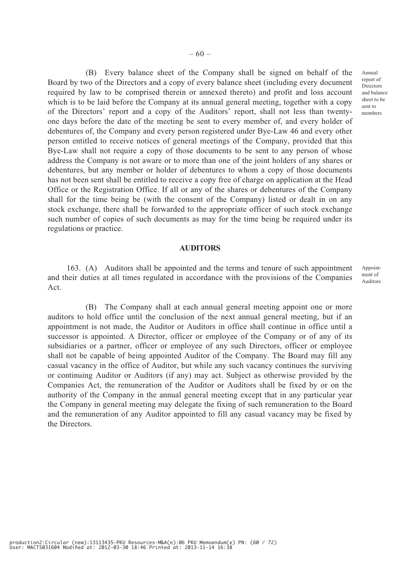(B) Every balance sheet of the Company shall be signed on behalf of the Board by two of the Directors and a copy of every balance sheet (including every document required by law to be comprised therein or annexed thereto) and profit and loss account which is to be laid before the Company at its annual general meeting, together with a copy of the Directors' report and a copy of the Auditors' report, shall not less than twentyone days before the date of the meeting be sent to every member of, and every holder of debentures of, the Company and every person registered under Bye-Law 46 and every other person entitled to receive notices of general meetings of the Company, provided that this Bye-Law shall not require a copy of those documents to be sent to any person of whose address the Company is not aware or to more than one of the joint holders of any shares or debentures, but any member or holder of debentures to whom a copy of those documents has not been sent shall be entitled to receive a copy free of charge on application at the Head Office or the Registration Office. If all or any of the shares or debentures of the Company shall for the time being be (with the consent of the Company) listed or dealt in on any stock exchange, there shall be forwarded to the appropriate officer of such stock exchange such number of copies of such documents as may for the time being be required under its regulations or practice.

#### **AUDITORS**

163. (A) Auditors shall be appointed and the terms and tenure of such appointment and their duties at all times regulated in accordance with the provisions of the Companies Act. Appointment of Auditors

(B) The Company shall at each annual general meeting appoint one or more auditors to hold office until the conclusion of the next annual general meeting, but if an appointment is not made, the Auditor or Auditors in office shall continue in office until a successor is appointed. A Director, officer or employee of the Company or of any of its subsidiaries or a partner, officer or employee of any such Directors, officer or employee shall not be capable of being appointed Auditor of the Company. The Board may fill any casual vacancy in the office of Auditor, but while any such vacancy continues the surviving or continuing Auditor or Auditors (if any) may act. Subject as otherwise provided by the Companies Act, the remuneration of the Auditor or Auditors shall be fixed by or on the authority of the Company in the annual general meeting except that in any particular year the Company in general meeting may delegate the fixing of such remuneration to the Board and the remuneration of any Auditor appointed to fill any casual vacancy may be fixed by the Directors.

Annual report of Directors and balance sheet to be sent to members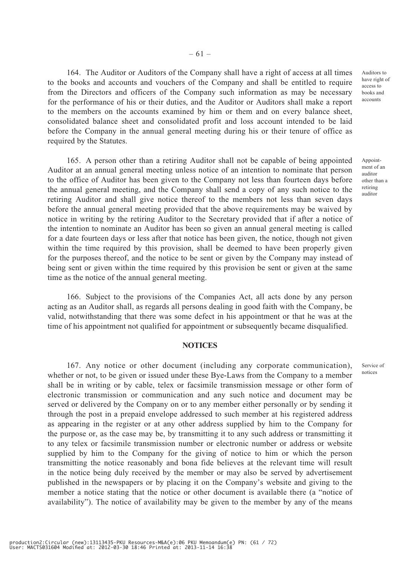164. The Auditor or Auditors of the Company shall have a right of access at all times to the books and accounts and vouchers of the Company and shall be entitled to require from the Directors and officers of the Company such information as may be necessary for the performance of his or their duties, and the Auditor or Auditors shall make a report to the members on the accounts examined by him or them and on every balance sheet, consolidated balance sheet and consolidated profit and loss account intended to be laid before the Company in the annual general meeting during his or their tenure of office as required by the Statutes.

165. A person other than a retiring Auditor shall not be capable of being appointed Auditor at an annual general meeting unless notice of an intention to nominate that person to the office of Auditor has been given to the Company not less than fourteen days before the annual general meeting, and the Company shall send a copy of any such notice to the retiring Auditor and shall give notice thereof to the members not less than seven days before the annual general meeting provided that the above requirements may be waived by notice in writing by the retiring Auditor to the Secretary provided that if after a notice of the intention to nominate an Auditor has been so given an annual general meeting is called for a date fourteen days or less after that notice has been given, the notice, though not given within the time required by this provision, shall be deemed to have been properly given for the purposes thereof, and the notice to be sent or given by the Company may instead of being sent or given within the time required by this provision be sent or given at the same time as the notice of the annual general meeting.

166. Subject to the provisions of the Companies Act, all acts done by any person acting as an Auditor shall, as regards all persons dealing in good faith with the Company, be valid, notwithstanding that there was some defect in his appointment or that he was at the time of his appointment not qualified for appointment or subsequently became disqualified.

#### **NOTICES**

167. Any notice or other document (including any corporate communication), whether or not, to be given or issued under these Bye-Laws from the Company to a member shall be in writing or by cable, telex or facsimile transmission message or other form of electronic transmission or communication and any such notice and document may be served or delivered by the Company on or to any member either personally or by sending it through the post in a prepaid envelope addressed to such member at his registered address as appearing in the register or at any other address supplied by him to the Company for the purpose or, as the case may be, by transmitting it to any such address or transmitting it to any telex or facsimile transmission number or electronic number or address or website supplied by him to the Company for the giving of notice to him or which the person transmitting the notice reasonably and bona fide believes at the relevant time will result in the notice being duly received by the member or may also be served by advertisement published in the newspapers or by placing it on the Company's website and giving to the member a notice stating that the notice or other document is available there (a "notice of availability"). The notice of availability may be given to the member by any of the means

Auditors to have right of access to books and accounts

Appointment of an auditor other than a retiring auditor

Service of notices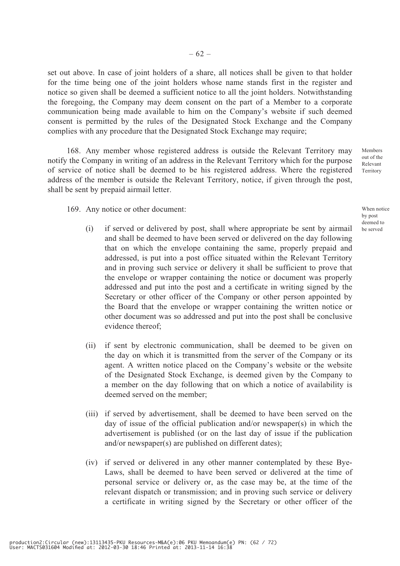set out above. In case of joint holders of a share, all notices shall be given to that holder for the time being one of the joint holders whose name stands first in the register and notice so given shall be deemed a sufficient notice to all the joint holders. Notwithstanding the foregoing, the Company may deem consent on the part of a Member to a corporate communication being made available to him on the Company's website if such deemed consent is permitted by the rules of the Designated Stock Exchange and the Company complies with any procedure that the Designated Stock Exchange may require;

168. Any member whose registered address is outside the Relevant Territory may notify the Company in writing of an address in the Relevant Territory which for the purpose of service of notice shall be deemed to be his registered address. Where the registered address of the member is outside the Relevant Territory, notice, if given through the post, shall be sent by prepaid airmail letter.

169. Any notice or other document:

- (i) if served or delivered by post, shall where appropriate be sent by airmail and shall be deemed to have been served or delivered on the day following that on which the envelope containing the same, properly prepaid and addressed, is put into a post office situated within the Relevant Territory and in proving such service or delivery it shall be sufficient to prove that the envelope or wrapper containing the notice or document was properly addressed and put into the post and a certificate in writing signed by the Secretary or other officer of the Company or other person appointed by the Board that the envelope or wrapper containing the written notice or other document was so addressed and put into the post shall be conclusive evidence thereof;
- (ii) if sent by electronic communication, shall be deemed to be given on the day on which it is transmitted from the server of the Company or its agent. A written notice placed on the Company's website or the website of the Designated Stock Exchange, is deemed given by the Company to a member on the day following that on which a notice of availability is deemed served on the member;
- (iii) if served by advertisement, shall be deemed to have been served on the day of issue of the official publication and/or newspaper(s) in which the advertisement is published (or on the last day of issue if the publication and/or newspaper(s) are published on different dates);
- (iv) if served or delivered in any other manner contemplated by these Bye-Laws, shall be deemed to have been served or delivered at the time of personal service or delivery or, as the case may be, at the time of the relevant dispatch or transmission; and in proving such service or delivery a certificate in writing signed by the Secretary or other officer of the

Members out of the Relevant Territory

When notice by post deemed to be served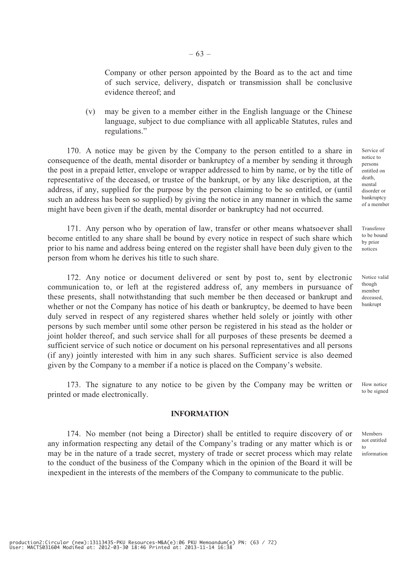Company or other person appointed by the Board as to the act and time of such service, delivery, dispatch or transmission shall be conclusive evidence thereof; and

(v) may be given to a member either in the English language or the Chinese language, subject to due compliance with all applicable Statutes, rules and regulations."

170. A notice may be given by the Company to the person entitled to a share in consequence of the death, mental disorder or bankruptcy of a member by sending it through the post in a prepaid letter, envelope or wrapper addressed to him by name, or by the title of representative of the deceased, or trustee of the bankrupt, or by any like description, at the address, if any, supplied for the purpose by the person claiming to be so entitled, or (until such an address has been so supplied) by giving the notice in any manner in which the same might have been given if the death, mental disorder or bankruptcy had not occurred.

171. Any person who by operation of law, transfer or other means whatsoever shall become entitled to any share shall be bound by every notice in respect of such share which prior to his name and address being entered on the register shall have been duly given to the person from whom he derives his title to such share.

172. Any notice or document delivered or sent by post to, sent by electronic communication to, or left at the registered address of, any members in pursuance of these presents, shall notwithstanding that such member be then deceased or bankrupt and whether or not the Company has notice of his death or bankruptcy, be deemed to have been duly served in respect of any registered shares whether held solely or jointly with other persons by such member until some other person be registered in his stead as the holder or joint holder thereof, and such service shall for all purposes of these presents be deemed a sufficient service of such notice or document on his personal representatives and all persons (if any) jointly interested with him in any such shares. Sufficient service is also deemed given by the Company to a member if a notice is placed on the Company's website.

173. The signature to any notice to be given by the Company may be written or printed or made electronically. How notice to be signed

### **INFORMATION**

174. No member (not being a Director) shall be entitled to require discovery of or any information respecting any detail of the Company's trading or any matter which is or may be in the nature of a trade secret, mystery of trade or secret process which may relate to the conduct of the business of the Company which in the opinion of the Board it will be inexpedient in the interests of the members of the Company to communicate to the public.

Service of notice to persons entitled on death, mental disorder or bankruptcy of a member

Transferee to be bound by prior notices

Notice valid though member deceased, bankrupt

Members not entitled to information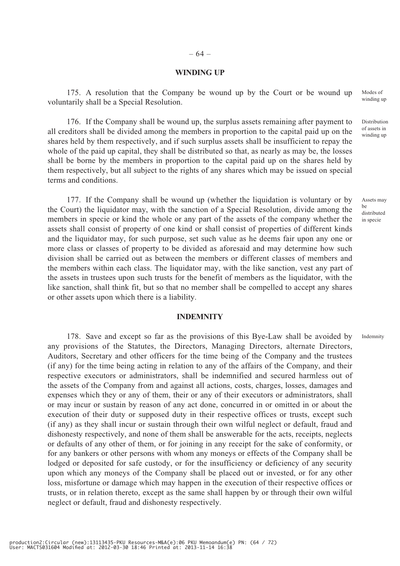#### **WINDING UP**

175. A resolution that the Company be wound up by the Court or be wound up voluntarily shall be a Special Resolution.

176. If the Company shall be wound up, the surplus assets remaining after payment to all creditors shall be divided among the members in proportion to the capital paid up on the shares held by them respectively, and if such surplus assets shall be insufficient to repay the whole of the paid up capital, they shall be distributed so that, as nearly as may be, the losses shall be borne by the members in proportion to the capital paid up on the shares held by them respectively, but all subject to the rights of any shares which may be issued on special terms and conditions.

177. If the Company shall be wound up (whether the liquidation is voluntary or by the Court) the liquidator may, with the sanction of a Special Resolution, divide among the members in specie or kind the whole or any part of the assets of the company whether the assets shall consist of property of one kind or shall consist of properties of different kinds and the liquidator may, for such purpose, set such value as he deems fair upon any one or more class or classes of property to be divided as aforesaid and may determine how such division shall be carried out as between the members or different classes of members and the members within each class. The liquidator may, with the like sanction, vest any part of the assets in trustees upon such trusts for the benefit of members as the liquidator, with the like sanction, shall think fit, but so that no member shall be compelled to accept any shares or other assets upon which there is a liability.

## **INDEMNITY**

178. Save and except so far as the provisions of this Bye-Law shall be avoided by any provisions of the Statutes, the Directors, Managing Directors, alternate Directors, Auditors, Secretary and other officers for the time being of the Company and the trustees (if any) for the time being acting in relation to any of the affairs of the Company, and their respective executors or administrators, shall be indemnified and secured harmless out of the assets of the Company from and against all actions, costs, charges, losses, damages and expenses which they or any of them, their or any of their executors or administrators, shall or may incur or sustain by reason of any act done, concurred in or omitted in or about the execution of their duty or supposed duty in their respective offices or trusts, except such (if any) as they shall incur or sustain through their own wilful neglect or default, fraud and dishonesty respectively, and none of them shall be answerable for the acts, receipts, neglects or defaults of any other of them, or for joining in any receipt for the sake of conformity, or for any bankers or other persons with whom any moneys or effects of the Company shall be lodged or deposited for safe custody, or for the insufficiency or deficiency of any security upon which any moneys of the Company shall be placed out or invested, or for any other loss, misfortune or damage which may happen in the execution of their respective offices or trusts, or in relation thereto, except as the same shall happen by or through their own wilful neglect or default, fraud and dishonesty respectively.

Modes of winding up

Distribution of assets in winding up

Assets may be distributed in specie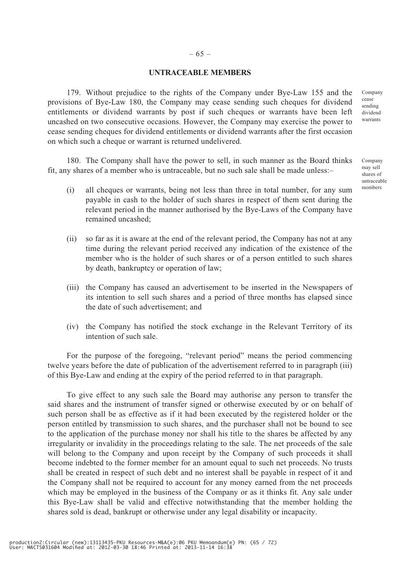## – 65 –

## **UNTRACEABLE MEMBERS**

179. Without prejudice to the rights of the Company under Bye-Law 155 and the provisions of Bye-Law 180, the Company may cease sending such cheques for dividend entitlements or dividend warrants by post if such cheques or warrants have been left uncashed on two consecutive occasions. However, the Company may exercise the power to cease sending cheques for dividend entitlements or dividend warrants after the first occasion on which such a cheque or warrant is returned undelivered.

180. The Company shall have the power to sell, in such manner as the Board thinks fit, any shares of a member who is untraceable, but no such sale shall be made unless:–

- (i) all cheques or warrants, being not less than three in total number, for any sum payable in cash to the holder of such shares in respect of them sent during the relevant period in the manner authorised by the Bye-Laws of the Company have remained uncashed;
- (ii) so far as it is aware at the end of the relevant period, the Company has not at any time during the relevant period received any indication of the existence of the member who is the holder of such shares or of a person entitled to such shares by death, bankruptcy or operation of law;
- (iii) the Company has caused an advertisement to be inserted in the Newspapers of its intention to sell such shares and a period of three months has elapsed since the date of such advertisement; and
- (iv) the Company has notified the stock exchange in the Relevant Territory of its intention of such sale.

For the purpose of the foregoing, "relevant period" means the period commencing twelve years before the date of publication of the advertisement referred to in paragraph (iii) of this Bye-Law and ending at the expiry of the period referred to in that paragraph.

To give effect to any such sale the Board may authorise any person to transfer the said shares and the instrument of transfer signed or otherwise executed by or on behalf of such person shall be as effective as if it had been executed by the registered holder or the person entitled by transmission to such shares, and the purchaser shall not be bound to see to the application of the purchase money nor shall his title to the shares be affected by any irregularity or invalidity in the proceedings relating to the sale. The net proceeds of the sale will belong to the Company and upon receipt by the Company of such proceeds it shall become indebted to the former member for an amount equal to such net proceeds. No trusts shall be created in respect of such debt and no interest shall be payable in respect of it and the Company shall not be required to account for any money earned from the net proceeds which may be employed in the business of the Company or as it thinks fit. Any sale under this Bye-Law shall be valid and effective notwithstanding that the member holding the shares sold is dead, bankrupt or otherwise under any legal disability or incapacity.

Company cease sending dividend warrants

Company may sell shares of untraceable members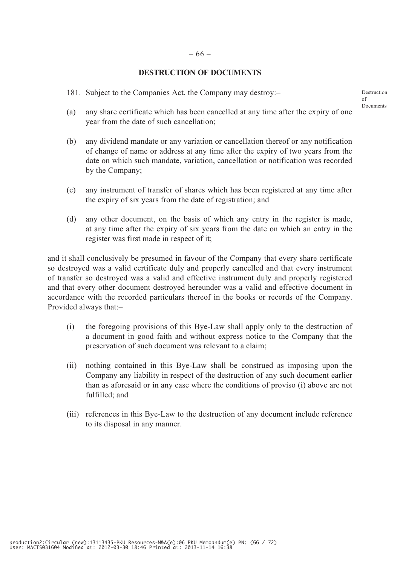## **DESTRUCTION OF DOCUMENTS**

181. Subject to the Companies Act, the Company may destroy:–

Destruction  $\alpha$ f Documents

- (a) any share certificate which has been cancelled at any time after the expiry of one year from the date of such cancellation;
- (b) any dividend mandate or any variation or cancellation thereof or any notification of change of name or address at any time after the expiry of two years from the date on which such mandate, variation, cancellation or notification was recorded by the Company;
- (c) any instrument of transfer of shares which has been registered at any time after the expiry of six years from the date of registration; and
- (d) any other document, on the basis of which any entry in the register is made, at any time after the expiry of six years from the date on which an entry in the register was first made in respect of it;

and it shall conclusively be presumed in favour of the Company that every share certificate so destroyed was a valid certificate duly and properly cancelled and that every instrument of transfer so destroyed was a valid and effective instrument duly and properly registered and that every other document destroyed hereunder was a valid and effective document in accordance with the recorded particulars thereof in the books or records of the Company. Provided always that:–

- (i) the foregoing provisions of this Bye-Law shall apply only to the destruction of a document in good faith and without express notice to the Company that the preservation of such document was relevant to a claim;
- (ii) nothing contained in this Bye-Law shall be construed as imposing upon the Company any liability in respect of the destruction of any such document earlier than as aforesaid or in any case where the conditions of proviso (i) above are not fulfilled; and
- (iii) references in this Bye-Law to the destruction of any document include reference to its disposal in any manner.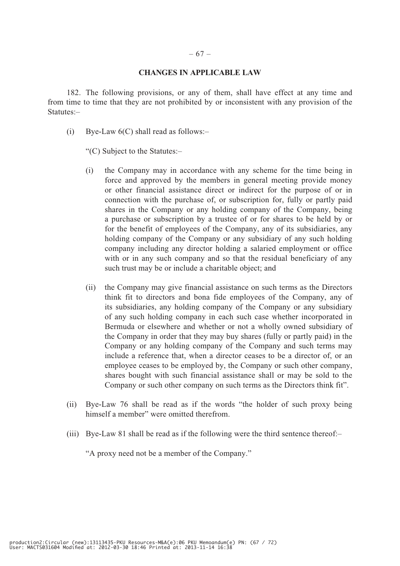## **CHANGES IN APPLICABLE LAW**

182. The following provisions, or any of them, shall have effect at any time and from time to time that they are not prohibited by or inconsistent with any provision of the Statutes:–

(i) Bye-Law  $6(C)$  shall read as follows:-

"(C) Subject to the Statutes:–

- (i) the Company may in accordance with any scheme for the time being in force and approved by the members in general meeting provide money or other financial assistance direct or indirect for the purpose of or in connection with the purchase of, or subscription for, fully or partly paid shares in the Company or any holding company of the Company, being a purchase or subscription by a trustee of or for shares to be held by or for the benefit of employees of the Company, any of its subsidiaries, any holding company of the Company or any subsidiary of any such holding company including any director holding a salaried employment or office with or in any such company and so that the residual beneficiary of any such trust may be or include a charitable object; and
- (ii) the Company may give financial assistance on such terms as the Directors think fit to directors and bona fide employees of the Company, any of its subsidiaries, any holding company of the Company or any subsidiary of any such holding company in each such case whether incorporated in Bermuda or elsewhere and whether or not a wholly owned subsidiary of the Company in order that they may buy shares (fully or partly paid) in the Company or any holding company of the Company and such terms may include a reference that, when a director ceases to be a director of, or an employee ceases to be employed by, the Company or such other company, shares bought with such financial assistance shall or may be sold to the Company or such other company on such terms as the Directors think fit".
- (ii) Bye-Law 76 shall be read as if the words "the holder of such proxy being himself a member" were omitted therefrom.
- (iii) Bye-Law 81 shall be read as if the following were the third sentence thereof:–

"A proxy need not be a member of the Company."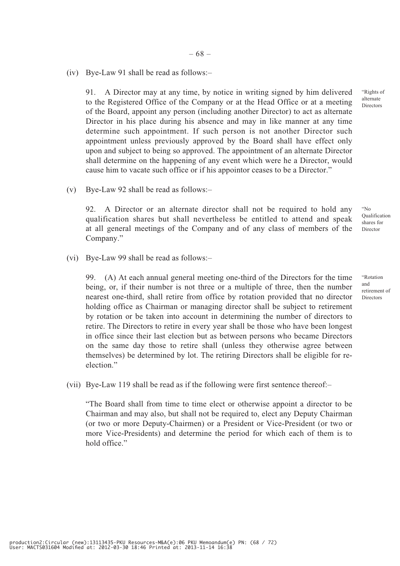(iv) Bye-Law 91 shall be read as follows:–

91. A Director may at any time, by notice in writing signed by him delivered to the Registered Office of the Company or at the Head Office or at a meeting of the Board, appoint any person (including another Director) to act as alternate Director in his place during his absence and may in like manner at any time determine such appointment. If such person is not another Director such appointment unless previously approved by the Board shall have effect only upon and subject to being so approved. The appointment of an alternate Director shall determine on the happening of any event which were he a Director, would cause him to vacate such office or if his appointor ceases to be a Director."

(v) Bye-Law 92 shall be read as follows:–

92. A Director or an alternate director shall not be required to hold any qualification shares but shall nevertheless be entitled to attend and speak at all general meetings of the Company and of any class of members of the Company."

(vi) Bye-Law 99 shall be read as follows:–

99. (A) At each annual general meeting one-third of the Directors for the time being, or, if their number is not three or a multiple of three, then the number nearest one-third, shall retire from office by rotation provided that no director holding office as Chairman or managing director shall be subject to retirement by rotation or be taken into account in determining the number of directors to retire. The Directors to retire in every year shall be those who have been longest in office since their last election but as between persons who became Directors on the same day those to retire shall (unless they otherwise agree between themselves) be determined by lot. The retiring Directors shall be eligible for reelection."

(vii) Bye-Law 119 shall be read as if the following were first sentence thereof:–

"The Board shall from time to time elect or otherwise appoint a director to be Chairman and may also, but shall not be required to, elect any Deputy Chairman (or two or more Deputy-Chairmen) or a President or Vice-President (or two or more Vice-Presidents) and determine the period for which each of them is to hold office."

"Rights of alternate Directors

"No Qualification shares for Director

"Rotation and retirement of Directors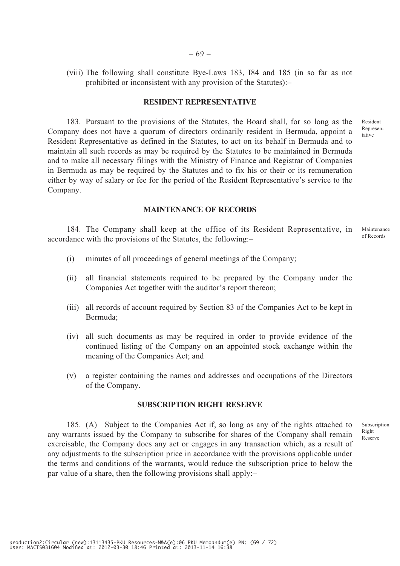(viii) The following shall constitute Bye-Laws 183, I84 and 185 (in so far as not prohibited or inconsistent with any provision of the Statutes):–

## **RESIDENT REPRESENTATIVE**

183. Pursuant to the provisions of the Statutes, the Board shall, for so long as the Company does not have a quorum of directors ordinarily resident in Bermuda, appoint a Resident Representative as defined in the Statutes, to act on its behalf in Bermuda and to maintain all such records as may be required by the Statutes to be maintained in Bermuda and to make all necessary filings with the Ministry of Finance and Registrar of Companies in Bermuda as may be required by the Statutes and to fix his or their or its remuneration either by way of salary or fee for the period of the Resident Representative's service to the Company.

#### **MAINTENANCE OF RECORDS**

184. The Company shall keep at the office of its Resident Representative, in accordance with the provisions of the Statutes, the following:– Maintenance of Records

- (i) minutes of all proceedings of general meetings of the Company;
- (ii) all financial statements required to be prepared by the Company under the Companies Act together with the auditor's report thereon;
- (iii) all records of account required by Section 83 of the Companies Act to be kept in Bermuda;
- (iv) all such documents as may be required in order to provide evidence of the continued listing of the Company on an appointed stock exchange within the meaning of the Companies Act; and
- (v) a register containing the names and addresses and occupations of the Directors of the Company.

## **SUBSCRIPTION RIGHT RESERVE**

185. (A) Subject to the Companies Act if, so long as any of the rights attached to any warrants issued by the Company to subscribe for shares of the Company shall remain exercisable, the Company does any act or engages in any transaction which, as a result of any adjustments to the subscription price in accordance with the provisions applicable under the terms and conditions of the warrants, would reduce the subscription price to below the par value of a share, then the following provisions shall apply:–

Subscription Right Reserve

Resident Representative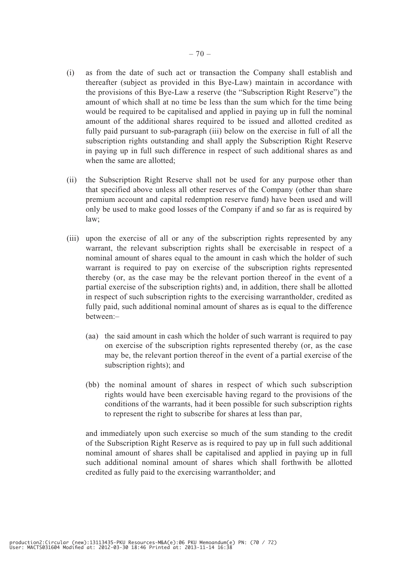- (i) as from the date of such act or transaction the Company shall establish and thereafter (subject as provided in this Bye-Law) maintain in accordance with the provisions of this Bye-Law a reserve (the "Subscription Right Reserve") the amount of which shall at no time be less than the sum which for the time being would be required to be capitalised and applied in paying up in full the nominal amount of the additional shares required to be issued and allotted credited as fully paid pursuant to sub-paragraph (iii) below on the exercise in full of all the subscription rights outstanding and shall apply the Subscription Right Reserve in paying up in full such difference in respect of such additional shares as and when the same are allotted;
- (ii) the Subscription Right Reserve shall not be used for any purpose other than that specified above unless all other reserves of the Company (other than share premium account and capital redemption reserve fund) have been used and will only be used to make good losses of the Company if and so far as is required by law;
- (iii) upon the exercise of all or any of the subscription rights represented by any warrant, the relevant subscription rights shall be exercisable in respect of a nominal amount of shares equal to the amount in cash which the holder of such warrant is required to pay on exercise of the subscription rights represented thereby (or, as the case may be the relevant portion thereof in the event of a partial exercise of the subscription rights) and, in addition, there shall be allotted in respect of such subscription rights to the exercising warrantholder, credited as fully paid, such additional nominal amount of shares as is equal to the difference between:–
	- (aa) the said amount in cash which the holder of such warrant is required to pay on exercise of the subscription rights represented thereby (or, as the case may be, the relevant portion thereof in the event of a partial exercise of the subscription rights); and
	- (bb) the nominal amount of shares in respect of which such subscription rights would have been exercisable having regard to the provisions of the conditions of the warrants, had it been possible for such subscription rights to represent the right to subscribe for shares at less than par,

and immediately upon such exercise so much of the sum standing to the credit of the Subscription Right Reserve as is required to pay up in full such additional nominal amount of shares shall be capitalised and applied in paying up in full such additional nominal amount of shares which shall forthwith be allotted credited as fully paid to the exercising warrantholder; and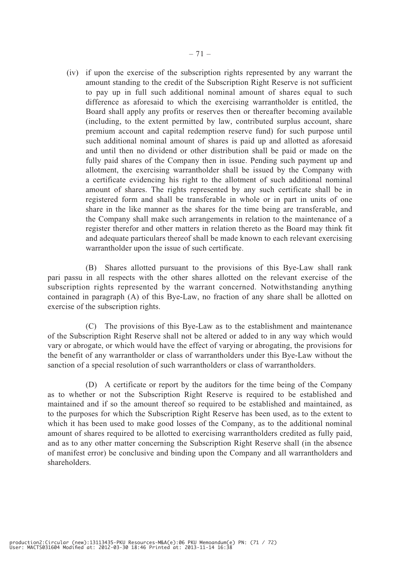(iv) if upon the exercise of the subscription rights represented by any warrant the amount standing to the credit of the Subscription Right Reserve is not sufficient to pay up in full such additional nominal amount of shares equal to such difference as aforesaid to which the exercising warrantholder is entitled, the Board shall apply any profits or reserves then or thereafter becoming available (including, to the extent permitted by law, contributed surplus account, share premium account and capital redemption reserve fund) for such purpose until such additional nominal amount of shares is paid up and allotted as aforesaid and until then no dividend or other distribution shall be paid or made on the fully paid shares of the Company then in issue. Pending such payment up and allotment, the exercising warrantholder shall be issued by the Company with a certificate evidencing his right to the allotment of such additional nominal amount of shares. The rights represented by any such certificate shall be in registered form and shall be transferable in whole or in part in units of one share in the like manner as the shares for the time being are transferable, and the Company shall make such arrangements in relation to the maintenance of a register therefor and other matters in relation thereto as the Board may think fit and adequate particulars thereof shall be made known to each relevant exercising warrantholder upon the issue of such certificate.

(B) Shares allotted pursuant to the provisions of this Bye-Law shall rank pari passu in all respects with the other shares allotted on the relevant exercise of the subscription rights represented by the warrant concerned. Notwithstanding anything contained in paragraph (A) of this Bye-Law, no fraction of any share shall be allotted on exercise of the subscription rights.

(C) The provisions of this Bye-Law as to the establishment and maintenance of the Subscription Right Reserve shall not be altered or added to in any way which would vary or abrogate, or which would have the effect of varying or abrogating, the provisions for the benefit of any warrantholder or class of warrantholders under this Bye-Law without the sanction of a special resolution of such warrantholders or class of warrantholders.

(D) A certificate or report by the auditors for the time being of the Company as to whether or not the Subscription Right Reserve is required to be established and maintained and if so the amount thereof so required to be established and maintained, as to the purposes for which the Subscription Right Reserve has been used, as to the extent to which it has been used to make good losses of the Company, as to the additional nominal amount of shares required to be allotted to exercising warrantholders credited as fully paid, and as to any other matter concerning the Subscription Right Reserve shall (in the absence of manifest error) be conclusive and binding upon the Company and all warrantholders and shareholders.